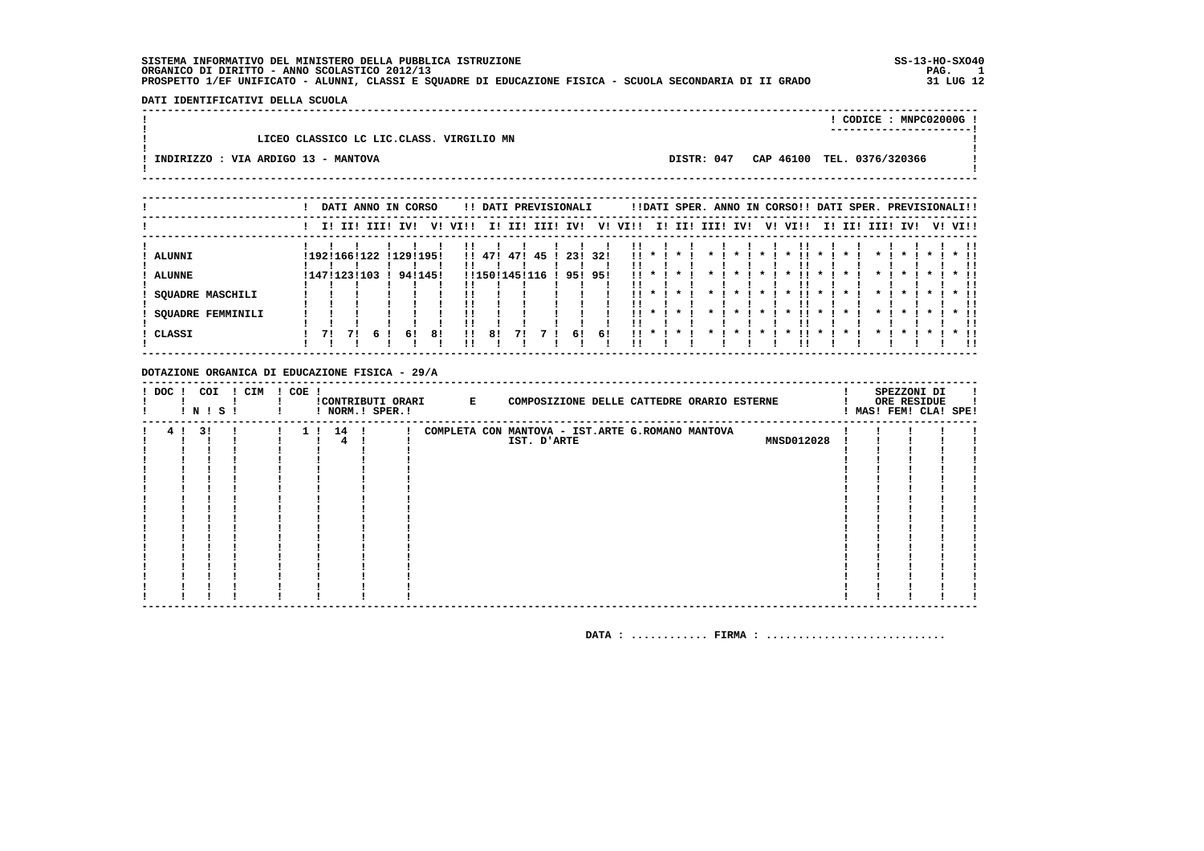$\mathbf{I}$  $\blacksquare$ 

#### DATI IDENTIFICATIVI DELLA SCUOLA

! CODICE: MNPC02000G! \_\_\_\_\_\_\_\_\_\_\_\_\_\_\_\_\_\_\_\_\_\_\_\_\_ LICEO CLASSICO LC LIC.CLASS, VIRGILIO MN -! INDIRIZZO : VIA ARDIGO 13 - MANTOVA DISTR: 047 CAP 46100 TEL. 0376/320366 

! DATI ANNO IN CORSO . !! DATI PREVISIONALI . !! DATI SPER. ANNO IN CORSO!! DATI SPER. PREVISIONALI!!  $\mathbf{L}$  $\mathbf{I}$ .<br>ALUNNI I ALUNNE ! SQUADRE MASCHILI  $\mathbf{L}$ ! SOUADRE FEMMINILI ! CLASSI a shekarar 1989 - 1989 - 1989 - 1989 - 1989 - 1989 - 1989 - 1989 - 1989 - 1989 - 1989 - 1989 - 1989 - 1989 - 1  $\mathbf{L}$ 

DOTAZIONE ORGANICA DI EDUCAZIONE FISICA - 29/A

| $!$ DOC $!$ |              | COI | ! CIM | $! COE$ ! |    |      |                 | !CONTRIBUTI ORARI E |             |  | COMPOSIZIONE DELLE CATTEDRE ORARIO ESTERNE       |  |                   |  | SPEZZONI DI<br>ORE RESIDUE |  |
|-------------|--------------|-----|-------|-----------|----|------|-----------------|---------------------|-------------|--|--------------------------------------------------|--|-------------------|--|----------------------------|--|
|             | <b>!N!S!</b> |     |       |           |    |      | ! NORM.! SPER.! |                     |             |  |                                                  |  |                   |  | ! MAS! FEM! CLA! SPE!      |  |
| 4!          |              | 31  |       |           | 11 | 14 ! |                 |                     |             |  | COMPLETA CON MANTOVA - IST.ARTE G.ROMANO MANTOVA |  |                   |  |                            |  |
|             |              |     |       |           |    |      |                 |                     | IST. D'ARTE |  |                                                  |  | <b>MNSD012028</b> |  |                            |  |
|             |              |     |       |           |    |      |                 |                     |             |  |                                                  |  |                   |  |                            |  |
|             |              |     |       |           |    |      |                 |                     |             |  |                                                  |  |                   |  |                            |  |
|             |              |     |       |           |    |      |                 |                     |             |  |                                                  |  |                   |  |                            |  |
|             |              |     |       |           |    |      |                 |                     |             |  |                                                  |  |                   |  |                            |  |
|             |              |     |       |           |    |      |                 |                     |             |  |                                                  |  |                   |  |                            |  |
|             |              |     |       |           |    |      |                 |                     |             |  |                                                  |  |                   |  |                            |  |
|             |              |     |       |           |    |      |                 |                     |             |  |                                                  |  |                   |  |                            |  |
|             |              |     |       |           |    |      |                 |                     |             |  |                                                  |  |                   |  |                            |  |
|             |              |     |       |           |    |      |                 |                     |             |  |                                                  |  |                   |  |                            |  |
|             |              |     |       |           |    |      |                 |                     |             |  |                                                  |  |                   |  |                            |  |
|             |              |     |       |           |    |      |                 |                     |             |  |                                                  |  |                   |  |                            |  |
|             |              |     |       |           |    |      |                 |                     |             |  |                                                  |  |                   |  |                            |  |
|             |              |     |       |           |    |      |                 |                     |             |  |                                                  |  |                   |  |                            |  |
|             |              |     |       |           |    |      |                 |                     |             |  |                                                  |  |                   |  |                            |  |
|             |              |     |       |           |    |      |                 |                     |             |  |                                                  |  |                   |  |                            |  |
|             |              |     |       |           |    |      |                 |                     |             |  |                                                  |  |                   |  |                            |  |

DATA:  $\ldots \ldots \ldots$ . FIRMA:  $\ldots \ldots \ldots \ldots \ldots \ldots \ldots \ldots$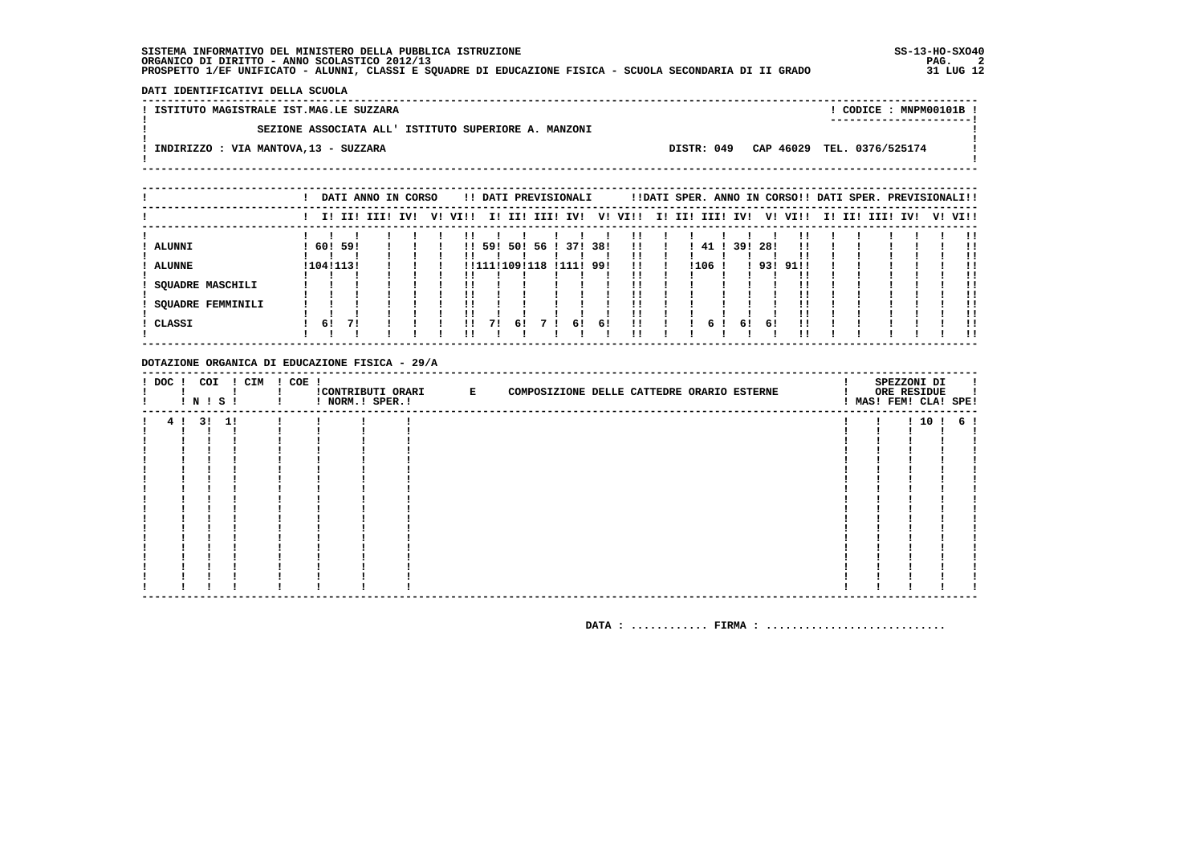DATI IDENTIFICATIVI DELLA SCUOLA

! ISTITUTO MAGISTRALE IST.MAG.LE SUZZARA ! CODICE : MNPM00101B !  $\mathbf{I}$ SEZIONE ASSOCIATA ALL' ISTITUTO SUPERIORE A. MANZONI  $\mathbf{I}$ - 1  $\mathbf{I}$ -.<br>! INDIRIZZO : VIA MANTOVA,13 - SUZZARA DISTR: 049 CAP 46029 TEL. 0376/525174 **Contract Contract**  $\mathbf{I}$  $\mathbf{I}$ 

|                   |           |    | DATI ANNO IN CORSO |  |              |               |     | !! DATI PREVISIONALI |     |                         |             |      |     |      | !!DATI SPER. ANNO IN CORSO!! DATI SPER. PREVISIONALI!! |  |                         |  |     |
|-------------------|-----------|----|--------------------|--|--------------|---------------|-----|----------------------|-----|-------------------------|-------------|------|-----|------|--------------------------------------------------------|--|-------------------------|--|-----|
|                   |           |    | I! II! III! IV!    |  | V! VI!!      |               |     |                      |     | I! II! III! IV! V! VI!! | I! II! III! |      | IV! |      | V! VI!!                                                |  | I! II! III! IV! V! VI!! |  |     |
|                   |           |    |                    |  |              |               |     |                      |     |                         |             |      |     |      |                                                        |  |                         |  |     |
| ALUNNI            | 60! 59!   |    |                    |  | $\mathbf{H}$ | 591           | 501 | 56 ! 37! 38!         |     | . .<br>!!               |             | 41   | 391 | -281 |                                                        |  |                         |  | . . |
| <b>ALUNNE</b>     | !104!113! |    |                    |  |              | !!111!109!118 |     | !111!                | 99! | !!                      |             | !106 |     | 93!  | 91!!                                                   |  |                         |  | -11 |
| SQUADRE MASCHILI  |           |    |                    |  |              |               |     |                      |     | !!                      |             |      |     |      |                                                        |  |                         |  |     |
| SOUADRE FEMMINILI |           |    |                    |  |              |               |     |                      |     | ' '                     |             |      |     |      |                                                        |  |                         |  | -11 |
| CLASSI            | 6!        | 71 |                    |  | !!           | 71            | 61  | 61                   | 61  | !!                      |             | 6    | 61  | 61   |                                                        |  |                         |  |     |
|                   |           |    |                    |  |              |               |     |                      |     | ' '                     |             |      |     |      |                                                        |  |                         |  | -11 |

#### DOTAZIONE ORGANICA DI EDUCAZIONE FISICA - 29/A

|  | <b>!N!S!</b> | ! DOC ! COI ! CIM ! COE ! | ! NORM.! SPER.! | !CONTRIBUTI ORARI E | COMPOSIZIONE DELLE CATTEDRE ORARIO ESTERNE |  | SPEZZONI DI<br>ORE RESIDUE | ! MAS! FEM! CLA! SPE! |
|--|--------------|---------------------------|-----------------|---------------------|--------------------------------------------|--|----------------------------|-----------------------|
|  | 4 ! 3 ! 1 !  |                           |                 |                     |                                            |  |                            | ! 10 ! 6 !            |
|  |              |                           |                 |                     |                                            |  |                            |                       |
|  |              |                           |                 |                     |                                            |  |                            |                       |
|  |              |                           |                 |                     |                                            |  |                            |                       |
|  |              |                           |                 |                     |                                            |  |                            |                       |
|  |              |                           |                 |                     |                                            |  |                            |                       |
|  |              |                           |                 |                     |                                            |  |                            |                       |
|  |              |                           |                 |                     |                                            |  |                            |                       |
|  |              |                           |                 |                     |                                            |  |                            |                       |
|  |              |                           |                 |                     |                                            |  |                            |                       |
|  |              |                           |                 |                     |                                            |  |                            |                       |
|  |              |                           |                 |                     |                                            |  |                            |                       |
|  |              |                           |                 |                     |                                            |  |                            |                       |
|  |              |                           |                 |                     |                                            |  |                            |                       |
|  |              |                           |                 |                     |                                            |  |                            |                       |
|  |              |                           |                 |                     |                                            |  |                            |                       |
|  |              |                           |                 |                     |                                            |  |                            |                       |
|  |              |                           |                 |                     |                                            |  |                            |                       |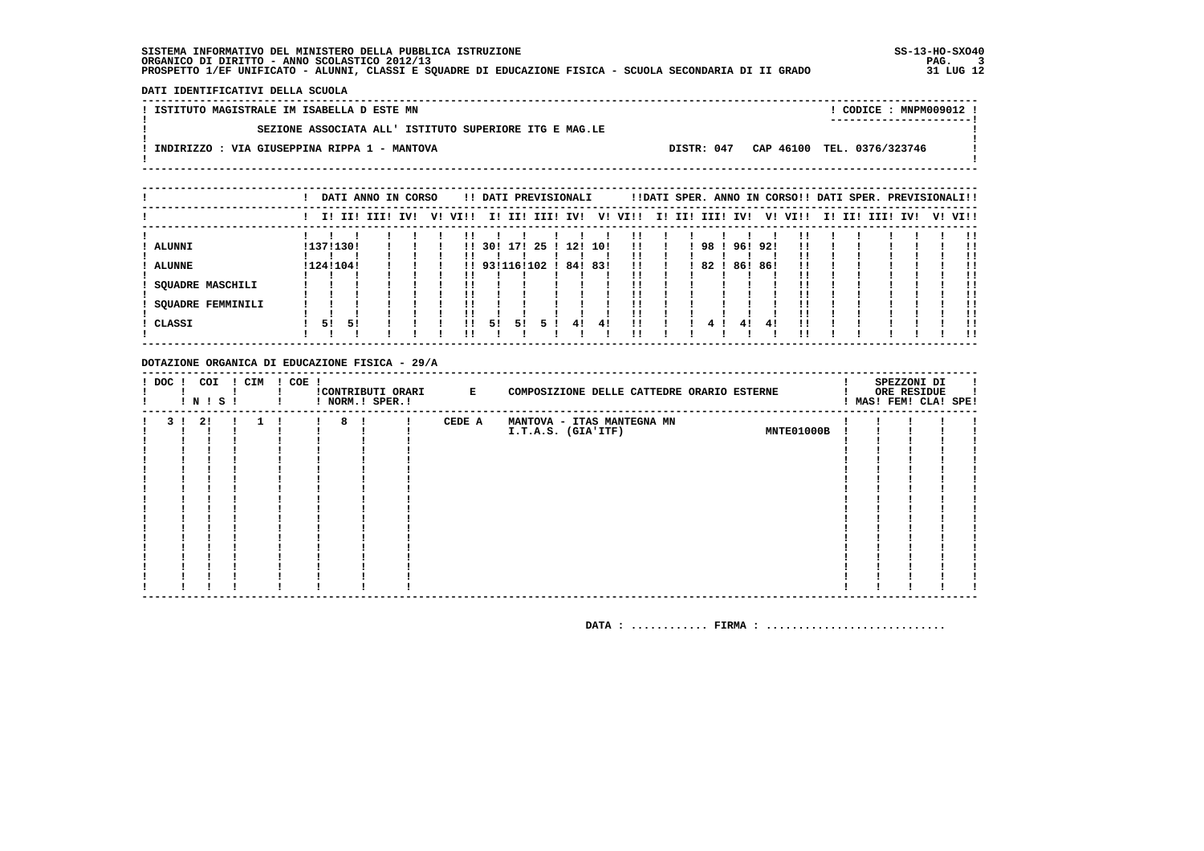DATI IDENTIFICATIVI DELLA SCUOLA

! ISTITUTO MAGISTRALE IM ISABELLA D ESTE MN ! CODICE : MNPM009012 !  $\mathbf{I}$ SEZIONE ASSOCIATA ALL' ISTITUTO SUPERIORE ITG E MAG.LE  $\mathbf{I}$ - 1  $\mathbf{I}$ -.<br>! INDIRIZZO : VIA GIUSEPPINA RIPPA 1 - MANTOVA DISTR: 047 CAP 46100 TEL. 0376/323746 **Contract Contract**  $\mathbf{I}$  $\mathbf{I}$  $- - - - - - -$ 

|                          |    |           | DATI ANNO IN CORSO |     |    |      |               |     | !! DATI PREVISIONALI |     |     |         |             |      | !!DATI SPER. ANNO IN CORSO!! DATI SPER. PREVISIONALI!! |        |         |     |     |      |     |         |
|--------------------------|----|-----------|--------------------|-----|----|------|---------------|-----|----------------------|-----|-----|---------|-------------|------|--------------------------------------------------------|--------|---------|-----|-----|------|-----|---------|
|                          |    |           | II III IIII        | IVI | V! | VI!! | I!            | II! | III! IV!             |     |     | V! VI!! | I! II! III! |      | IV!                                                    |        | V! VI!! | II. | II! | IIII | IV! | V! VI!! |
|                          |    |           |                    |     |    |      |               |     |                      |     |     |         |             |      |                                                        |        |         |     |     |      |     | . .     |
| ALUNNI                   |    | !137!130! |                    |     |    | !!   | 301           | 171 | 25 ! 12! 10!         |     |     | !!      |             | 981  |                                                        | 961921 | !!      |     |     |      |     | !!      |
| <b>ALUNNE</b>            |    | !124!104! |                    |     |    |      | !! 93!116!102 |     |                      | 84! | 83! | !!      |             | 82 ! | 86!                                                    | 86!    | !!      |     |     |      |     |         |
| SQUADRE MASCHILI         |    |           |                    |     |    |      |               |     |                      |     |     |         |             |      |                                                        |        |         |     |     |      |     | !!      |
| <b>SQUADRE FEMMINILI</b> |    |           |                    |     |    |      |               |     |                      |     |     |         |             |      |                                                        |        |         |     |     |      |     |         |
|                          |    |           |                    |     |    |      |               |     |                      |     |     |         |             |      |                                                        |        |         |     |     |      |     | !!      |
| CLASSI                   | 51 | 5!        |                    |     |    | 11   | 51            | 51  | 5.                   | 41  | -41 | !!      |             |      | 41                                                     | 41     |         |     |     |      |     | . .     |
|                          |    |           |                    |     |    |      |               |     |                      |     |     |         |             |      |                                                        |        |         |     |     |      |     |         |

#### DOTAZIONE ORGANICA DI EDUCAZIONE FISICA - 29/A

| ! DOC ! | ! N ! S ! | COI | ! CIM ! COE ! |   | ! NORM.! SPER.! | !CONTRIBUTI ORARI E | COMPOSIZIONE DELLE CATTEDRE ORARIO ESTERNE |  | SPEZZONI DI<br>ORE RESIDUE<br>! MAS! FEM! CLA! SPE! |  |
|---------|-----------|-----|---------------|---|-----------------|---------------------|--------------------------------------------|--|-----------------------------------------------------|--|
| २ ।     | 2!        |     |               | 8 |                 | CEDE A              | MANTOVA - ITAS MANTEGNA MN                 |  |                                                     |  |
|         |           |     |               |   |                 |                     | MNTE01000B<br>I.T.A.S. (GIA'ITF)           |  |                                                     |  |
|         |           |     |               |   |                 |                     |                                            |  |                                                     |  |
|         |           |     |               |   |                 |                     |                                            |  |                                                     |  |
|         |           |     |               |   |                 |                     |                                            |  |                                                     |  |
|         |           |     |               |   |                 |                     |                                            |  |                                                     |  |
|         |           |     |               |   |                 |                     |                                            |  |                                                     |  |
|         |           |     |               |   |                 |                     |                                            |  |                                                     |  |
|         |           |     |               |   |                 |                     |                                            |  |                                                     |  |
|         |           |     |               |   |                 |                     |                                            |  |                                                     |  |
|         |           |     |               |   |                 |                     |                                            |  |                                                     |  |
|         |           |     |               |   |                 |                     |                                            |  |                                                     |  |
|         |           |     |               |   |                 |                     |                                            |  |                                                     |  |
|         |           |     |               |   |                 |                     |                                            |  |                                                     |  |
|         |           |     |               |   |                 |                     |                                            |  |                                                     |  |
|         |           |     |               |   |                 |                     |                                            |  |                                                     |  |
|         |           |     |               |   |                 |                     |                                            |  |                                                     |  |
|         |           |     |               |   |                 |                     |                                            |  |                                                     |  |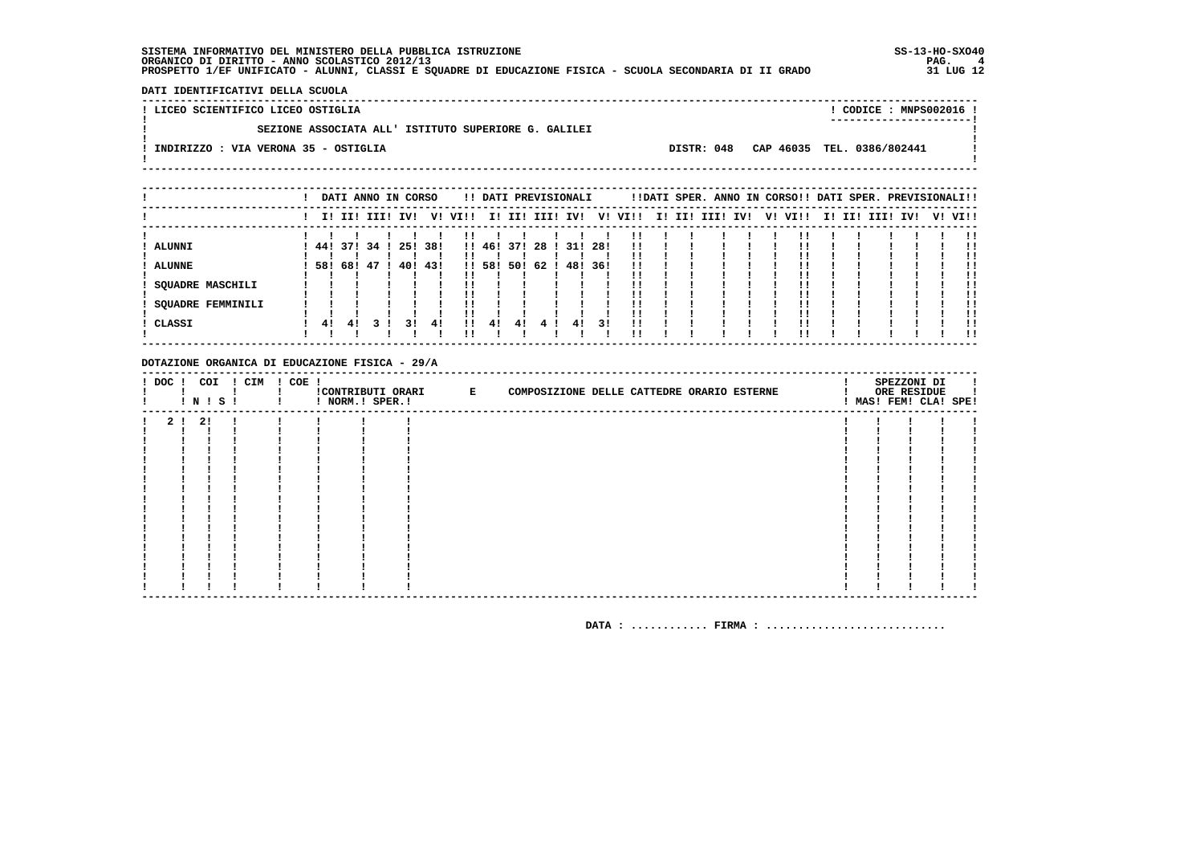- 1  $\mathbf{I}$ 

 $\mathbf{I}$ 

**Contract Contract** 

DATI IDENTIFICATIVI DELLA SCUOLA 

 $\mathbf{I}$ 

 $\mathbf{I}$ 

-

 $\mathbf{I}$ 

! LICEO SCIENTIFICO LICEO OSTIGLIA

! CODICE : MNPS002016 ! 

SEZIONE ASSOCIATA ALL' ISTITUTO SUPERIORE G. GALILEI .<br>! INDIRIZZO : VIA VERONA 35 - OSTIGLIA

DISTR: 048 CAP 46035 TEL. 0386/802441

|                   |     | DATI ANNO IN CORSO |  |         |     |         |        |          | !! DATI PREVISIONALI |         |     |         |  |                 |  | !!DATI SPER. ANNO IN CORSO!! DATI SPER. PREVISIONALI!! |  |                 |  |         |
|-------------------|-----|--------------------|--|---------|-----|---------|--------|----------|----------------------|---------|-----|---------|--|-----------------|--|--------------------------------------------------------|--|-----------------|--|---------|
|                   |     | I! II! III! IV!    |  |         |     | V! VI!! |        |          | I! II! III! IV!      |         |     | V! VI!! |  | I! II! III! IV! |  | V! VI!!                                                |  | I! II! III! IV! |  | V! VI!! |
|                   |     |                    |  |         |     |         |        |          |                      |         |     | !!      |  |                 |  |                                                        |  |                 |  |         |
| <b>ALUNNI</b>     |     | 441371341          |  | 251     | 38! |         |        | 1!46!37! | -28                  | 31!     | 28! | !!      |  |                 |  |                                                        |  |                 |  |         |
|                   |     |                    |  |         |     |         |        |          |                      |         |     |         |  |                 |  |                                                        |  |                 |  |         |
| <b>ALUNNE</b>     | 58! | 68! 47 !           |  | 40! 43! |     |         | !! 58! |          | 501 62 1             | 48! 36! |     | 11      |  |                 |  |                                                        |  |                 |  | !!      |
|                   |     |                    |  |         |     |         |        |          |                      |         |     | ' '     |  |                 |  |                                                        |  |                 |  |         |
| SOUADRE MASCHILI  |     |                    |  |         |     |         |        |          |                      |         |     | !!      |  |                 |  |                                                        |  |                 |  |         |
|                   |     |                    |  |         |     |         |        |          |                      |         |     |         |  |                 |  |                                                        |  |                 |  |         |
| SOUADRE FEMMINILI |     |                    |  |         |     |         |        |          |                      |         |     | !!      |  |                 |  |                                                        |  |                 |  | !!      |
|                   |     |                    |  |         |     |         |        |          |                      |         |     | ' '     |  |                 |  |                                                        |  |                 |  |         |
| CLASSI            | 41  | 41                 |  | 31      | 41  | 11      | 4!     | 41       |                      | 41      | 31  | 11      |  |                 |  |                                                        |  |                 |  |         |
|                   |     |                    |  |         |     |         |        |          |                      |         |     |         |  |                 |  |                                                        |  |                 |  | !!      |

#### DOTAZIONE ORGANICA DI EDUCAZIONE FISICA - 29/A

|  |         | ! N ! S ! | ! DOC ! COI ! CIM ! COE ! | ! NORM.! SPER.! | CONTRIBUTI ORARI E | COMPOSIZIONE DELLE CATTEDRE ORARIO ESTERNE |  | SPEZZONI DI<br>ORE RESIDUE<br>! MAS! FEM! CLA! SPE! | л. |
|--|---------|-----------|---------------------------|-----------------|--------------------|--------------------------------------------|--|-----------------------------------------------------|----|
|  | 2 ! 2 ! |           |                           |                 |                    |                                            |  |                                                     |    |
|  |         |           |                           |                 |                    |                                            |  |                                                     |    |
|  |         |           |                           |                 |                    |                                            |  |                                                     |    |
|  |         |           |                           |                 |                    |                                            |  |                                                     |    |
|  |         |           |                           |                 |                    |                                            |  |                                                     |    |
|  |         |           |                           |                 |                    |                                            |  |                                                     |    |
|  |         |           |                           |                 |                    |                                            |  |                                                     |    |
|  |         |           |                           |                 |                    |                                            |  |                                                     |    |
|  |         |           |                           |                 |                    |                                            |  |                                                     |    |
|  |         |           |                           |                 |                    |                                            |  |                                                     |    |
|  |         |           |                           |                 |                    |                                            |  |                                                     |    |
|  |         |           |                           |                 |                    |                                            |  |                                                     |    |
|  |         |           |                           |                 |                    |                                            |  |                                                     |    |
|  |         |           |                           |                 |                    |                                            |  |                                                     |    |
|  |         |           |                           |                 |                    |                                            |  |                                                     |    |
|  |         |           |                           |                 |                    |                                            |  |                                                     |    |
|  |         |           |                           |                 |                    |                                            |  |                                                     |    |
|  |         |           |                           |                 |                    |                                            |  |                                                     |    |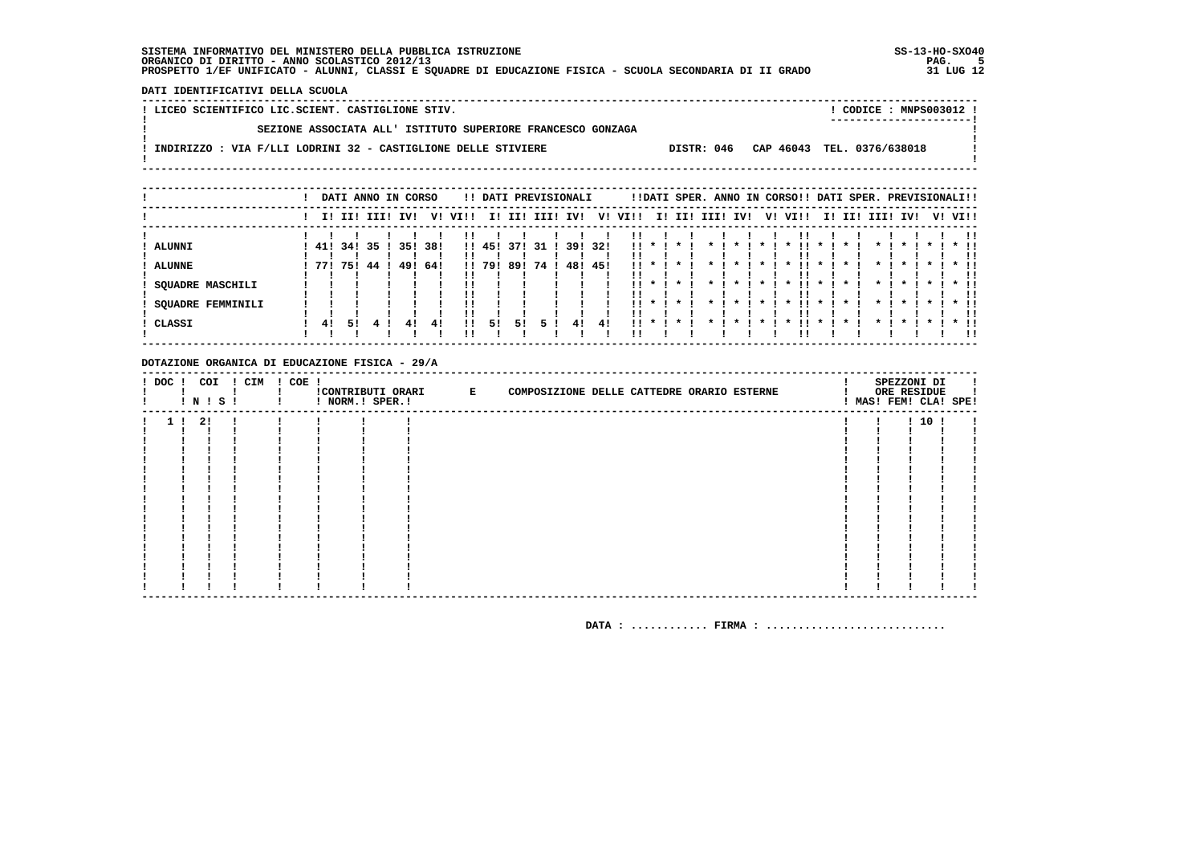DATI IDENTIFICATIVI DELLA SCUOLA

| ! LICEO SCIENTIFICO LIC.SCIENT. CASTIGLIONE STIV.                                                      | CODICE: MNPS003012 !<br>---------------------- |
|--------------------------------------------------------------------------------------------------------|------------------------------------------------|
| SEZIONE ASSOCIATA ALL' ISTITUTO SUPERIORE FRANCESCO GONZAGA                                            |                                                |
| DISTR: 046 CAP 46043 TEL. 0376/638018<br>INDIRIZZO : VIA F/LLI LODRINI 32 - CASTIGLIONE DELLE STIVIERE |                                                |
|                                                                                                        |                                                |

|                                    |              |    |             | DATI ANNO IN CORSO |      |          |        |     | !! DATI PREVISIONALI |         |     |                    |               |                                    |      |                    |              | !!DATI SPER. ANNO IN CORSO!! DATI SPER. PREVISIONALI!! |              |         |                    |                    |           |         |                        |
|------------------------------------|--------------|----|-------------|--------------------|------|----------|--------|-----|----------------------|---------|-----|--------------------|---------------|------------------------------------|------|--------------------|--------------|--------------------------------------------------------|--------------|---------|--------------------|--------------------|-----------|---------|------------------------|
|                                    |              |    | I! II! III! | IVI                | v!   | VI!!     | II.    | III | IIII                 | IV!     | V!  | VI!!               | II.           | III                                | IIII | IVI                | V!           | VI!!                                                   |              | II III  | III! IV!           |                    |           | V! VI!! |                        |
| ALUNNI                             | 41! 34! 35 ! |    |             | 351                | -38! |          | !! 45! | 371 | 31 I                 | 39! 32! |     |                    |               | $11 * 1 * 1$                       |      | $\mathbf{x}$       | $\star$ 1    | $\mathbf{x}$                                           | $\mathbf{x}$ |         | $\mathbf{x}$ i     | $\mathbf{x}$       |           |         | !!<br>$*$ 11           |
| <b>ALUNNE</b>                      | 771 751      |    | 44 !        | 49!                | 64!  |          | !! 79! |     | 89! 74!              | 48!     | 45! | ''<br>$11 *$<br>ΙI |               |                                    |      |                    |              |                                                        |              |         |                    |                    |           |         | !!<br>. .<br>          |
| <b>SQUADRE MASCHILI</b>            |              |    |             |                    |      | !!       |        |     |                      |         |     | !!                 | $11 \times 1$ | $\cdot$                            |      | $\cdot$            | $\star$ 1    | .<br>$\cdot$                                           | $\cdot$      | $\star$ | $\star$ I          | $\cdot$            | $\star$ 1 |         | $*$ 11<br>!!           |
| <b>SQUADRE FEMMINILI</b><br>CLASSI | 41           | 51 |             | 41                 | 41   | !!<br>!! | 5!     | 51  |                      | 41      | 41  | . .<br>11.         | $\mathbf{x}$  | $\mathbf{x}$<br>$\boldsymbol{\pi}$ |      | $\boldsymbol{\pi}$ | $\mathbf{x}$ | . .<br>$\mathbf{x}$                                    | $\mathbf{x}$ |         | $\boldsymbol{\pi}$ | $\boldsymbol{\pi}$ |           |         | $*$ !!<br>!!<br>$*$ 11 |
|                                    |              |    |             |                    |      |          |        |     |                      |         |     |                    |               |                                    |      |                    |              |                                                        |              |         |                    |                    |           |         | . .                    |

#### DOTAZIONE ORGANICA DI EDUCAZIONE FISICA - 29/A

|                | ! N ! S ! | ! DOC ! COI ! CIM ! COE ! | ! NORM.! SPER.! | CONTRIBUTI ORARI E | COMPOSIZIONE DELLE CATTEDRE ORARIO ESTERNE |  | SPEZZONI DI<br>ORE RESIDUE | ! MAS! FEM! CLA! SPE! |
|----------------|-----------|---------------------------|-----------------|--------------------|--------------------------------------------|--|----------------------------|-----------------------|
| 1 <sub>1</sub> | 2!        |                           |                 |                    |                                            |  | 1101                       |                       |
|                |           |                           |                 |                    |                                            |  |                            |                       |
|                |           |                           |                 |                    |                                            |  |                            |                       |
|                |           |                           |                 |                    |                                            |  |                            |                       |
|                |           |                           |                 |                    |                                            |  |                            |                       |
|                |           |                           |                 |                    |                                            |  |                            |                       |
|                |           |                           |                 |                    |                                            |  |                            |                       |
|                |           |                           |                 |                    |                                            |  |                            |                       |
|                |           |                           |                 |                    |                                            |  |                            |                       |
|                |           |                           |                 |                    |                                            |  |                            |                       |
|                |           |                           |                 |                    |                                            |  |                            |                       |
|                |           |                           |                 |                    |                                            |  |                            |                       |
|                |           |                           |                 |                    |                                            |  |                            |                       |
|                |           |                           |                 |                    |                                            |  |                            |                       |
|                |           |                           |                 |                    |                                            |  |                            |                       |
|                |           |                           |                 |                    |                                            |  |                            |                       |
|                |           |                           |                 |                    |                                            |  |                            |                       |
|                |           |                           |                 |                    |                                            |  |                            |                       |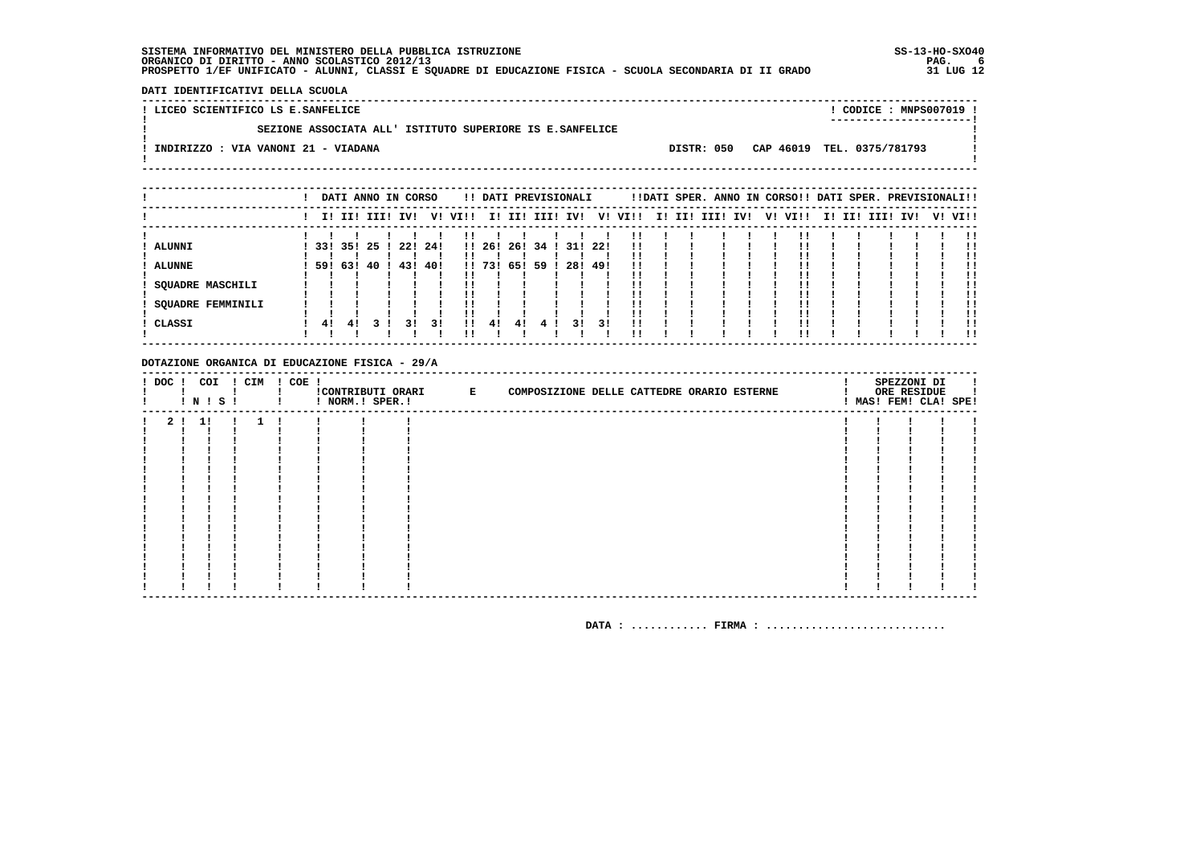- 1  $\mathbf{I}$ 

 $\mathbf{I}$ 

**Contract Contract** 

DATI IDENTIFICATIVI DELLA SCUOLA 

! LICEO SCIENTIFICO LS E.SANFELICE

 $\mathbf{I}$ 

 $\mathbf{I}$ 

-

! CODICE : MNPS007019 ! 

SEZIONE ASSOCIATA ALL' ISTITUTO SUPERIORE IS E.SANFELICE

.<br>! INDIRIZZO : VIA VANONI 21 - VIADANA  $\mathbf{I}$ 

DISTR: 050 CAP 46019 TEL. 0375/781793

|                          |         |    |                 | DATI ANNO IN CORSO |     |         |         |     |      | !! DATI PREVISIONALI |     |      |  | !!DATI SPER. ANNO IN CORSO!! DATI SPER. PREVISIONALI!! |    |      |  |             |     |         |
|--------------------------|---------|----|-----------------|--------------------|-----|---------|---------|-----|------|----------------------|-----|------|--|--------------------------------------------------------|----|------|--|-------------|-----|---------|
|                          |         |    | I! II! III! IV! |                    |     | V! VI!! |         |     |      | I! II! III! IV!      | V!  | VI!! |  | I! II! III! IV!                                        | V! | VI!! |  | I! II! III! | IV! | V! VI!! |
|                          |         |    |                 |                    |     |         |         |     |      |                      |     |      |  |                                                        |    |      |  |             |     | !!      |
| <b>ALUNNI</b>            | 331 351 |    | -25             | 221                | 24! |         | 11, 261 | 26! | 34 ! | 31!                  | 22! | 11   |  |                                                        |    |      |  |             |     |         |
|                          |         |    |                 |                    |     |         |         |     |      |                      |     |      |  |                                                        |    |      |  |             |     |         |
| <b>ALUNNE</b>            |         |    | 59! 63! 40      | 43! 40!            |     |         | 11731   | 65! | -59  | 28!                  | 49! | 11   |  |                                                        |    |      |  |             |     | !!      |
|                          |         |    |                 |                    |     |         |         |     |      |                      |     | !!   |  |                                                        |    |      |  |             |     | !!      |
| <b>SQUADRE MASCHILI</b>  |         |    |                 |                    |     |         |         |     |      |                      |     | !!   |  |                                                        |    |      |  |             |     |         |
|                          |         |    |                 |                    |     |         |         |     |      |                      |     |      |  |                                                        |    |      |  |             |     |         |
| <b>SQUADRE FEMMINILI</b> |         |    |                 |                    |     |         |         |     |      |                      |     | !!   |  |                                                        |    |      |  |             |     | !!      |
|                          |         |    |                 |                    |     |         |         |     |      |                      |     | !!   |  |                                                        |    |      |  |             |     |         |
| ! CLASSI                 | 41      | 41 |                 | 31                 | 31  | . .     | 4!      | 41  |      | 31                   | 31  | 11   |  |                                                        |    |      |  |             |     |         |
|                          |         |    |                 |                    |     |         |         |     |      |                      |     | !!   |  |                                                        |    |      |  |             |     | !!      |

#### DOTAZIONE ORGANICA DI EDUCAZIONE FISICA - 29/A

| ! DOC ! COI ! CIM ! COE ! |         | <b>!N!S!</b> |      |              | ! NORM.! SPER.! | CONTRIBUTI ORARI E | COMPOSIZIONE DELLE CATTEDRE ORARIO ESTERNE |  | SPEZZONI DI<br>ORE RESIDUE<br>! MAS! FEM! CLA! SPE! |  |
|---------------------------|---------|--------------|------|--------------|-----------------|--------------------|--------------------------------------------|--|-----------------------------------------------------|--|
|                           | 2 ! 1 ! |              | - 11 | $\mathbf{1}$ |                 |                    |                                            |  |                                                     |  |
|                           |         |              |      |              |                 |                    |                                            |  |                                                     |  |
|                           |         |              |      |              |                 |                    |                                            |  |                                                     |  |
|                           |         |              |      |              |                 |                    |                                            |  |                                                     |  |
|                           |         |              |      |              |                 |                    |                                            |  |                                                     |  |
|                           |         |              |      |              |                 |                    |                                            |  |                                                     |  |
|                           |         |              |      |              |                 |                    |                                            |  |                                                     |  |
|                           |         |              |      |              |                 |                    |                                            |  |                                                     |  |
|                           |         |              |      |              |                 |                    |                                            |  |                                                     |  |
|                           |         |              |      |              |                 |                    |                                            |  |                                                     |  |
|                           |         |              |      |              |                 |                    |                                            |  |                                                     |  |
|                           |         |              |      |              |                 |                    |                                            |  |                                                     |  |
|                           |         |              |      |              |                 |                    |                                            |  |                                                     |  |
|                           |         |              |      |              |                 |                    |                                            |  |                                                     |  |
|                           |         |              |      |              |                 |                    |                                            |  |                                                     |  |
|                           |         |              |      |              |                 |                    |                                            |  |                                                     |  |
|                           |         |              |      |              |                 |                    |                                            |  |                                                     |  |
|                           |         |              |      |              |                 |                    |                                            |  |                                                     |  |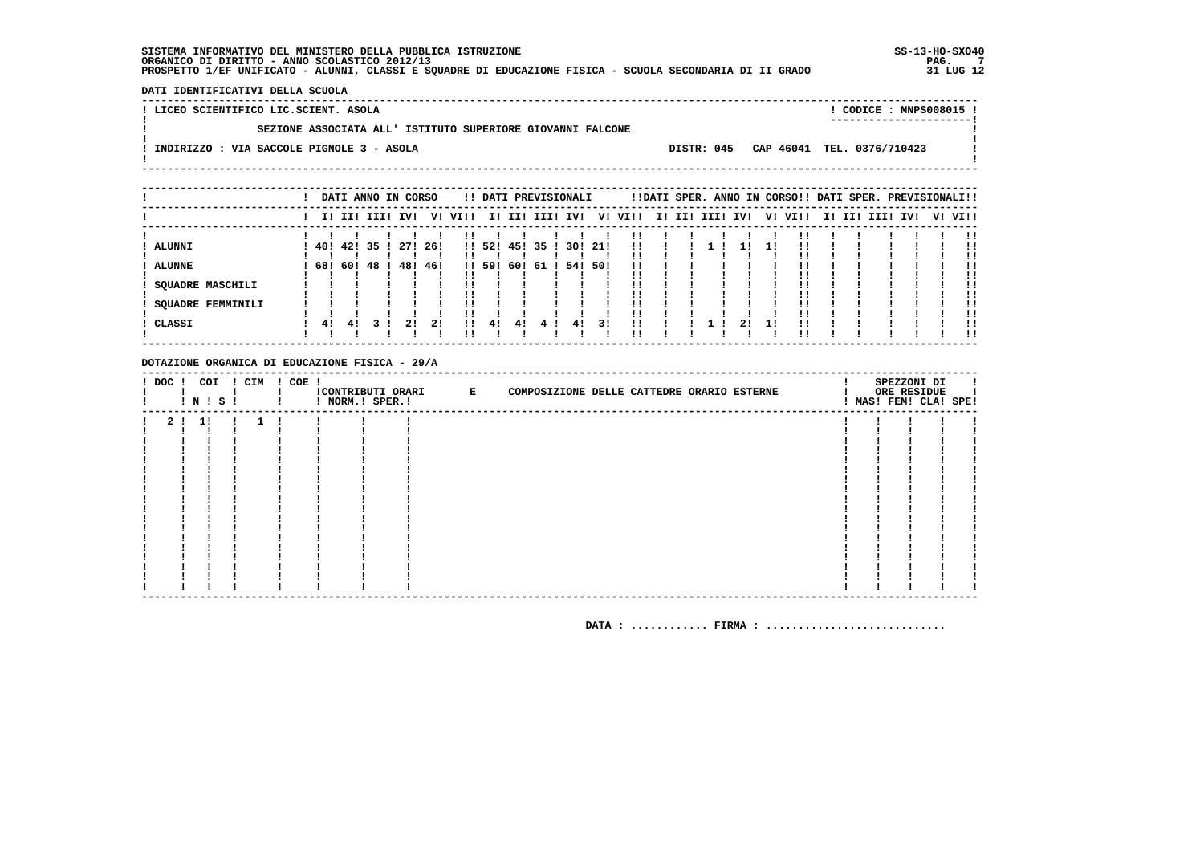$\overline{\phantom{a}}$  $\mathbf{I}$ 

 $\mathbf{I}$ 

**Contract Contract** 

! CODICE : MNPS008015 ! 

DATI IDENTIFICATIVI DELLA SCUOLA 

 $\mathbf{I}$ 

 $\mathbf{I}$ 

-

! LICEO SCIENTIFICO LIC.SCIENT. ASOLA SEZIONE ASSOCIATA ALL' ISTITUTO SUPERIORE GIOVANNI FALCONE .<br>! INDIRIZZO : VIA SACCOLE PIGNOLE 3 - ASOLA

DISTR: 045 CAP 46041 TEL. 0376/710423

 $\mathbf{I}$ 

|                   |     |      | DATI ANNO IN CORSO |         |     |         |        |     | !! DATI PREVISIONALI |         |     |                         |  |             |     |     | !!DATI SPER. ANNO IN CORSO!! DATI SPER. PREVISIONALI!! |        |          |  |         |
|-------------------|-----|------|--------------------|---------|-----|---------|--------|-----|----------------------|---------|-----|-------------------------|--|-------------|-----|-----|--------------------------------------------------------|--------|----------|--|---------|
|                   |     |      | I! II! III! IV!    |         |     | V! VI!! |        |     |                      |         |     | I! II! III! IV! V! VI!! |  | I! II! III! | IV! |     | V! VI!!                                                | I! II! | III! IV! |  | V! VI!! |
|                   |     |      |                    |         |     |         |        |     |                      |         |     |                         |  |             |     |     |                                                        |        |          |  |         |
| <b>ALUNNI</b>     |     |      | 40! 42! 35!        | 271 261 |     |         | !! 52! | 45! | 35 <sub>1</sub>      | 30! 21! |     | <br>!!                  |  |             |     | l I |                                                        |        |          |  | -11     |
| <b>ALUNNE</b>     | 681 | 60 ! | 48 !               | 48!     | 46! |         | !! 59! | 60! | -61                  | 54!     | 501 | !!                      |  |             |     |     |                                                        |        |          |  |         |
|                   |     |      |                    |         |     |         |        |     |                      |         |     |                         |  |             |     |     |                                                        |        |          |  | !!      |
| SOUADRE MASCHILI  |     |      |                    |         |     |         |        |     |                      |         |     | ' '                     |  |             |     |     |                                                        |        |          |  |         |
|                   |     |      |                    |         |     |         |        |     |                      |         |     | ! !                     |  |             |     |     |                                                        |        |          |  |         |
| SOUADRE FEMMINILI |     |      |                    |         |     |         |        |     |                      |         |     | !!                      |  |             |     |     |                                                        |        |          |  | . .     |
|                   |     |      |                    |         |     |         |        |     |                      |         |     | ' '                     |  |             |     |     |                                                        |        |          |  |         |
| ! CLASSI          | 41  | 41   |                    | 21      | 21  | 11      | 41     | 41  |                      | 41      | 31  | !!                      |  |             | 21  |     |                                                        |        |          |  |         |
|                   |     |      |                    |         |     |         |        |     |                      |         |     |                         |  |             |     |     |                                                        |        |          |  |         |

#### DOTAZIONE ORGANICA DI EDUCAZIONE FISICA - 29/A

| ! DOC ! COI ! CIM ! COE ! |         | ! N ! S ! |  |  | ! NORM.! SPER.! | CONTRIBUTI ORARI E | COMPOSIZIONE DELLE CATTEDRE ORARIO ESTERNE |  | SPEZZONI DI<br>ORE RESIDUE<br>! MAS! FEM! CLA! SPE! | л. |
|---------------------------|---------|-----------|--|--|-----------------|--------------------|--------------------------------------------|--|-----------------------------------------------------|----|
|                           | 2 ! 1 ! |           |  |  |                 |                    |                                            |  |                                                     |    |
|                           |         |           |  |  |                 |                    |                                            |  |                                                     |    |
|                           |         |           |  |  |                 |                    |                                            |  |                                                     |    |
|                           |         |           |  |  |                 |                    |                                            |  |                                                     |    |
|                           |         |           |  |  |                 |                    |                                            |  |                                                     |    |
|                           |         |           |  |  |                 |                    |                                            |  |                                                     |    |
|                           |         |           |  |  |                 |                    |                                            |  |                                                     |    |
|                           |         |           |  |  |                 |                    |                                            |  |                                                     |    |
|                           |         |           |  |  |                 |                    |                                            |  |                                                     |    |
|                           |         |           |  |  |                 |                    |                                            |  |                                                     |    |
|                           |         |           |  |  |                 |                    |                                            |  |                                                     |    |
|                           |         |           |  |  |                 |                    |                                            |  |                                                     |    |
|                           |         |           |  |  |                 |                    |                                            |  |                                                     |    |
|                           |         |           |  |  |                 |                    |                                            |  |                                                     |    |
|                           |         |           |  |  |                 |                    |                                            |  |                                                     |    |
|                           |         |           |  |  |                 |                    |                                            |  |                                                     |    |
|                           |         |           |  |  |                 |                    |                                            |  |                                                     |    |
|                           |         |           |  |  |                 |                    |                                            |  |                                                     |    |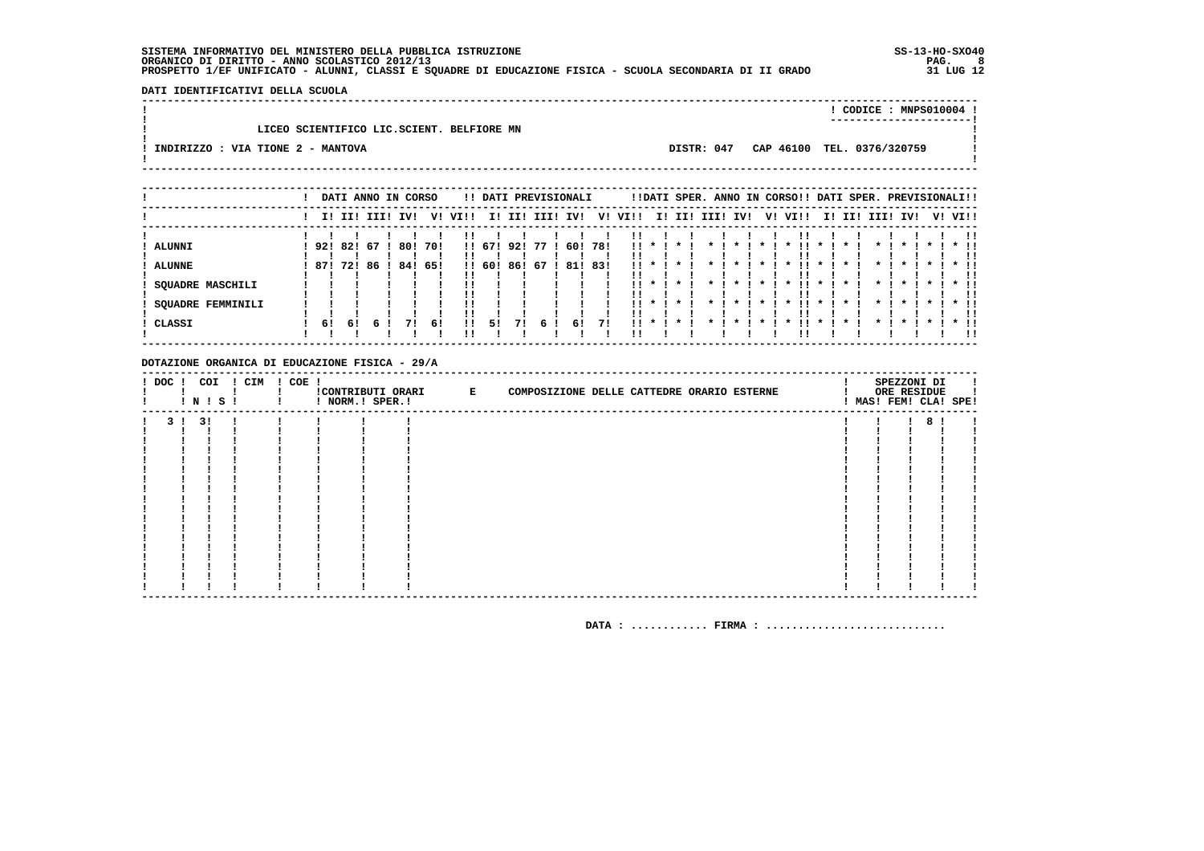DATI IDENTIFICATIVI DELLA SCUOLA 

|                                   |                                           |            | CODICE: MNPS010004 !       |  |
|-----------------------------------|-------------------------------------------|------------|----------------------------|--|
|                                   | LICEO SCIENTIFICO LIC.SCIENT. BELFIORE MN |            |                            |  |
| INDIRIZZO : VIA TIONE 2 - MANTOVA |                                           | DISTR: 047 | CAP 46100 TEL. 0376/320759 |  |
|                                   |                                           |            |                            |  |

|                   |            |     |    | DATI ANNO IN CORSO |     |         |        |     | !! DATI PREVISIONALI |     |     |                 |              |         |                 |                    |                    |                 |                           |                 |                    | !!DATI SPER. ANNO IN CORSO!! DATI SPER. PREVISIONALI!! |                    |               |         |                    |
|-------------------|------------|-----|----|--------------------|-----|---------|--------|-----|----------------------|-----|-----|-----------------|--------------|---------|-----------------|--------------------|--------------------|-----------------|---------------------------|-----------------|--------------------|--------------------------------------------------------|--------------------|---------------|---------|--------------------|
|                   |            |     |    | I! II! III! IV!    |     | V! VI!! |        |     | I! II! III! IV!      |     |     | V! VI!!         |              |         |                 | I! II! III! IV!    |                    |                 | V! VI!!                   |                 |                    | I! II! III!                                            | IVI                |               | V! VI!! |                    |
|                   |            |     |    |                    |     |         |        |     |                      |     |     |                 |              |         |                 |                    |                    |                 |                           |                 |                    |                                                        |                    |               |         |                    |
| ALUNNI            | 92! 82! 67 |     |    | 80!                | 70! |         | !! 67! | 92! | 77                   | 60! | 781 |                 | $11 * 1$     | $\cdot$ |                 | $\mathbf{x}$       |                    |                 |                           | $\mathbf{x}$    |                    |                                                        |                    |               |         | $*$ !!             |
|                   |            |     |    |                    |     |         |        |     |                      |     |     |                 |              |         |                 |                    |                    |                 |                           |                 |                    |                                                        |                    |               |         |                    |
| <b>ALUNNE</b>     | 871        | 721 | 86 | 84!                | 65! |         | !! 60! | 86! | -67                  | 81! | 83! | $\mathbf{11}$ * |              |         |                 |                    |                    |                 |                           |                 |                    |                                                        |                    |               |         |                    |
|                   |            |     |    |                    |     |         |        |     |                      |     |     |                 |              |         |                 |                    |                    |                 |                           |                 |                    |                                                        |                    |               |         |                    |
| SOUADRE MASCHILI  |            |     |    |                    |     |         |        |     |                      |     |     |                 | $11 * 1$     | * 1     | $\star$ $\cdot$ | $\star$ $\cdot$    |                    | $\star$ $\cdot$ | . .<br>$\mathbf{x}$       | $\star$ $\cdot$ | $\boldsymbol{\pi}$ | $\mathbf{x}$ .                                         | $\boldsymbol{\pi}$ | $\mathbf x$ . |         | $*$ $\blacksquare$ |
|                   |            |     |    |                    |     |         |        |     |                      |     |     |                 |              |         |                 |                    |                    |                 |                           |                 |                    |                                                        |                    |               |         |                    |
| SQUADRE FEMMINILI |            |     |    |                    |     |         |        |     |                      |     |     | . .             | $\mathbf{x}$ |         |                 | $\boldsymbol{\pi}$ | $\boldsymbol{\pi}$ |                 | . .<br>$\boldsymbol{\pi}$ | $\mathbf{x}$    |                    |                                                        | $\mathbf{r}$       |               |         | $*$ 11             |
|                   |            |     |    |                    |     |         |        |     |                      |     |     | . .             |              |         |                 |                    |                    |                 |                           |                 |                    |                                                        |                    |               |         | -11                |
| CLASSI            | 61         | 61  |    |                    | 61  | -11     | 51     | 71  | 6.                   | 6!  | 71  | 11.             | $\cdot$      | $\star$ | $\star$         | $\cdot$            |                    |                 | $\boldsymbol{\pi}$        | $\star$         |                    |                                                        |                    | $\star$       |         | $*$ 11             |
|                   |            |     |    |                    |     |         |        |     |                      |     |     |                 |              |         |                 |                    |                    |                 |                           |                 |                    |                                                        |                    |               |         |                    |

#### DOTAZIONE ORGANICA DI EDUCAZIONE FISICA - 29/A

| ! DOC ! | COI<br>! N ! S ! | ! CIM | $! COE$ ! | ! NORM.! SPER.! | !CONTRIBUTI ORARI E | COMPOSIZIONE DELLE CATTEDRE ORARIO ESTERNE |  | SPEZZONI DI<br>ORE RESIDUE<br>! MAS! FEM! CLA! SPE! |  |
|---------|------------------|-------|-----------|-----------------|---------------------|--------------------------------------------|--|-----------------------------------------------------|--|
| 31      | 31               |       |           |                 |                     |                                            |  |                                                     |  |
|         |                  |       |           |                 |                     |                                            |  |                                                     |  |
|         |                  |       |           |                 |                     |                                            |  |                                                     |  |
|         |                  |       |           |                 |                     |                                            |  |                                                     |  |
|         |                  |       |           |                 |                     |                                            |  |                                                     |  |
|         |                  |       |           |                 |                     |                                            |  |                                                     |  |
|         |                  |       |           |                 |                     |                                            |  |                                                     |  |
|         |                  |       |           |                 |                     |                                            |  |                                                     |  |
|         |                  |       |           |                 |                     |                                            |  |                                                     |  |
|         |                  |       |           |                 |                     |                                            |  |                                                     |  |
|         |                  |       |           |                 |                     |                                            |  |                                                     |  |
|         |                  |       |           |                 |                     |                                            |  |                                                     |  |
|         |                  |       |           |                 |                     |                                            |  |                                                     |  |
|         |                  |       |           |                 |                     |                                            |  |                                                     |  |
|         |                  |       |           |                 |                     |                                            |  |                                                     |  |
|         |                  |       |           |                 |                     |                                            |  |                                                     |  |
|         |                  |       |           |                 |                     |                                            |  |                                                     |  |
|         |                  |       |           |                 |                     |                                            |  |                                                     |  |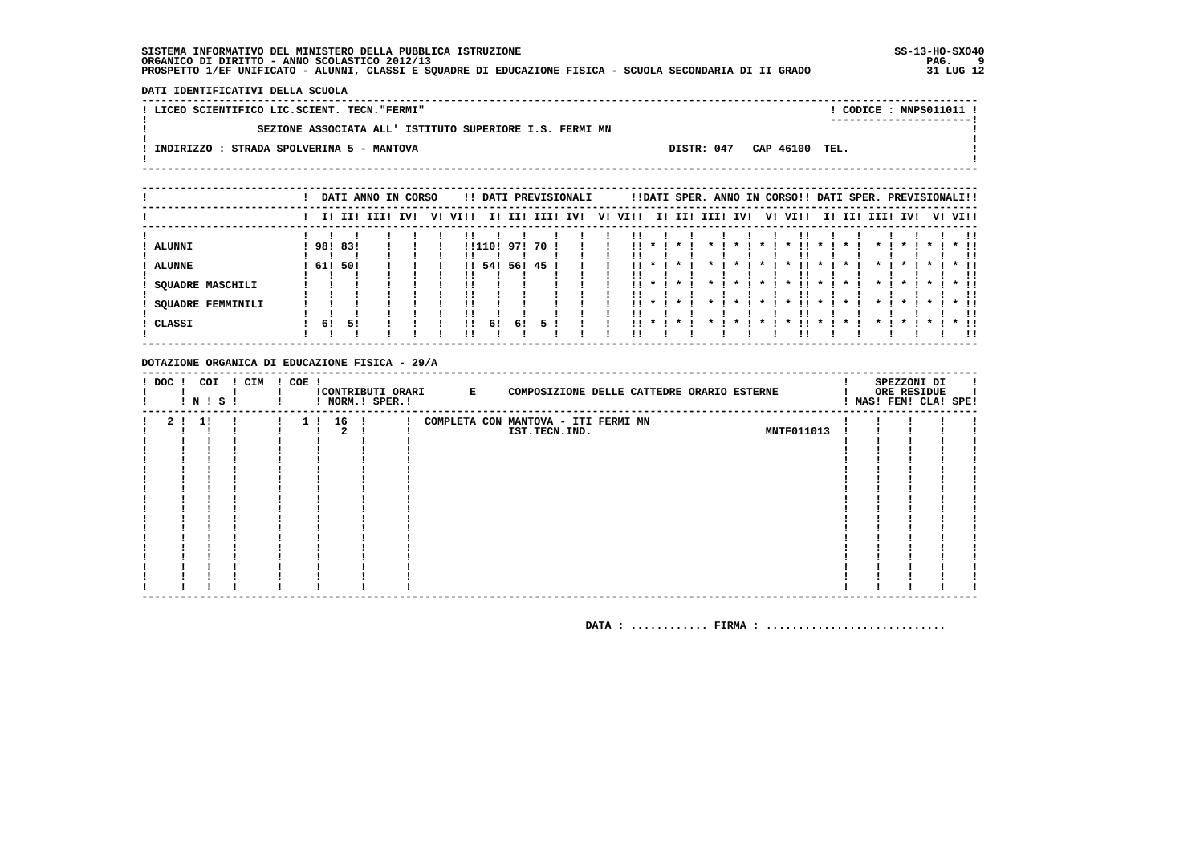DATI IDENTIFICATIVI DELLA SCUOLA

| ! LICEO SCIENTIFICO LIC.SCIENT. TECN."FERMI"            |                | ! CODICE : MNPS011011 ! |
|---------------------------------------------------------|----------------|-------------------------|
|                                                         |                | ----------------------- |
| SEZIONE ASSOCIATA ALL' ISTITUTO SUPERIORE I.S. FERMI MN |                |                         |
| DISTR: 047<br>INDIRIZZO : STRADA SPOLVERINA 5 - MANTOVA | CAP 46100 TEL. |                         |
|                                                         |                |                         |
|                                                         |                |                         |

|                          |         |     | DATI ANNO IN CORSO |  |              |      |        | !! DATI PREVISIONALI |  |         |            |              |                    |                    | !!DATI SPER. ANNO IN CORSO!! DATI SPER. PREVISIONALI!! |                     |                 |                    |         |         |
|--------------------------|---------|-----|--------------------|--|--------------|------|--------|----------------------|--|---------|------------|--------------|--------------------|--------------------|--------------------------------------------------------|---------------------|-----------------|--------------------|---------|---------|
|                          |         |     | I! II! III! IV!    |  | V! VI!!      |      |        | I! II! III! IV!      |  | V! VI!! |            |              | I! II! III! IV!    |                    | V! VI!!                                                |                     | I! II! III! IV! |                    |         | V! VI!! |
|                          |         |     |                    |  |              |      |        |                      |  |         |            |              |                    |                    |                                                        |                     |                 |                    |         | !!      |
| ALUNNI                   | 98! 83! |     |                    |  |              |      |        | !!110! 97! 70 !      |  | 11.     |            | $\mathbf{x}$ |                    |                    | $\boldsymbol{\ast}$                                    |                     |                 | $\boldsymbol{\pi}$ |         | $*$ !!  |
|                          |         |     |                    |  |              |      |        |                      |  | ' '     |            |              |                    |                    |                                                        |                     |                 |                    |         | ΙI      |
| <b>ALUNNE</b>            | 61!     | 50! |                    |  | $\mathbf{H}$ | 54 ! | 56! 45 |                      |  | !!      |            |              |                    |                    |                                                        |                     |                 |                    |         | * !!    |
|                          |         |     |                    |  |              |      |        |                      |  |         |            |              |                    |                    |                                                        |                     |                 |                    |         | !!      |
| <b>SQUADRE MASCHILI</b>  |         |     |                    |  |              |      |        |                      |  |         | $11 * 1 *$ |              | $\mathbf{x}$       | $\mathbf{x}$ .     | $\mathbf{x}$                                           | $\mathbf{x}$        | $\star$ I       | $\mathbf{x}$       | $\cdot$ | $*$ 11  |
|                          |         |     |                    |  |              |      |        |                      |  | ' '     |            |              |                    |                    |                                                        |                     |                 |                    |         | !!      |
| <b>SQUADRE FEMMINILI</b> |         |     |                    |  |              |      |        |                      |  | . .     |            |              | $\boldsymbol{\pi}$ | $\boldsymbol{\pi}$ | $\boldsymbol{\ast}$                                    | $\boldsymbol{\pi}$  |                 | $\boldsymbol{\pi}$ |         | $*$ 11  |
|                          |         |     |                    |  |              |      |        |                      |  | . .     |            |              |                    |                    |                                                        |                     |                 |                    |         | . .     |
| ! CLASSI                 | 61      | 51  |                    |  | !!           | 61   | 61     |                      |  | 11.     | $\star$    | $\star$      | $\star$            |                    | $\boldsymbol{\ast}$                                    | $\boldsymbol{\ast}$ | $\mathbf{x}$    | $\boldsymbol{\pi}$ |         | $*$ 11  |
|                          |         |     |                    |  |              |      |        |                      |  | !!      |            |              |                    |                    |                                                        |                     |                 |                    |         |         |

#### DOTAZIONE ORGANICA DI EDUCAZIONE FISICA - 29/A

| ! DOC !        |     | COI<br>! N ! S ! | ! CIM ! COE ! |                       | ! NORM.! SPER.! | !CONTRIBUTI ORARI E | COMPOSIZIONE DELLE CATTEDRE ORARIO ESTERNE |            |  | SPEZZONI DI<br>ORE RESIDUE<br>! MAS! FEM! CLA! SPE! |  |
|----------------|-----|------------------|---------------|-----------------------|-----------------|---------------------|--------------------------------------------|------------|--|-----------------------------------------------------|--|
| 2 <sub>1</sub> | -11 |                  |               | 16 <sub>1</sub><br>11 |                 |                     | COMPLETA CON MANTOVA - ITI FERMI MN        |            |  |                                                     |  |
|                |     |                  |               |                       |                 |                     | IST.TECN.IND.                              | MNTF011013 |  |                                                     |  |
|                |     |                  |               |                       |                 |                     |                                            |            |  |                                                     |  |
|                |     |                  |               |                       |                 |                     |                                            |            |  |                                                     |  |
|                |     |                  |               |                       |                 |                     |                                            |            |  |                                                     |  |
|                |     |                  |               |                       |                 |                     |                                            |            |  |                                                     |  |
|                |     |                  |               |                       |                 |                     |                                            |            |  |                                                     |  |
|                |     |                  |               |                       |                 |                     |                                            |            |  |                                                     |  |
|                |     |                  |               |                       |                 |                     |                                            |            |  |                                                     |  |
|                |     |                  |               |                       |                 |                     |                                            |            |  |                                                     |  |
|                |     |                  |               |                       |                 |                     |                                            |            |  |                                                     |  |
|                |     |                  |               |                       |                 |                     |                                            |            |  |                                                     |  |
|                |     |                  |               |                       |                 |                     |                                            |            |  |                                                     |  |
|                |     |                  |               |                       |                 |                     |                                            |            |  |                                                     |  |
|                |     |                  |               |                       |                 |                     |                                            |            |  |                                                     |  |
|                |     |                  |               |                       |                 |                     |                                            |            |  |                                                     |  |
|                |     |                  |               |                       |                 |                     |                                            |            |  |                                                     |  |
|                |     |                  |               |                       |                 |                     |                                            |            |  |                                                     |  |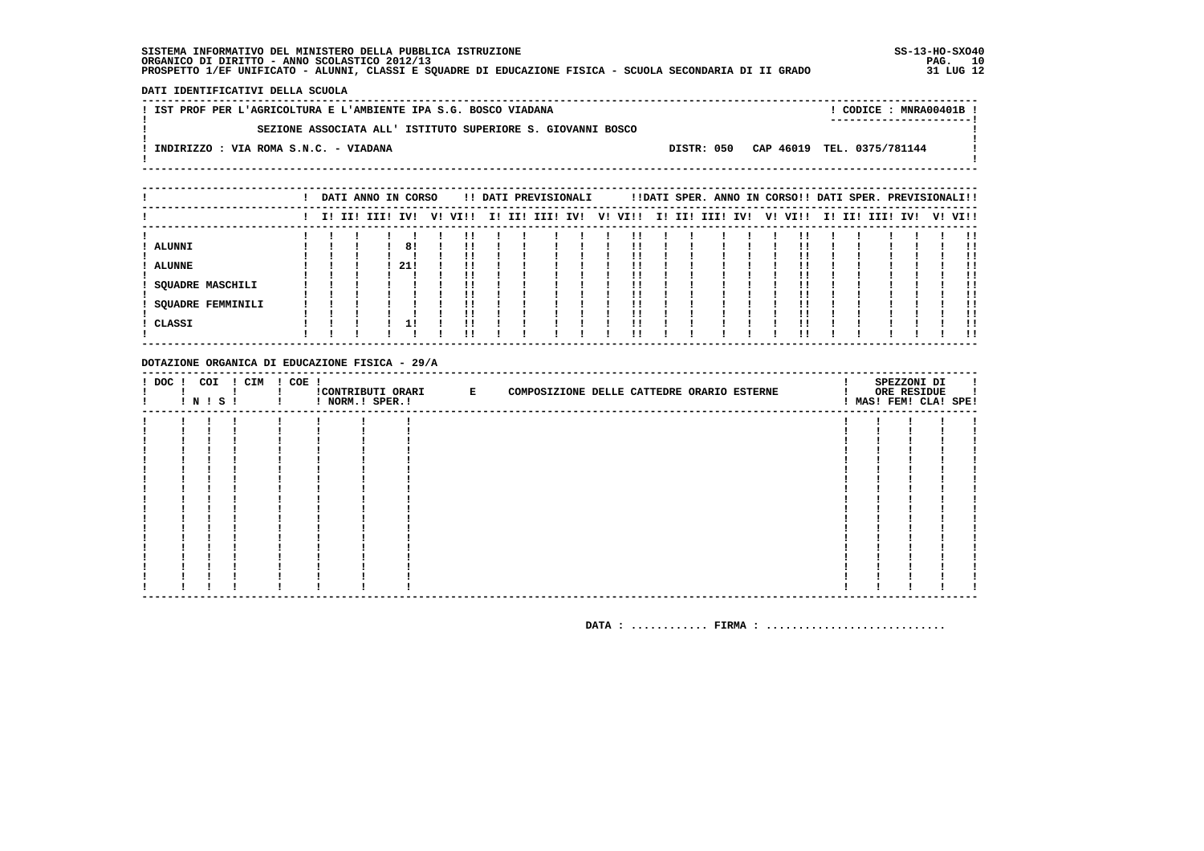DATI IDENTIFICATIVI DELLA SCUOLA

| ! IST PROF PER L'AGRICOLTURA E L'AMBIENTE IPA S.G. BOSCO VIADANA |  | CODICE: MNRA00401B                    |
|------------------------------------------------------------------|--|---------------------------------------|
| SEZIONE ASSOCIATA ALL' ISTITUTO SUPERIORE S. GIOVANNI BOSCO      |  |                                       |
| INDIRIZZO : VIA ROMA S.N.C. - VIADANA                            |  | DISTR: 050 CAP 46019 TEL. 0375/781144 |
|                                                                  |  |                                       |

|                          | DATI ANNO IN CORSO<br>!! DATI PREVISIONALI |  |  |                 |     |         |  | !!DATI SPER. ANNO IN CORSO!! DATI SPER. PREVISIONALI!! |                          |  |                         |  |  |                 |         |     |
|--------------------------|--------------------------------------------|--|--|-----------------|-----|---------|--|--------------------------------------------------------|--------------------------|--|-------------------------|--|--|-----------------|---------|-----|
|                          |                                            |  |  | I! II! III! IV! |     | V! VI!! |  |                                                        | I! II! III! IV!  V! VI!! |  | I! II! III! IV! V! VI!! |  |  | I! II! III! IV! | V! VI!! |     |
|                          |                                            |  |  |                 |     |         |  |                                                        |                          |  |                         |  |  |                 |         |     |
| <b>ALUNNI</b>            |                                            |  |  |                 | 81  |         |  |                                                        |                          |  |                         |  |  |                 |         |     |
|                          |                                            |  |  |                 |     |         |  |                                                        |                          |  |                         |  |  |                 |         | !!  |
| <b>ALUNNE</b>            |                                            |  |  |                 | 21! | !!      |  |                                                        |                          |  |                         |  |  |                 |         |     |
|                          |                                            |  |  |                 |     |         |  |                                                        |                          |  |                         |  |  |                 |         |     |
| <b>SQUADRE MASCHILI</b>  |                                            |  |  |                 |     | !!      |  |                                                        |                          |  |                         |  |  |                 |         | . . |
|                          |                                            |  |  |                 |     | ''      |  |                                                        |                          |  |                         |  |  |                 |         |     |
| <b>SQUADRE FEMMINILI</b> |                                            |  |  |                 |     |         |  |                                                        |                          |  |                         |  |  |                 |         |     |
|                          |                                            |  |  |                 |     | !!      |  |                                                        |                          |  |                         |  |  |                 |         | !!  |
| ! CLASSI                 |                                            |  |  |                 |     | !!      |  |                                                        |                          |  |                         |  |  |                 |         |     |
|                          |                                            |  |  |                 |     |         |  |                                                        |                          |  |                         |  |  |                 |         | . . |

#### DOTAZIONE ORGANICA DI EDUCAZIONE FISICA - 29/A

| $!$ DOC $!$ | COI<br>! N ! S ! | ! CIM | ! COE ! | ! NORM.! SPER.! | !CONTRIBUTI ORARI E | COMPOSIZIONE DELLE CATTEDRE ORARIO ESTERNE |  | SPEZZONI DI<br>ORE RESIDUE<br>! MAS! FEM! CLA! SPE! |  |
|-------------|------------------|-------|---------|-----------------|---------------------|--------------------------------------------|--|-----------------------------------------------------|--|
|             |                  |       |         |                 |                     |                                            |  |                                                     |  |
|             |                  |       |         |                 |                     |                                            |  |                                                     |  |
|             |                  |       |         |                 |                     |                                            |  |                                                     |  |
|             |                  |       |         |                 |                     |                                            |  |                                                     |  |
|             |                  |       |         |                 |                     |                                            |  |                                                     |  |
|             |                  |       |         |                 |                     |                                            |  |                                                     |  |
|             |                  |       |         |                 |                     |                                            |  |                                                     |  |
|             |                  |       |         |                 |                     |                                            |  |                                                     |  |
|             |                  |       |         |                 |                     |                                            |  |                                                     |  |
|             |                  |       |         |                 |                     |                                            |  |                                                     |  |
|             |                  |       |         |                 |                     |                                            |  |                                                     |  |
|             |                  |       |         |                 |                     |                                            |  |                                                     |  |
|             |                  |       |         |                 |                     |                                            |  |                                                     |  |
|             |                  |       |         |                 |                     |                                            |  |                                                     |  |
|             |                  |       |         |                 |                     |                                            |  |                                                     |  |
|             |                  |       |         |                 |                     |                                            |  |                                                     |  |
|             |                  |       |         |                 |                     |                                            |  |                                                     |  |
|             |                  |       |         |                 |                     |                                            |  |                                                     |  |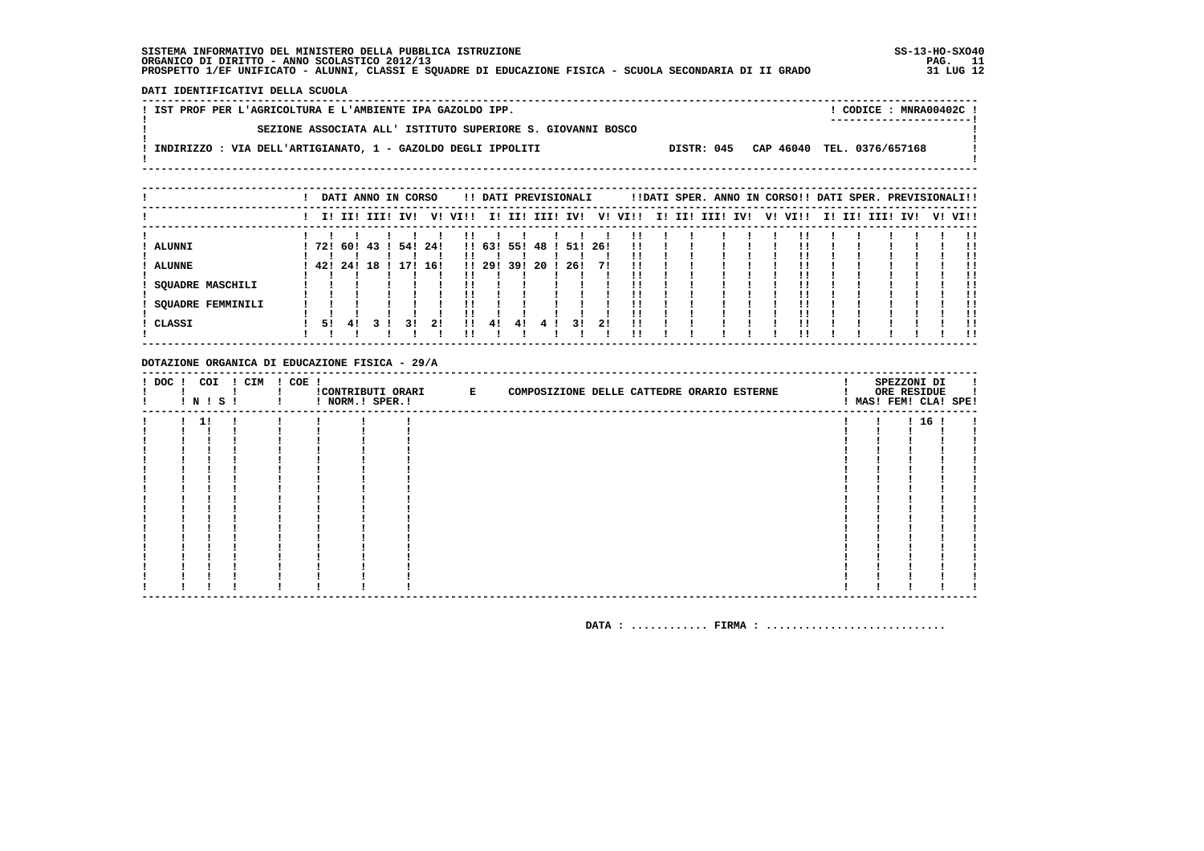DATI IDENTIFICATIVI DELLA SCUOLA

| ! IST PROF PER L'AGRICOLTURA E L'AMBIENTE IPA GAZOLDO IPP.   |  | $!$ CODICE : MNRA00402C $!$           |  |
|--------------------------------------------------------------|--|---------------------------------------|--|
|                                                              |  | -----------------------               |  |
| SEZIONE ASSOCIATA ALL' ISTITUTO SUPERIORE S. GIOVANNI BOSCO  |  |                                       |  |
| INDIRIZZO : VIA DELL'ARTIGIANATO, 1 - GAZOLDO DEGLI IPPOLITI |  | DISTR: 045 CAP 46040 TEL. 0376/657168 |  |
|                                                              |  |                                       |  |

|                   |     |             |     | DATI ANNO IN CORSO |      |         |            |      | !! DATI PREVISIONALI |         |                |         |  | !!DATI SPER. ANNO IN CORSO!! DATI SPER. PREVISIONALI!! |  |         |  |             |     |         |
|-------------------|-----|-------------|-----|--------------------|------|---------|------------|------|----------------------|---------|----------------|---------|--|--------------------------------------------------------|--|---------|--|-------------|-----|---------|
|                   |     | I! II! III! |     | IV!                |      | V! VI!! |            |      | I! II! III! IV!      |         |                | V! VI!! |  | I! II! III! IV!                                        |  | V! VI!! |  | I! II! III! | IV! | V! VI!! |
|                   |     |             |     |                    |      |         |            |      |                      |         |                |         |  |                                                        |  |         |  |             |     | !!      |
| <b>ALUNNI</b>     | 721 | 60 !        | 431 | 54!                | -24! |         | !! 63! 55! |      | 48 !                 | 51! 26! |                | !!      |  |                                                        |  |         |  |             |     | !!      |
| <b>ALUNNE</b>     | 421 | 24!         | 18  | 171                | 16!  |         | !! 29!     | -39! | 20                   | 26!     | 71             |         |  |                                                        |  |         |  |             |     |         |
| SQUADRE MASCHILI  |     |             |     |                    |      |         |            |      |                      |         |                |         |  |                                                        |  |         |  |             |     | !!      |
| SQUADRE FEMMINILI |     |             |     |                    |      |         |            |      |                      |         |                |         |  |                                                        |  |         |  |             |     | !!      |
|                   |     |             |     |                    |      |         |            |      |                      |         |                | . .     |  |                                                        |  |         |  |             |     | !!      |
| CLASSI            | 51  | 41          |     | 31                 | 21   | 11      | 41         | 41   |                      | 3 I     | 2 <sub>1</sub> | !!      |  |                                                        |  |         |  |             |     | . .     |

#### DOTAZIONE ORGANICA DI EDUCAZIONE FISICA - 29/A

| $!$ DOC $!$ |    | COI<br>! N ! S ! | ! CIM | ! COE ! | ! NORM.! SPER.! | !CONTRIBUTI ORARI E | COMPOSIZIONE DELLE CATTEDRE ORARIO ESTERNE |  |  |  | SPEZZONI DI<br>ORE RESIDUE | л.<br>! MAS! FEM! CLA! SPE! |
|-------------|----|------------------|-------|---------|-----------------|---------------------|--------------------------------------------|--|--|--|----------------------------|-----------------------------|
|             | 11 |                  |       |         |                 |                     |                                            |  |  |  | 1161                       |                             |
|             |    |                  |       |         |                 |                     |                                            |  |  |  |                            |                             |
|             |    |                  |       |         |                 |                     |                                            |  |  |  |                            |                             |
|             |    |                  |       |         |                 |                     |                                            |  |  |  |                            |                             |
|             |    |                  |       |         |                 |                     |                                            |  |  |  |                            |                             |
|             |    |                  |       |         |                 |                     |                                            |  |  |  |                            |                             |
|             |    |                  |       |         |                 |                     |                                            |  |  |  |                            |                             |
|             |    |                  |       |         |                 |                     |                                            |  |  |  |                            |                             |
|             |    |                  |       |         |                 |                     |                                            |  |  |  |                            |                             |
|             |    |                  |       |         |                 |                     |                                            |  |  |  |                            |                             |
|             |    |                  |       |         |                 |                     |                                            |  |  |  |                            |                             |
|             |    |                  |       |         |                 |                     |                                            |  |  |  |                            |                             |
|             |    |                  |       |         |                 |                     |                                            |  |  |  |                            |                             |
|             |    |                  |       |         |                 |                     |                                            |  |  |  |                            |                             |
|             |    |                  |       |         |                 |                     |                                            |  |  |  |                            |                             |
|             |    |                  |       |         |                 |                     |                                            |  |  |  |                            |                             |
|             |    |                  |       |         |                 |                     |                                            |  |  |  |                            |                             |
|             |    |                  |       |         |                 |                     |                                            |  |  |  |                            |                             |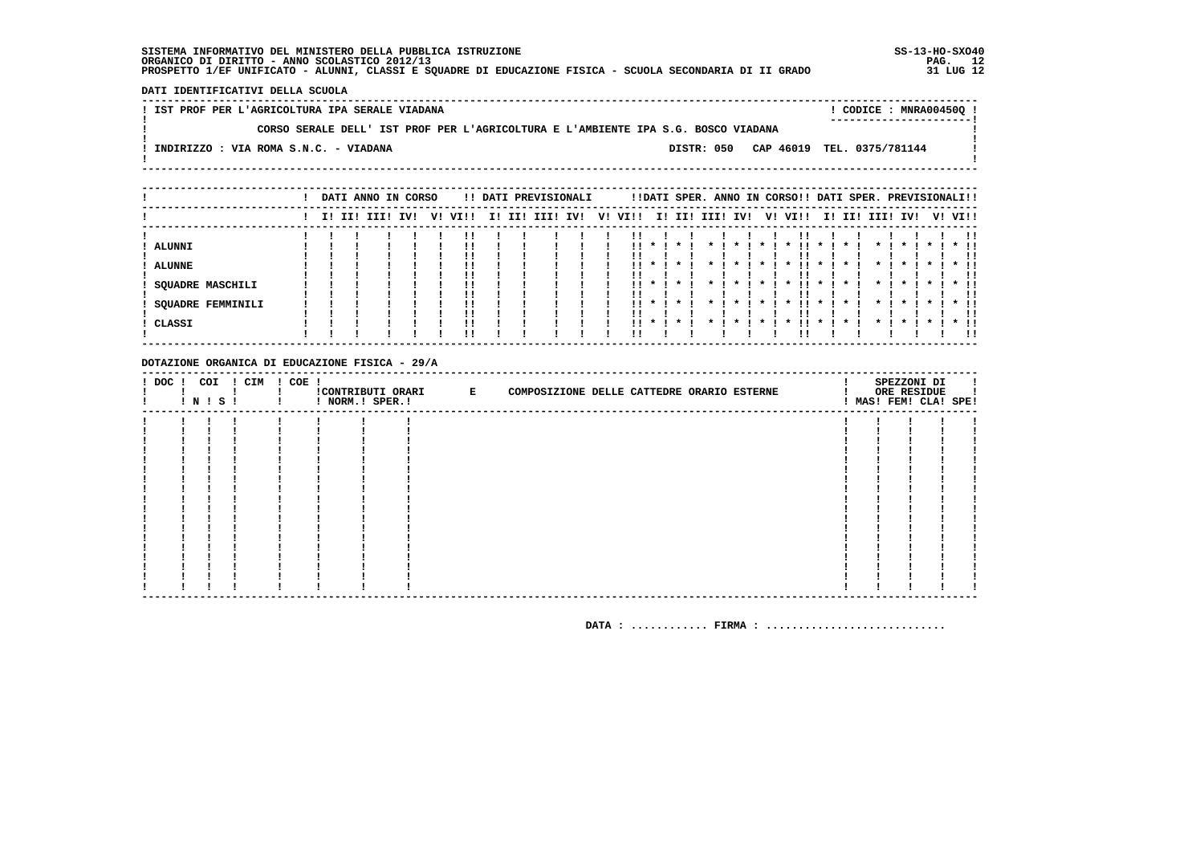DATI IDENTIFICATIVI DELLA SCUOLA

! IST PROF PER L'AGRICOLTURA IPA SERALE VIADANA ! CODICE : MNRA00450Q !  $\mathbf{I}$ CORSO SERALE DELL' IST PROF PER L'AGRICOLTURA E L'AMBIENTE IPA S.G. BOSCO VIADANA  $\blacksquare$ - 1  $\mathbf{I}$ -: INDIRIZZO : VIA ROMA S.N.C. - VIADANA DISTR: 050 CAP 46019 TEL. 0375/781144 **Contract Contract**  $\mathbf{I}$  $\mathbf{I}$ 

|                          |  | DATI ANNO IN CORSO |  |         |     | !! DATI PREVISIONALI |  |         |              |              |                         |                    |                 | !!DATI SPER. ANNO IN CORSO!! DATI SPER. PREVISIONALI!! |                    |         |                    |                         |                    |        |    |
|--------------------------|--|--------------------|--|---------|-----|----------------------|--|---------|--------------|--------------|-------------------------|--------------------|-----------------|--------------------------------------------------------|--------------------|---------|--------------------|-------------------------|--------------------|--------|----|
|                          |  | I! II! III! IV!    |  | V! VI!! | II. | II! III! IV!         |  | V! VI!! |              |              | I! II! III! IV!         |                    |                 | V! VI!!                                                |                    |         |                    | I! II! III! IV! V! VI!! |                    |        |    |
|                          |  |                    |  |         |     |                      |  |         |              |              |                         |                    |                 |                                                        |                    |         |                    |                         |                    |        | !! |
| ALUNNI                   |  |                    |  |         |     |                      |  | !!      | $\mathbf{x}$ | $\cdot$      |                         | $\boldsymbol{\pi}$ |                 | $\boldsymbol{\ast}$                                    | $\boldsymbol{\pi}$ |         |                    | $\boldsymbol{\pi}$      | $\boldsymbol{\pi}$ | $*$ !! |    |
|                          |  |                    |  |         |     |                      |  |         |              |              |                         |                    |                 |                                                        |                    |         |                    |                         |                    |        | !! |
| <b>ALUNNE</b>            |  |                    |  |         |     |                      |  |         |              |              |                         |                    |                 | $\boldsymbol{\ast}$                                    |                    |         |                    | $\cdot$                 |                    | $*$ 11 |    |
|                          |  |                    |  |         |     |                      |  |         |              |              |                         |                    |                 |                                                        |                    |         |                    |                         |                    |        | !! |
| SQUADRE MASCHILI         |  |                    |  | ''      |     |                      |  |         |              | $11 * 1 * 1$ | $\star$ $\cdot$ $\cdot$ | $\cdot$            | $\star$ $\cdot$ | . .<br>$\mathbf{x}$                                    | $\cdot$            | $\cdot$ | $\star$ 1          | $\cdot$                 | $\cdots$           | $*$ 11 |    |
|                          |  |                    |  | !!      |     |                      |  |         |              |              |                         |                    |                 |                                                        |                    |         |                    |                         |                    |        | !! |
| <b>SQUADRE FEMMINILI</b> |  |                    |  |         |     |                      |  | . .     | $\mathbf{x}$ | $\cdot$      |                         | $\boldsymbol{\pi}$ |                 | . .<br>$\boldsymbol{\pi}$                              | $\mathbf{x}$       |         | $\boldsymbol{\pi}$ | $\boldsymbol{\pi}$      | $\cdot$            | $*$ !! |    |
|                          |  |                    |  |         |     |                      |  |         |              |              |                         |                    |                 |                                                        |                    |         |                    |                         |                    |        | !! |
| CLASSI                   |  |                    |  | !!      |     |                      |  |         |              |              |                         |                    |                 |                                                        |                    |         |                    |                         |                    | * !!   |    |
|                          |  |                    |  | ' '     |     |                      |  |         |              |              |                         |                    |                 |                                                        |                    |         |                    |                         |                    |        | 11 |

#### DOTAZIONE ORGANICA DI EDUCAZIONE FISICA - 29/A

|  | ! N ! S ! | ! DOC ! COI ! CIM ! COE ! | ! NORM.! SPER.! | CONTRIBUTI ORARI E | COMPOSIZIONE DELLE CATTEDRE ORARIO ESTERNE |  | SPEZZONI DI<br>ORE RESIDUE<br>! MAS! FEM! CLA! SPE! |  |
|--|-----------|---------------------------|-----------------|--------------------|--------------------------------------------|--|-----------------------------------------------------|--|
|  |           |                           |                 |                    |                                            |  |                                                     |  |
|  |           |                           |                 |                    |                                            |  |                                                     |  |
|  |           |                           |                 |                    |                                            |  |                                                     |  |
|  |           |                           |                 |                    |                                            |  |                                                     |  |
|  |           |                           |                 |                    |                                            |  |                                                     |  |
|  |           |                           |                 |                    |                                            |  |                                                     |  |
|  |           |                           |                 |                    |                                            |  |                                                     |  |
|  |           |                           |                 |                    |                                            |  |                                                     |  |
|  |           |                           |                 |                    |                                            |  |                                                     |  |
|  |           |                           |                 |                    |                                            |  |                                                     |  |
|  |           |                           |                 |                    |                                            |  |                                                     |  |
|  |           |                           |                 |                    |                                            |  |                                                     |  |
|  |           |                           |                 |                    |                                            |  |                                                     |  |
|  |           |                           |                 |                    |                                            |  |                                                     |  |
|  |           |                           |                 |                    |                                            |  |                                                     |  |
|  |           |                           |                 |                    |                                            |  |                                                     |  |
|  |           |                           |                 |                    |                                            |  |                                                     |  |
|  |           |                           |                 |                    |                                            |  |                                                     |  |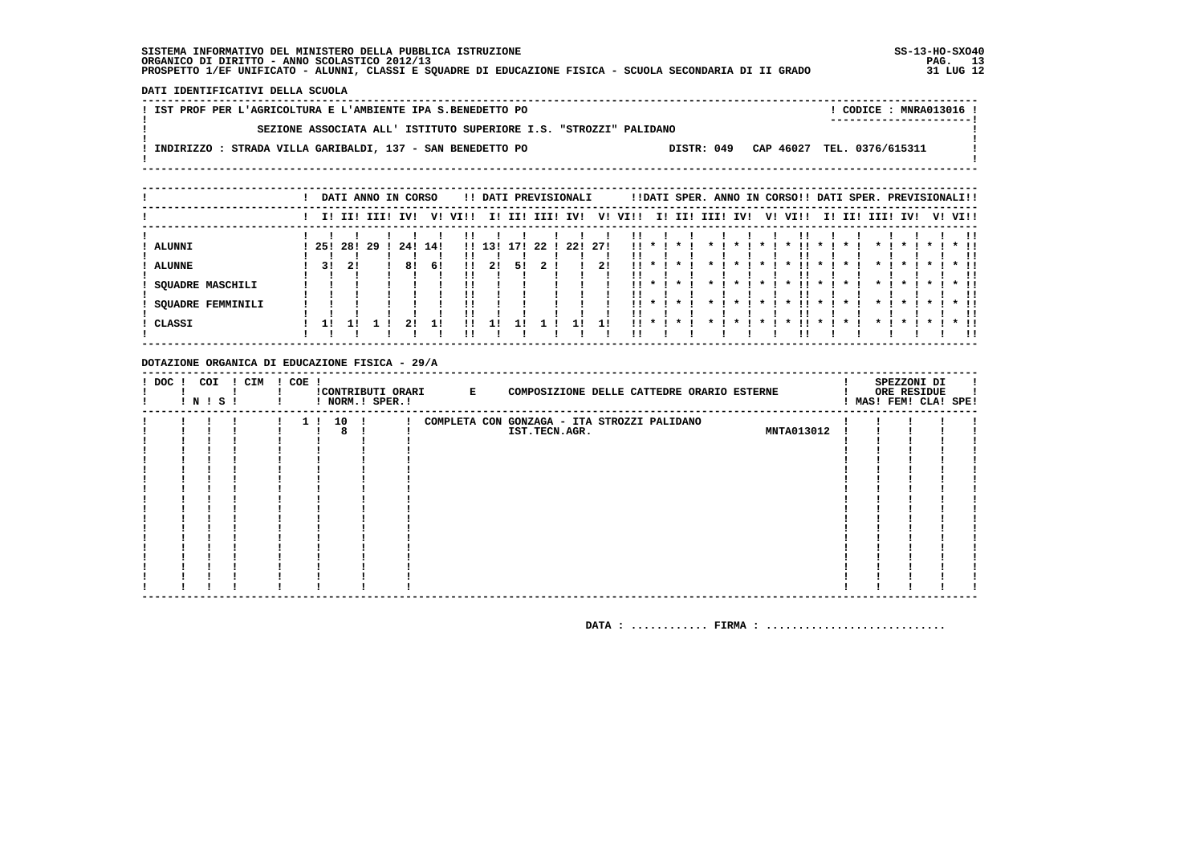DATI IDENTIFICATIVI DELLA SCUOLA

| ! IST PROF PER L'AGRICOLTURA E L'AMBIENTE IPA S.BENEDETTO PO      |            | CODICE: MNRA013016 !<br>----------------------- |  |
|-------------------------------------------------------------------|------------|-------------------------------------------------|--|
| SEZIONE ASSOCIATA ALL' ISTITUTO SUPERIORE I.S. "STROZZI" PALIDANO |            |                                                 |  |
| INDIRIZZO : STRADA VILLA GARIBALDI, 137 - SAN BENEDETTO PO        | DISTR: 049 | CAP 46027 TEL. 0376/615311                      |  |
|                                                                   |            |                                                 |  |

|                         |      |     |             |     | DATI ANNO IN CORSO |      |        |     | !! DATI PREVISIONALI |      |      |           |                                         |         |                 |              |                 | !!DATI SPER. ANNO IN CORSO!! DATI SPER. PREVISIONALI!! |              |         |                    |              |              |               |
|-------------------------|------|-----|-------------|-----|--------------------|------|--------|-----|----------------------|------|------|-----------|-----------------------------------------|---------|-----------------|--------------|-----------------|--------------------------------------------------------|--------------|---------|--------------------|--------------|--------------|---------------|
|                         |      |     | I! II! III! | IV! | V!                 | VI!! | II.    | II! | III! IV!             |      |      | V! VI!!   | II.                                     | II!     | IIII            | IV!          | V!              | VIII                                                   | II.          | II!     | IIII               | IV!          | V!           | VI!!          |
| ALUNNI                  | -251 | 28! | 29          |     |                    |      |        | 171 | 22                   |      | -271 |           | $\mathbf{11}$ $\mathbf{*}$ $\mathbf{1}$ | $\star$ | $\cdot$ $\cdot$ | $\cdot$      | $\star$ 1       | . .<br>$\cdot$                                         | $\star$ 1    | $\cdot$ | $\mathbf{x}$       | $\mathbf{x}$ | $\cdot$      | . .           |
|                         |      |     |             | 24! | 14!                |      | !! 13! |     |                      | -221 |      |           |                                         |         |                 |              |                 |                                                        |              |         |                    |              |              | $*$ 11        |
| ALUNNE                  | 31   | 21  |             |     | 81<br>61           | !!   | 21     | 51  |                      |      | 21   | . .<br>!! |                                         |         |                 |              |                 | $\boldsymbol{\ast}$                                    |              |         |                    |              |              | -11           |
| <b>SQUADRE MASCHILI</b> |      |     |             |     |                    |      |        |     |                      |      |      |           | $\cdots$                                | $\star$ | *               | $\cdot$      | $\star$ $\cdot$ | .<br>$\cdot$                                           | $\star$ 1    | $\cdot$ | $\star$            | $\star$      | $\star$ 1    | $*$ 11        |
| SQUADRE FEMMINILI       |      |     |             |     |                    |      |        |     |                      |      |      |           | $11 * 1$                                |         |                 | $\mathbf{x}$ | $\mathbf{x}$    | . .<br>$\boldsymbol{\pi}$                              | $\mathbf{x}$ |         | $\boldsymbol{\pi}$ | $\mathbf{r}$ | $\mathbf{x}$ | $*$ !!<br>-11 |
| CLASSI                  |      |     |             |     |                    |      |        |     |                      |      |      | !!        | $\boldsymbol{\pi}$                      |         |                 |              |                 |                                                        | $\mathbf{x}$ |         |                    |              | $\star$      |               |
|                         |      |     |             |     |                    |      |        |     |                      |      |      |           |                                         |         |                 |              |                 |                                                        |              |         |                    |              |              | . .           |

#### DOTAZIONE ORGANICA DI EDUCAZIONE FISICA - 29/A

| ! DOC ! | COI<br>! N ! S ! | ! CIM ! COE ! |  |                 | ! NORM.! SPER.! | !CONTRIBUTI ORARI E | COMPOSIZIONE DELLE CATTEDRE ORARIO ESTERNE  |                   |  | SPEZZONI DI<br>ORE RESIDUE<br>MAS! FEM! CLA! SPE! |  |
|---------|------------------|---------------|--|-----------------|-----------------|---------------------|---------------------------------------------|-------------------|--|---------------------------------------------------|--|
|         |                  |               |  | 10 <sub>1</sub> |                 |                     | COMPLETA CON GONZAGA - ITA STROZZI PALIDANO |                   |  |                                                   |  |
|         |                  |               |  |                 |                 |                     | IST.TECN.AGR.                               | <b>MNTA013012</b> |  |                                                   |  |
|         |                  |               |  |                 |                 |                     |                                             |                   |  |                                                   |  |
|         |                  |               |  |                 |                 |                     |                                             |                   |  |                                                   |  |
|         |                  |               |  |                 |                 |                     |                                             |                   |  |                                                   |  |
|         |                  |               |  |                 |                 |                     |                                             |                   |  |                                                   |  |
|         |                  |               |  |                 |                 |                     |                                             |                   |  |                                                   |  |
|         |                  |               |  |                 |                 |                     |                                             |                   |  |                                                   |  |
|         |                  |               |  |                 |                 |                     |                                             |                   |  |                                                   |  |
|         |                  |               |  |                 |                 |                     |                                             |                   |  |                                                   |  |
|         |                  |               |  |                 |                 |                     |                                             |                   |  |                                                   |  |
|         |                  |               |  |                 |                 |                     |                                             |                   |  |                                                   |  |
|         |                  |               |  |                 |                 |                     |                                             |                   |  |                                                   |  |
|         |                  |               |  |                 |                 |                     |                                             |                   |  |                                                   |  |
|         |                  |               |  |                 |                 |                     |                                             |                   |  |                                                   |  |
|         |                  |               |  |                 |                 |                     |                                             |                   |  |                                                   |  |
|         |                  |               |  |                 |                 |                     |                                             |                   |  |                                                   |  |
|         |                  |               |  |                 |                 |                     |                                             |                   |  |                                                   |  |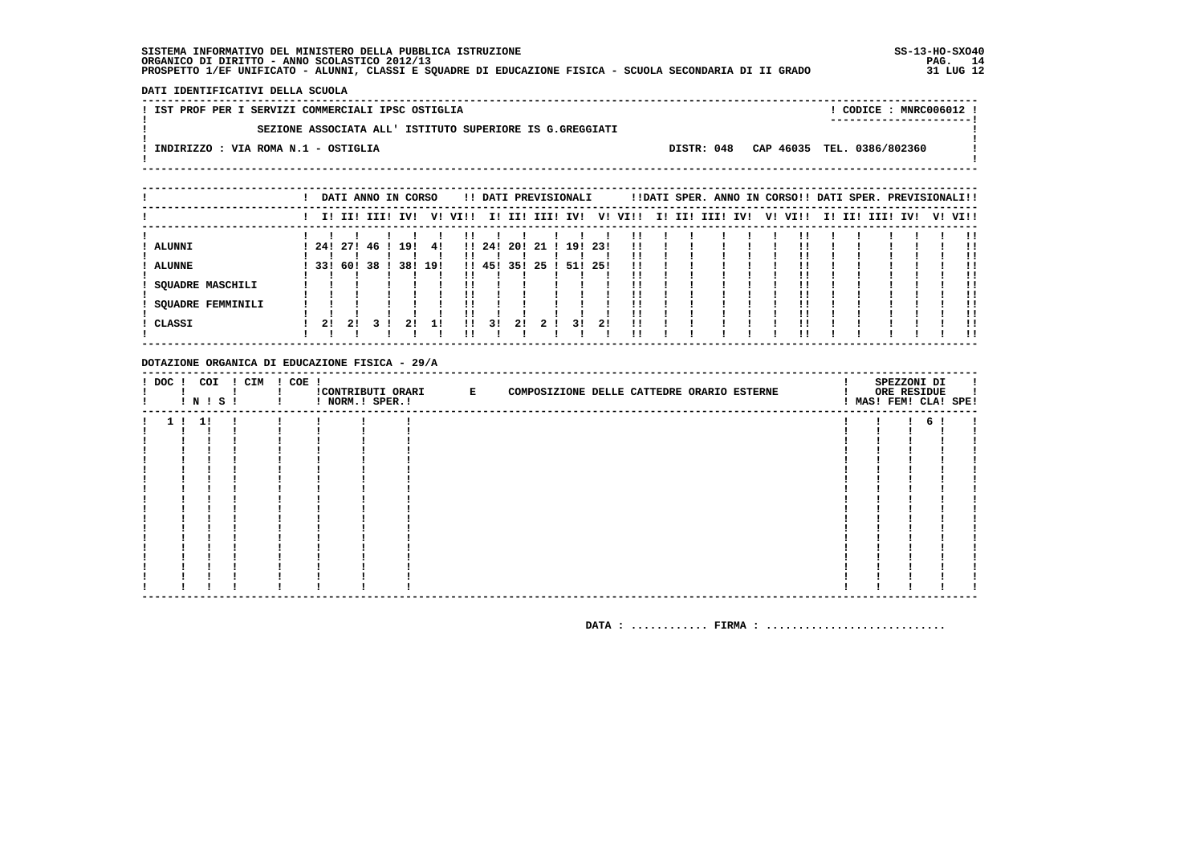DATI IDENTIFICATIVI DELLA SCUOLA

|  | ! IST PROF PER I SERVIZI COMMERCIALI IPSC OSTIGLIA       |  | $\overline{CODICE}$ : MNR $C006012$ !<br>---------------------- |  |
|--|----------------------------------------------------------|--|-----------------------------------------------------------------|--|
|  | SEZIONE ASSOCIATA ALL' ISTITUTO SUPERIORE IS G.GREGGIATI |  |                                                                 |  |
|  | INDIRIZZO : VIA ROMA N.1 - OSTIGLIA                      |  | DISTR: 048 CAP 46035 TEL. 0386/802360                           |  |
|  |                                                          |  |                                                                 |  |

|                         |              |    |  | DATI ANNO IN CORSO |     |          |        |      | !! DATI PREVISIONALI |        |      |                         |  | !!DATI SPER. ANNO IN CORSO!! DATI SPER. PREVISIONALI!! |  |         |  |                 |  |         |
|-------------------------|--------------|----|--|--------------------|-----|----------|--------|------|----------------------|--------|------|-------------------------|--|--------------------------------------------------------|--|---------|--|-----------------|--|---------|
|                         |              |    |  | I! II! III! IV!    |     | V! VI!!  |        |      |                      |        |      | I! II! III! IV! V! VI!! |  | I! II! III! IV!                                        |  | V! VI!! |  | I! II! III! IV! |  | V! VI!! |
|                         |              |    |  |                    |     |          |        |      |                      |        |      |                         |  |                                                        |  |         |  |                 |  |         |
| ALUNNI                  | 241271461    |    |  | 191                | -41 | !!       | 11241  | -201 | 21 I                 | 191231 |      | . .<br>!!               |  |                                                        |  |         |  |                 |  | !!      |
| <b>ALUNNE</b>           | 33! 60! 38 ! |    |  | 38! 19!            |     |          | !! 45! | 35!  | -25                  | 51!    | -251 | !!                      |  |                                                        |  |         |  |                 |  |         |
| <b>SQUADRE MASCHILI</b> |              |    |  |                    |     |          |        |      |                      |        |      |                         |  |                                                        |  |         |  |                 |  | !!      |
| SOUADRE FEMMINILI       |              |    |  |                    |     |          |        |      |                      |        |      |                         |  |                                                        |  |         |  |                 |  | 11      |
|                         |              |    |  |                    |     |          |        |      |                      |        |      |                         |  |                                                        |  |         |  |                 |  |         |
| CLASSI                  | 21           | 2! |  |                    | 11  | 11<br>'' | 31     | 21   |                      | 31     | 21   | 11                      |  |                                                        |  |         |  |                 |  | -11     |

#### DOTAZIONE ORGANICA DI EDUCAZIONE FISICA - 29/A

| ! DOC ! | COI<br>! N ! S ! | ! CIM | ! COE ! | ! NORM.! SPER.! | !CONTRIBUTI ORARI E | COMPOSIZIONE DELLE CATTEDRE ORARIO ESTERNE |  | SPEZZONI DI<br>ORE RESIDUE<br>! MAS! FEM! CLA! SPE! |  |
|---------|------------------|-------|---------|-----------------|---------------------|--------------------------------------------|--|-----------------------------------------------------|--|
|         | -11              |       |         |                 |                     |                                            |  |                                                     |  |
|         |                  |       |         |                 |                     |                                            |  |                                                     |  |
|         |                  |       |         |                 |                     |                                            |  |                                                     |  |
|         |                  |       |         |                 |                     |                                            |  |                                                     |  |
|         |                  |       |         |                 |                     |                                            |  |                                                     |  |
|         |                  |       |         |                 |                     |                                            |  |                                                     |  |
|         |                  |       |         |                 |                     |                                            |  |                                                     |  |
|         |                  |       |         |                 |                     |                                            |  |                                                     |  |
|         |                  |       |         |                 |                     |                                            |  |                                                     |  |
|         |                  |       |         |                 |                     |                                            |  |                                                     |  |
|         |                  |       |         |                 |                     |                                            |  |                                                     |  |
|         |                  |       |         |                 |                     |                                            |  |                                                     |  |
|         |                  |       |         |                 |                     |                                            |  |                                                     |  |
|         |                  |       |         |                 |                     |                                            |  |                                                     |  |
|         |                  |       |         |                 |                     |                                            |  |                                                     |  |
|         |                  |       |         |                 |                     |                                            |  |                                                     |  |
|         |                  |       |         |                 |                     |                                            |  |                                                     |  |
|         |                  |       |         |                 |                     |                                            |  |                                                     |  |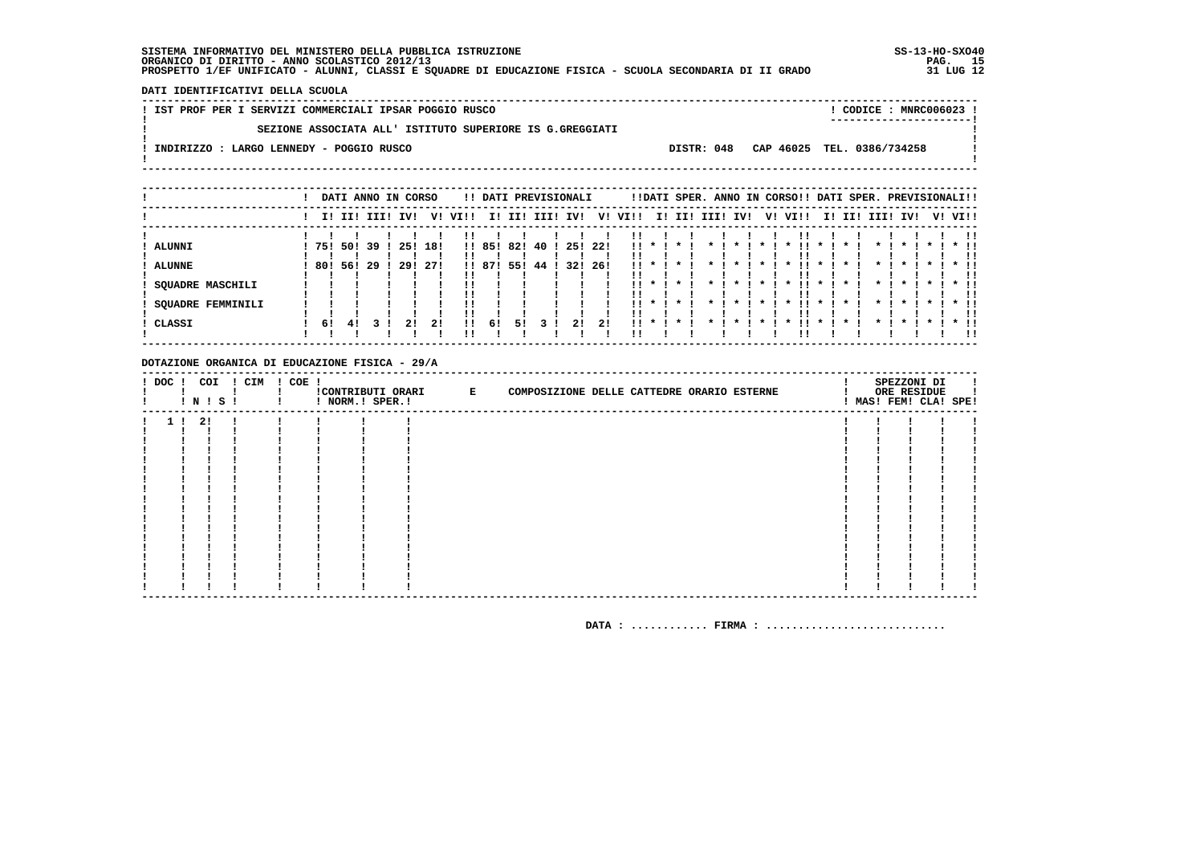DATI IDENTIFICATIVI DELLA SCUOLA

|  |  |  | ! IST PROF PER I SERVIZI COMMERCIALI IPSAR POGGIO RUSCO |  |                                                          |  |  |                                       |  | CODICE: MNRC006023 !    |  |
|--|--|--|---------------------------------------------------------|--|----------------------------------------------------------|--|--|---------------------------------------|--|-------------------------|--|
|  |  |  |                                                         |  |                                                          |  |  |                                       |  | ----------------------- |  |
|  |  |  |                                                         |  | SEZIONE ASSOCIATA ALL' ISTITUTO SUPERIORE IS G.GREGGIATI |  |  |                                       |  |                         |  |
|  |  |  |                                                         |  |                                                          |  |  |                                       |  |                         |  |
|  |  |  | INDIRIZZO : LARGO LENNEDY - POGGIO RUSCO                |  |                                                          |  |  | DISTR: 048 CAP 46025 TEL. 0386/734258 |  |                         |  |
|  |  |  |                                                         |  |                                                          |  |  |                                       |  |                         |  |
|  |  |  |                                                         |  |                                                          |  |  |                                       |  |                         |  |
|  |  |  |                                                         |  |                                                          |  |  |                                       |  |                         |  |

|                          |      |     |             | DATI ANNO IN CORSO |     |         |        |     | !! DATI PREVISIONALI |     |      |      |               |              |                 |                 |           | !!DATI SPER. ANNO IN CORSO!! DATI SPER. PREVISIONALI!! |              |         |             |              |         |         |               |
|--------------------------|------|-----|-------------|--------------------|-----|---------|--------|-----|----------------------|-----|------|------|---------------|--------------|-----------------|-----------------|-----------|--------------------------------------------------------|--------------|---------|-------------|--------------|---------|---------|---------------|
|                          |      |     | I! II! III! | IVI                |     | V! VI!! | II.    |     | II! III! IV!         |     | V!   | VI!! |               |              |                 | I! II! III! IV! |           | V! VI!!                                                |              |         | I! II! III! | IVI          |         | V! VI!! |               |
|                          |      |     |             |                    |     |         |        |     |                      |     |      |      |               |              |                 |                 |           |                                                        |              |         |             |              |         |         |               |
| ALUNNI                   | 751  | 501 | 39 !        | 25!                | 18! |         | !! 85! | 82! | 40 !                 | 25! | -221 |      | $11 \times 1$ | $\cdot$      |                 | $\mathbf x$     |           | $\boldsymbol{\ast}$                                    | $\mathbf{x}$ |         |             | $\mathbf{x}$ |         |         | $*$ !!        |
|                          |      |     |             |                    |     | !!      |        |     |                      |     |      |      |               |              |                 |                 |           |                                                        |              |         |             |              |         |         |               |
| <b>ALUNNE</b>            | 80 ! | 561 | 29          | 29!                | 271 |         | !! 87! | 55! | 44                   | 32! | -26! | 11.  |               |              |                 |                 |           |                                                        |              |         |             |              |         |         |               |
|                          |      |     |             |                    |     |         |        |     |                      |     |      |      |               |              |                 |                 |           |                                                        |              |         |             |              |         |         | !!            |
| <b>SQUADRE MASCHILI</b>  |      |     |             |                    |     | . .     |        |     |                      |     |      | . .  | $\star$       | $\star$      |                 | $\cdot$         | $\star$   | . .<br>$\cdot$                                         | $\cdot$      | *       | $\star$     | $\star$      | $\cdot$ |         | $*$ !!        |
|                          |      |     |             |                    |     |         |        |     |                      |     |      |      |               |              |                 |                 |           |                                                        |              |         |             |              |         |         |               |
| <b>SQUADRE FEMMINILI</b> |      |     |             |                    |     | ''      |        |     |                      |     |      |      |               | $11 * 1 * 1$ | $\star$ $\cdot$ | $\cdot$         | $\star$ I | . .<br>$\cdot$                                         | $\cdot$      | $\cdot$ | $\star$ .   | $\cdot$      | $\cdot$ |         | $\star$ $\pm$ |
|                          |      |     |             |                    |     | ''      |        |     |                      |     |      |      |               |              |                 |                 |           |                                                        |              |         |             |              |         |         |               |
| CLASSI                   | 61   | -41 |             | 21                 | 21  | 11      | 61     | 51  |                      | 21  | 21   | . .  |               |              |                 |                 |           |                                                        |              |         |             |              |         |         |               |
|                          |      |     |             |                    |     | ''      |        |     |                      |     |      |      |               |              |                 |                 |           |                                                        |              |         |             |              |         |         | !!            |

#### DOTAZIONE ORGANICA DI EDUCAZIONE FISICA - 29/A

| $!$ DOC $!$ |     | COI<br>! N ! S ! | ! CIM | $! COE$ ! | ! NORM.! SPER.! | !CONTRIBUTI ORARI E | COMPOSIZIONE DELLE CATTEDRE ORARIO ESTERNE |  | SPEZZONI DI<br>ORE RESIDUE<br>! MAS! FEM! CLA! SPE! |  |
|-------------|-----|------------------|-------|-----------|-----------------|---------------------|--------------------------------------------|--|-----------------------------------------------------|--|
|             | -21 |                  |       |           |                 |                     |                                            |  |                                                     |  |
|             |     |                  |       |           |                 |                     |                                            |  |                                                     |  |
|             |     |                  |       |           |                 |                     |                                            |  |                                                     |  |
|             |     |                  |       |           |                 |                     |                                            |  |                                                     |  |
|             |     |                  |       |           |                 |                     |                                            |  |                                                     |  |
|             |     |                  |       |           |                 |                     |                                            |  |                                                     |  |
|             |     |                  |       |           |                 |                     |                                            |  |                                                     |  |
|             |     |                  |       |           |                 |                     |                                            |  |                                                     |  |
|             |     |                  |       |           |                 |                     |                                            |  |                                                     |  |
|             |     |                  |       |           |                 |                     |                                            |  |                                                     |  |
|             |     |                  |       |           |                 |                     |                                            |  |                                                     |  |
|             |     |                  |       |           |                 |                     |                                            |  |                                                     |  |
|             |     |                  |       |           |                 |                     |                                            |  |                                                     |  |
|             |     |                  |       |           |                 |                     |                                            |  |                                                     |  |
|             |     |                  |       |           |                 |                     |                                            |  |                                                     |  |
|             |     |                  |       |           |                 |                     |                                            |  |                                                     |  |
|             |     |                  |       |           |                 |                     |                                            |  |                                                     |  |
|             |     |                  |       |           |                 |                     |                                            |  |                                                     |  |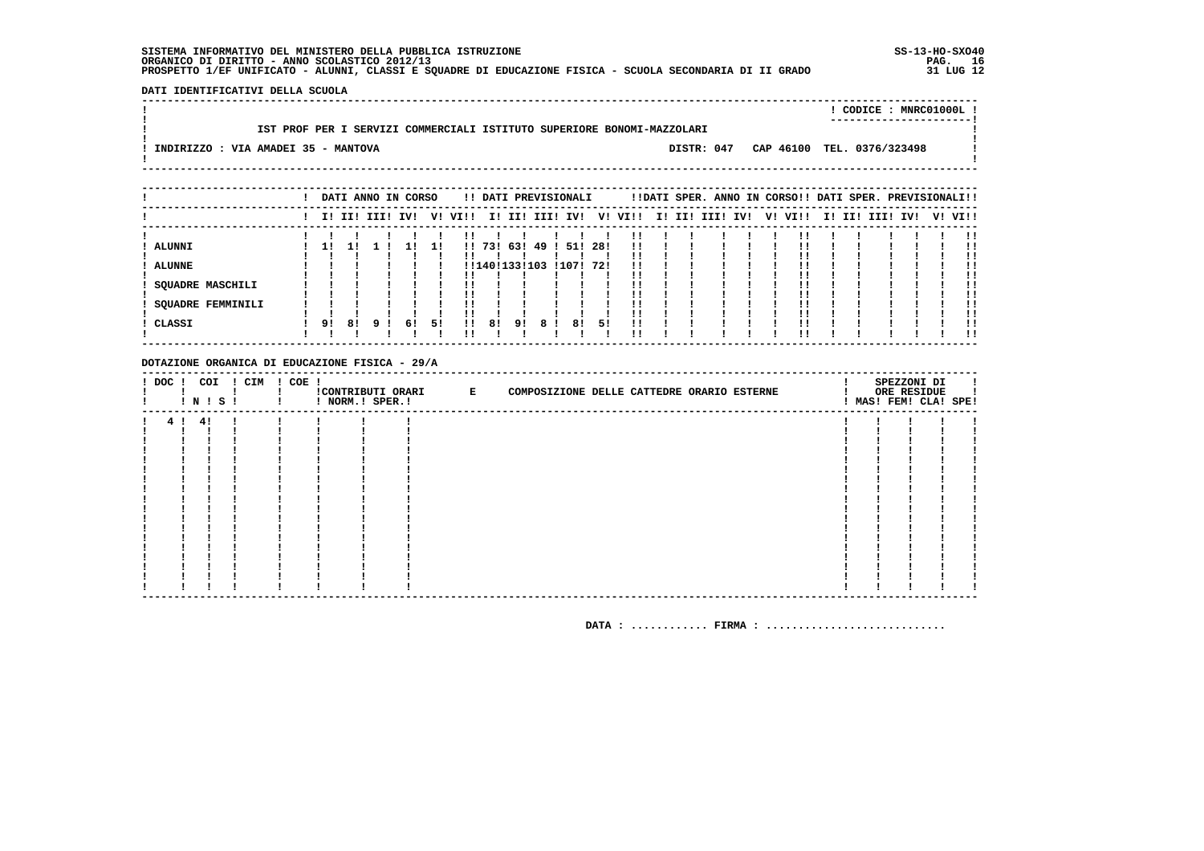DATI IDENTIFICATIVI DELLA SCUOLA

|                                                                        |            | ! CODICE : MNRC01000L !<br>---------------------- |  |
|------------------------------------------------------------------------|------------|---------------------------------------------------|--|
| IST PROF PER I SERVIZI COMMERCIALI ISTITUTO SUPERIORE BONOMI-MAZZOLARI |            |                                                   |  |
| ! INDIRIZZO : VIA AMADEI 35 - MANTOVA                                  | DISTR: 047 | CAP 46100 TEL. 0376/323498                        |  |

|                   |    |    | DATI ANNO IN CORSO |    |    |              |               |    |     | !! DATI PREVISIONALI |     |         |  | !!DATI SPER. ANNO IN CORSO!! DATI SPER. PREVISIONALI!! |     |         |  |                 |  |         |
|-------------------|----|----|--------------------|----|----|--------------|---------------|----|-----|----------------------|-----|---------|--|--------------------------------------------------------|-----|---------|--|-----------------|--|---------|
|                   |    |    | I! II! III! IV!    |    |    | V! VI!!      |               |    |     | I! II! III! IV!      |     | V! VI!! |  | I! II! III!                                            | IV! | V! VI!! |  | I! II! III! IV! |  | V! VI!! |
|                   |    |    |                    |    |    |              |               |    |     |                      |     |         |  |                                                        |     |         |  |                 |  |         |
| ALUNNI            | 11 |    |                    |    |    |              | 1!73!63!      |    | 491 | 51!                  | 28! | !!      |  |                                                        |     |         |  |                 |  | .,      |
|                   |    |    |                    |    |    |              |               |    |     |                      |     |         |  |                                                        |     |         |  |                 |  |         |
| <b>ALUNNE</b>     |    |    |                    |    |    |              | !!140!133!103 |    |     | !107! 72!            |     |         |  |                                                        |     |         |  |                 |  |         |
|                   |    |    |                    |    |    |              |               |    |     |                      |     |         |  |                                                        |     |         |  |                 |  |         |
| SOUADRE MASCHILI  |    |    |                    |    |    |              |               |    |     |                      |     |         |  |                                                        |     |         |  |                 |  | !!      |
|                   |    |    |                    |    |    |              |               |    |     |                      |     |         |  |                                                        |     |         |  |                 |  |         |
| SQUADRE FEMMINILI |    |    |                    |    |    |              |               |    |     |                      |     |         |  |                                                        |     |         |  |                 |  | . .     |
|                   |    |    |                    |    |    |              |               |    |     |                      |     |         |  |                                                        |     |         |  |                 |  | !!      |
| CLASSI            | 91 | 81 | <b>q</b>           | 61 | 51 | $\mathbf{H}$ | 81            | 9! | 8   | 81                   | 51  | !!      |  |                                                        |     |         |  |                 |  |         |
|                   |    |    |                    |    |    |              |               |    |     |                      |     |         |  |                                                        |     |         |  |                 |  | !!      |

#### DOTAZIONE ORGANICA DI EDUCAZIONE FISICA - 29/A

| ! DOC ! | COI<br>! N ! S ! | ! CIM | ! COE ! | ! NORM.! SPER.! | !CONTRIBUTI ORARI E | COMPOSIZIONE DELLE CATTEDRE ORARIO ESTERNE |  | SPEZZONI DI<br>ORE RESIDUE<br>! MAS! FEM! CLA! SPE! |  |
|---------|------------------|-------|---------|-----------------|---------------------|--------------------------------------------|--|-----------------------------------------------------|--|
| 4!      | -41              |       |         |                 |                     |                                            |  |                                                     |  |
|         |                  |       |         |                 |                     |                                            |  |                                                     |  |
|         |                  |       |         |                 |                     |                                            |  |                                                     |  |
|         |                  |       |         |                 |                     |                                            |  |                                                     |  |
|         |                  |       |         |                 |                     |                                            |  |                                                     |  |
|         |                  |       |         |                 |                     |                                            |  |                                                     |  |
|         |                  |       |         |                 |                     |                                            |  |                                                     |  |
|         |                  |       |         |                 |                     |                                            |  |                                                     |  |
|         |                  |       |         |                 |                     |                                            |  |                                                     |  |
|         |                  |       |         |                 |                     |                                            |  |                                                     |  |
|         |                  |       |         |                 |                     |                                            |  |                                                     |  |
|         |                  |       |         |                 |                     |                                            |  |                                                     |  |
|         |                  |       |         |                 |                     |                                            |  |                                                     |  |
|         |                  |       |         |                 |                     |                                            |  |                                                     |  |
|         |                  |       |         |                 |                     |                                            |  |                                                     |  |
|         |                  |       |         |                 |                     |                                            |  |                                                     |  |
|         |                  |       |         |                 |                     |                                            |  |                                                     |  |
|         |                  |       |         |                 |                     |                                            |  |                                                     |  |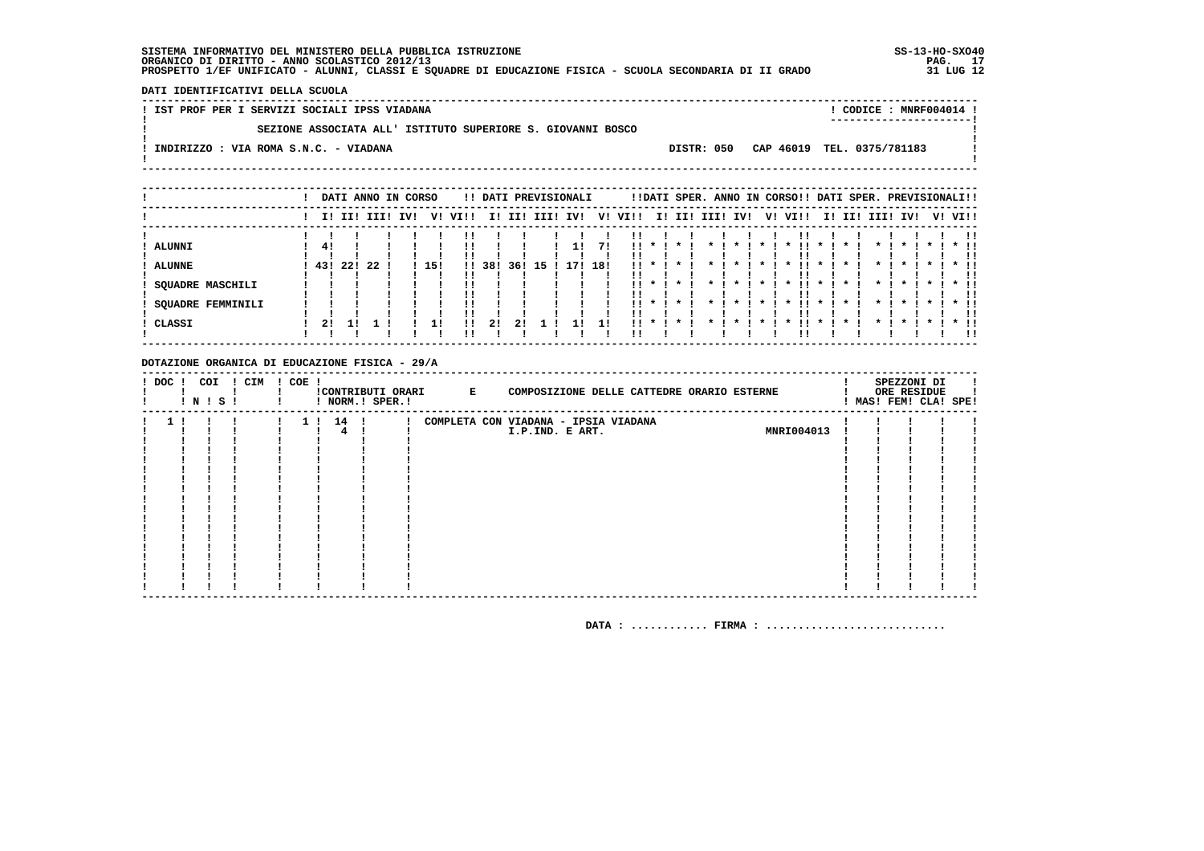DATI IDENTIFICATIVI DELLA SCUOLA

| ! IST PROF PER I SERVIZI SOCIALI IPSS VIADANA               |            | ! CODICE: MNRF004014 !<br>----------------------- |  |
|-------------------------------------------------------------|------------|---------------------------------------------------|--|
| SEZIONE ASSOCIATA ALL' ISTITUTO SUPERIORE S. GIOVANNI BOSCO |            |                                                   |  |
| INDIRIZZO : VIA ROMA S.N.C. - VIADANA                       | DISTR: 050 | CAP 46019 TEL. 0375/781183                        |  |
|                                                             |            |                                                   |  |

|                          |     |             |    | DATI ANNO IN CORSO |     |              |     |     |          | !! DATI PREVISIONALI |     |      |                                        |              |                    |              |              | !!DATI SPER. ANNO IN CORSO!! DATI SPER. PREVISIONALI!! |              |         |              |                    |              |         |
|--------------------------|-----|-------------|----|--------------------|-----|--------------|-----|-----|----------|----------------------|-----|------|----------------------------------------|--------------|--------------------|--------------|--------------|--------------------------------------------------------|--------------|---------|--------------|--------------------|--------------|---------|
|                          |     | II III IIII |    | IV!                |     | V! VI!!      | II. |     | II! III! | IV!                  | V!  | VI!! |                                        |              | I! II! III! IV!    |              |              | V! VI!!                                                |              |         | I! II! III!  | IV!                |              | V! VI!! |
|                          |     |             |    |                    |     |              |     |     |          |                      |     |      |                                        |              |                    |              |              |                                                        |              |         |              |                    |              |         |
| ALUNNI                   | -41 |             |    |                    |     |              |     |     |          | 11                   | 71  |      | $\mathbf{11}$ $\mathbf{1}$             | $\cdot$      |                    | $\cdot$      | $\cdot$      |                                                        | $\mathbf{x}$ |         |              |                    |              | $*$ !!  |
| <b>ALUNNE</b>            | 43! | 22!         | 22 |                    | 15! | $\mathbf{1}$ | 38! | 36! | 15       | -71                  | 18! |      |                                        |              |                    |              |              |                                                        |              |         |              |                    |              | . .     |
| SOUADRE MASCHILI         |     |             |    |                    |     |              |     |     |          |                      |     |      | $\mathbf{1}$ $\mathbf{1}$ $\mathbf{1}$ | $\star$      |                    | $\cdot$      | $\star$ 1    | . .<br>$\mathbf{x}$                                    | $\star$      | $\cdot$ | $\cdots$     | $\star$            | $\star$ I    | $*$ 11  |
| <b>SQUADRE FEMMINILI</b> |     |             |    |                    |     |              |     |     |          |                      |     |      | $11 * 1$                               | $\mathbf{x}$ | $\boldsymbol{\pi}$ | $\mathbf{x}$ | $\mathbf{x}$ | ''<br>$\mathbf x$                                      | $\mathbf{x}$ |         | $\mathbf{x}$ | $\boldsymbol{\pi}$ | $\mathbf{x}$ | $*$ !!  |
| CLASSI                   | 21  |             |    |                    | 11  | !!           | 2!  | 21  |          |                      |     | . .  |                                        |              |                    |              |              |                                                        |              |         |              |                    |              |         |
|                          |     |             |    |                    |     |              |     |     |          |                      |     |      |                                        |              |                    |              |              |                                                        |              |         |              |                    |              | . .     |

#### DOTAZIONE ORGANICA DI EDUCAZIONE FISICA - 29/A

| ! DOC ! | ! N ! S ! | COI ! CIM ! COE ! |          | ! NORM.! SPER.! | !CONTRIBUTI ORARI E | COMPOSIZIONE DELLE CATTEDRE ORARIO ESTERNE |            |  | SPEZZONI DI<br>ORE RESIDUE<br>! MAS! FEM! CLA! SPE! |  |
|---------|-----------|-------------------|----------|-----------------|---------------------|--------------------------------------------|------------|--|-----------------------------------------------------|--|
|         |           |                   | 1 ! 14 ! |                 |                     | COMPLETA CON VIADANA - IPSIA VIADANA       |            |  |                                                     |  |
|         |           |                   |          |                 |                     | I.P.IND. E ART.                            | MNRI004013 |  |                                                     |  |
|         |           |                   |          |                 |                     |                                            |            |  |                                                     |  |
|         |           |                   |          |                 |                     |                                            |            |  |                                                     |  |
|         |           |                   |          |                 |                     |                                            |            |  |                                                     |  |
|         |           |                   |          |                 |                     |                                            |            |  |                                                     |  |
|         |           |                   |          |                 |                     |                                            |            |  |                                                     |  |
|         |           |                   |          |                 |                     |                                            |            |  |                                                     |  |
|         |           |                   |          |                 |                     |                                            |            |  |                                                     |  |
|         |           |                   |          |                 |                     |                                            |            |  |                                                     |  |
|         |           |                   |          |                 |                     |                                            |            |  |                                                     |  |
|         |           |                   |          |                 |                     |                                            |            |  |                                                     |  |
|         |           |                   |          |                 |                     |                                            |            |  |                                                     |  |
|         |           |                   |          |                 |                     |                                            |            |  |                                                     |  |
|         |           |                   |          |                 |                     |                                            |            |  |                                                     |  |
|         |           |                   |          |                 |                     |                                            |            |  |                                                     |  |
|         |           |                   |          |                 |                     |                                            |            |  |                                                     |  |
|         |           |                   |          |                 |                     |                                            |            |  |                                                     |  |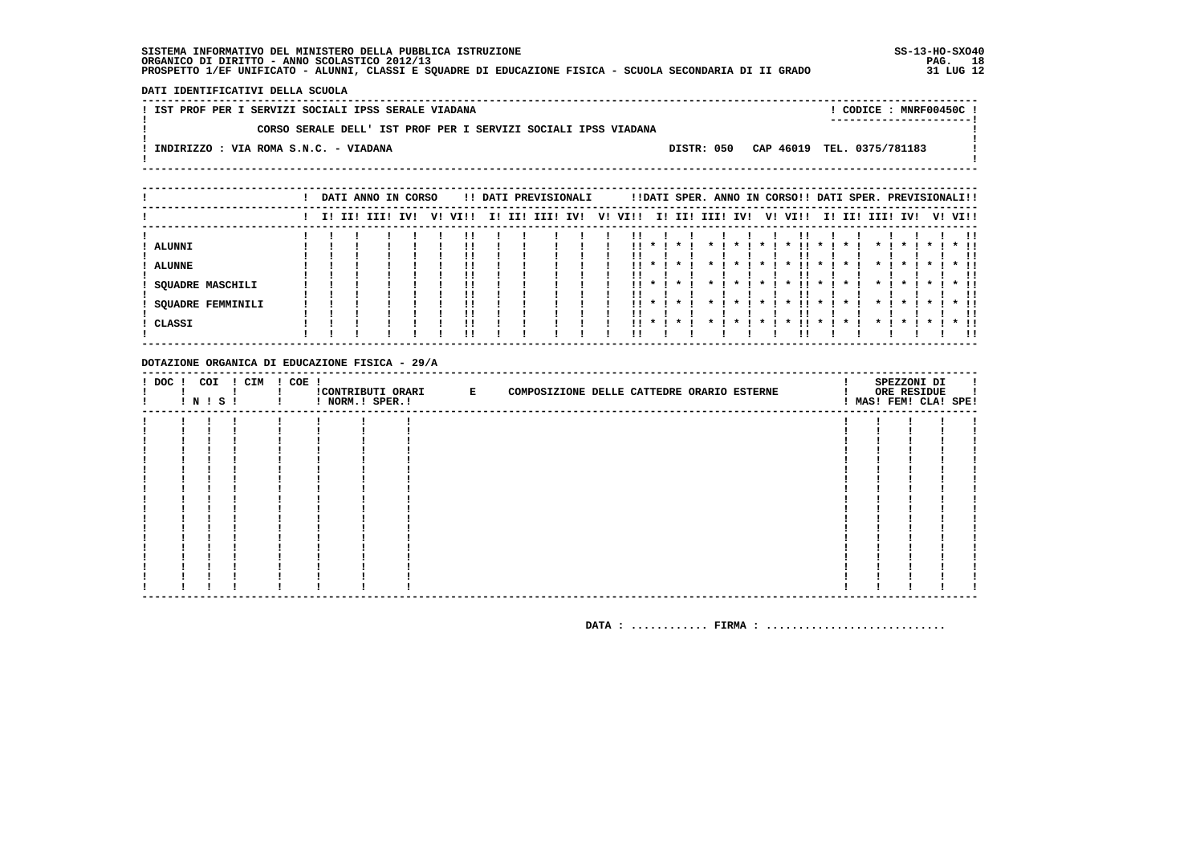DATI IDENTIFICATIVI DELLA SCUOLA

| ! IST PROF PER I SERVIZI SOCIALI IPSS SERALE VIADANA           |            |  | CODICE: MNRF00450C!        |  |
|----------------------------------------------------------------|------------|--|----------------------------|--|
| CORSO SERALE DELL' IST PROF PER I SERVIZI SOCIALI IPSS VIADANA |            |  |                            |  |
| INDIRIZZO : VIA ROMA S.N.C. - VIADANA                          | DISTR: 050 |  | CAP 46019 TEL. 0375/781183 |  |
|                                                                |            |  |                            |  |
|                                                                |            |  |                            |  |

|                          |  | DATI ANNO IN CORSO |     |    |      |     |     | !! DATI PREVISIONALI |     |    |      |           |              |                |          |           |              |     |                |                     | !!DATI SPER. ANNO IN CORSO!! DATI SPER. PREVISIONALI!! |                    |           |         |
|--------------------------|--|--------------------|-----|----|------|-----|-----|----------------------|-----|----|------|-----------|--------------|----------------|----------|-----------|--------------|-----|----------------|---------------------|--------------------------------------------------------|--------------------|-----------|---------|
|                          |  | I! II! III!        | IV! | V! | VI!! | II. | II! | III!                 | IV! | V! | VI!! |           | I! II!       |                | III! IV! |           | V! VI!!      |     |                | I! II!              | III!                                                   | IV!                |           | V! VI!! |
|                          |  |                    |     |    |      |     |     |                      |     |    |      |           |              |                |          |           |              |     |                |                     |                                                        |                    |           | -11     |
| ALUNNI                   |  |                    |     |    | !!   |     |     |                      |     |    | . .  |           |              |                |          |           |              |     |                |                     |                                                        |                    |           |         |
|                          |  |                    |     |    | !!   |     |     |                      |     |    |      |           |              |                |          |           |              |     |                |                     |                                                        |                    |           | . .     |
| <b>ALUNNE</b>            |  |                    |     |    | !!   |     |     |                      |     |    | . .  | $\star$ 1 | $\star$      | $\cdot$        | $\cdot$  | $\star$ 1 | $\mathbf{x}$ | . . | $\cdot$        | $\boldsymbol{\ast}$ | $\mathbf{x}$                                           | $\star$            | $\star$ 1 | $*$ 11  |
|                          |  |                    |     |    |      |     |     |                      |     |    |      |           |              |                |          |           |              |     |                |                     |                                                        |                    |           |         |
| <b>SQUADRE MASCHILI</b>  |  |                    |     |    | !!   |     |     |                      |     |    |      | $11 * 1$  | $\mathbf{r}$ | $\mathbf{x}$ . | $\cdot$  | $\cdot$   | $\mathbf x$  | . . | $\mathbf{x}$ i | $\boldsymbol{\pi}$  | $\mathbf{x}$                                           | $\boldsymbol{\pi}$ | $\star$ I | $*$ 11  |
|                          |  |                    |     |    | ''   |     |     |                      |     |    |      |           |              |                |          |           |              |     |                |                     |                                                        |                    |           |         |
| <b>SQUADRE FEMMINILI</b> |  |                    |     |    | !!   |     |     |                      |     |    | . .  |           |              |                |          |           |              | !!  |                |                     |                                                        | ×                  |           | $*$ 11  |
|                          |  |                    |     |    | ''   |     |     |                      |     |    |      |           |              |                |          |           |              |     |                |                     |                                                        |                    |           | -11     |
| ! CLASSI                 |  |                    |     |    | !!   |     |     |                      |     |    | . .  | $\cdot$   |              |                |          |           |              |     | $\mathbf{x}$   |                     |                                                        |                    |           | $*$ 11  |
|                          |  |                    |     |    |      |     |     |                      |     |    |      |           |              |                |          |           |              |     |                |                     |                                                        |                    |           | !!      |

#### DOTAZIONE ORGANICA DI EDUCAZIONE FISICA - 29/A

| $!$ DOC $!$ | ! N ! S ! | COI ! CIM ! COE ! | ! NORM.! SPER.! | !CONTRIBUTI ORARI E | COMPOSIZIONE DELLE CATTEDRE ORARIO ESTERNE |  | SPEZZONI DI<br>ORE RESIDUE<br>! MAS! FEM! CLA! SPE! |  |
|-------------|-----------|-------------------|-----------------|---------------------|--------------------------------------------|--|-----------------------------------------------------|--|
|             |           |                   |                 |                     |                                            |  |                                                     |  |
|             |           |                   |                 |                     |                                            |  |                                                     |  |
|             |           |                   |                 |                     |                                            |  |                                                     |  |
|             |           |                   |                 |                     |                                            |  |                                                     |  |
|             |           |                   |                 |                     |                                            |  |                                                     |  |
|             |           |                   |                 |                     |                                            |  |                                                     |  |
|             |           |                   |                 |                     |                                            |  |                                                     |  |
|             |           |                   |                 |                     |                                            |  |                                                     |  |
|             |           |                   |                 |                     |                                            |  |                                                     |  |
|             |           |                   |                 |                     |                                            |  |                                                     |  |
|             |           |                   |                 |                     |                                            |  |                                                     |  |
|             |           |                   |                 |                     |                                            |  |                                                     |  |
|             |           |                   |                 |                     |                                            |  |                                                     |  |
|             |           |                   |                 |                     |                                            |  |                                                     |  |
|             |           |                   |                 |                     |                                            |  |                                                     |  |
|             |           |                   |                 |                     |                                            |  |                                                     |  |
|             |           |                   |                 |                     |                                            |  |                                                     |  |
|             |           |                   |                 |                     |                                            |  |                                                     |  |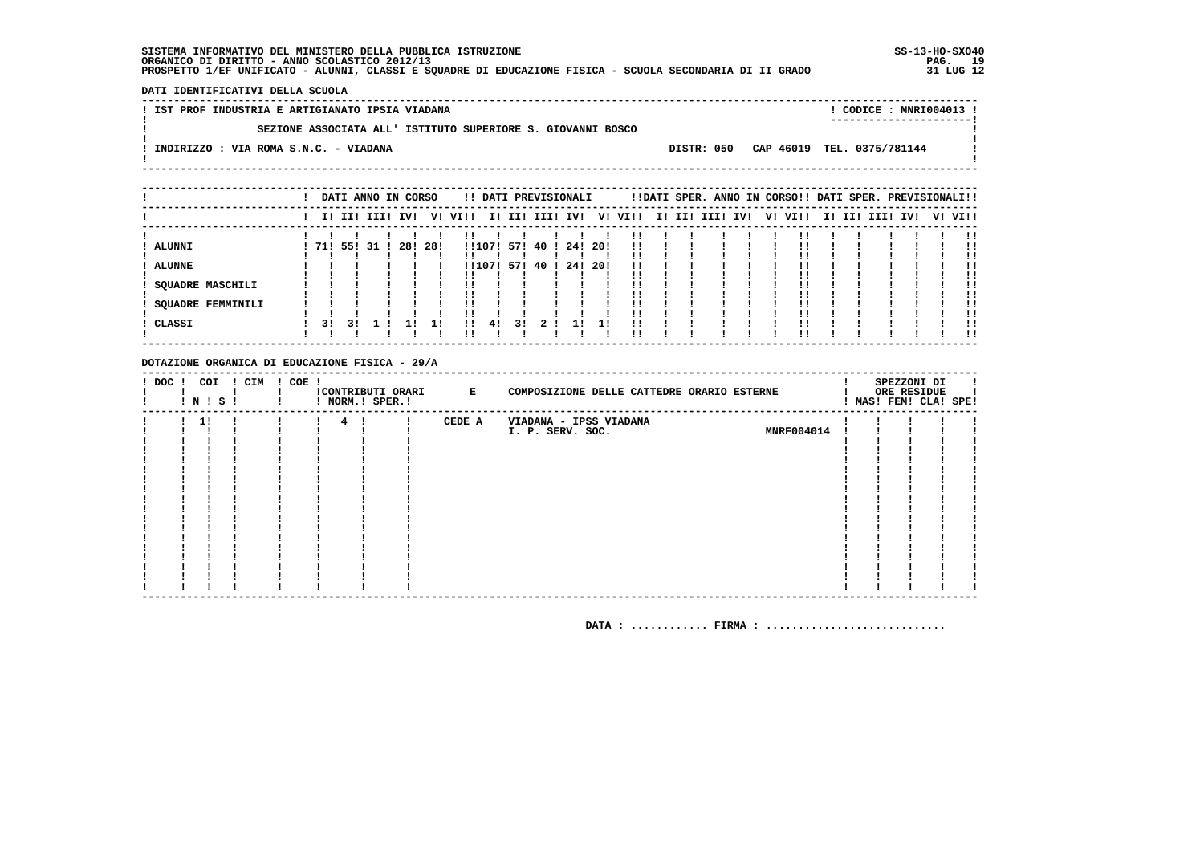DATI IDENTIFICATIVI DELLA SCUOLA

| ! IST PROF INDUSTRIA E ARTIGIANATO IPSIA VIADANA |                                                             |            | ! CODICE : MNRI004013 !    |  |
|--------------------------------------------------|-------------------------------------------------------------|------------|----------------------------|--|
|                                                  | SEZIONE ASSOCIATA ALL' ISTITUTO SUPERIORE S. GIOVANNI BOSCO |            | ----------------------     |  |
| INDIRIZZO : VIA ROMA S.N.C. - VIADANA            |                                                             | DISTR: 050 | CAP 46019 TEL. 0375/781144 |  |
|                                                  |                                                             |            |                            |  |
|                                                  |                                                             |            |                            |  |

|                         |              |    | DATI ANNO IN CORSO |         |    |         |        |    | !! DATI PREVISIONALI |         |      |                         |  | !!DATI SPER. ANNO IN CORSO!! DATI SPER. PREVISIONALI!! |  |         |  |                 |  |         |
|-------------------------|--------------|----|--------------------|---------|----|---------|--------|----|----------------------|---------|------|-------------------------|--|--------------------------------------------------------|--|---------|--|-----------------|--|---------|
|                         |              |    | I! II! III! IV!    |         |    | V! VI!! |        |    |                      |         |      | I! II! III! IV! V! VI!! |  | I! II! III! IV!                                        |  | V! VI!! |  | I! II! III! IV! |  | V! VI!! |
|                         |              |    |                    |         |    |         |        |    |                      |         |      |                         |  |                                                        |  |         |  |                 |  |         |
| <b>ALUNNI</b>           | 71! 55! 31 ! |    |                    | 28! 28! |    |         |        |    | !!107! 57! 40 !      | 24! 20! |      | !!                      |  |                                                        |  |         |  |                 |  | !!      |
|                         |              |    |                    |         |    |         |        |    |                      |         |      |                         |  |                                                        |  |         |  |                 |  |         |
| ALUNNE                  |              |    |                    |         |    |         | !!107! |    | 57! 40 !             | 24!     | -20! | !!                      |  |                                                        |  |         |  |                 |  |         |
|                         |              |    |                    |         |    | !!      |        |    |                      |         |      |                         |  |                                                        |  |         |  |                 |  | !!      |
| <b>SQUADRE MASCHILI</b> |              |    |                    |         |    |         |        |    |                      |         |      |                         |  |                                                        |  |         |  |                 |  | !!      |
|                         |              |    |                    |         |    | !!      |        |    |                      |         |      |                         |  |                                                        |  |         |  |                 |  |         |
| SOUADRE FEMMINILI       |              |    |                    |         |    | !!      |        |    |                      |         |      |                         |  |                                                        |  |         |  |                 |  | !!      |
|                         |              |    |                    |         |    |         |        |    |                      |         |      |                         |  |                                                        |  |         |  |                 |  |         |
| ! CLASSI                | 31           | 31 |                    |         | 11 | !!      | 41     | 31 | 2 <sup>1</sup>       |         | 11   | !!                      |  |                                                        |  |         |  |                 |  |         |
|                         |              |    |                    |         |    | ''      |        |    |                      |         |      |                         |  |                                                        |  |         |  |                 |  | . .     |

#### DOTAZIONE ORGANICA DI EDUCAZIONE FISICA - 29/A

| ! DOC ! | COI<br>! N ! S ! | ! CIM ! COE ! |  |                | ! NORM.! SPER.! | !CONTRIBUTI ORARI E | COMPOSIZIONE DELLE CATTEDRE ORARIO ESTERNE |  | SPEZZONI DI<br>ORE RESIDUE<br>MAS! FEM! CLA! SPE! |  |
|---------|------------------|---------------|--|----------------|-----------------|---------------------|--------------------------------------------|--|---------------------------------------------------|--|
|         | 11               |               |  | $\overline{4}$ |                 | CEDE A              | VIADANA - IPSS VIADANA                     |  |                                                   |  |
|         |                  |               |  |                |                 |                     | MNRF004014<br>I. P. SERV. SOC.             |  |                                                   |  |
|         |                  |               |  |                |                 |                     |                                            |  |                                                   |  |
|         |                  |               |  |                |                 |                     |                                            |  |                                                   |  |
|         |                  |               |  |                |                 |                     |                                            |  |                                                   |  |
|         |                  |               |  |                |                 |                     |                                            |  |                                                   |  |
|         |                  |               |  |                |                 |                     |                                            |  |                                                   |  |
|         |                  |               |  |                |                 |                     |                                            |  |                                                   |  |
|         |                  |               |  |                |                 |                     |                                            |  |                                                   |  |
|         |                  |               |  |                |                 |                     |                                            |  |                                                   |  |
|         |                  |               |  |                |                 |                     |                                            |  |                                                   |  |
|         |                  |               |  |                |                 |                     |                                            |  |                                                   |  |
|         |                  |               |  |                |                 |                     |                                            |  |                                                   |  |
|         |                  |               |  |                |                 |                     |                                            |  |                                                   |  |
|         |                  |               |  |                |                 |                     |                                            |  |                                                   |  |
|         |                  |               |  |                |                 |                     |                                            |  |                                                   |  |
|         |                  |               |  |                |                 |                     |                                            |  |                                                   |  |
|         |                  |               |  |                |                 |                     |                                            |  |                                                   |  |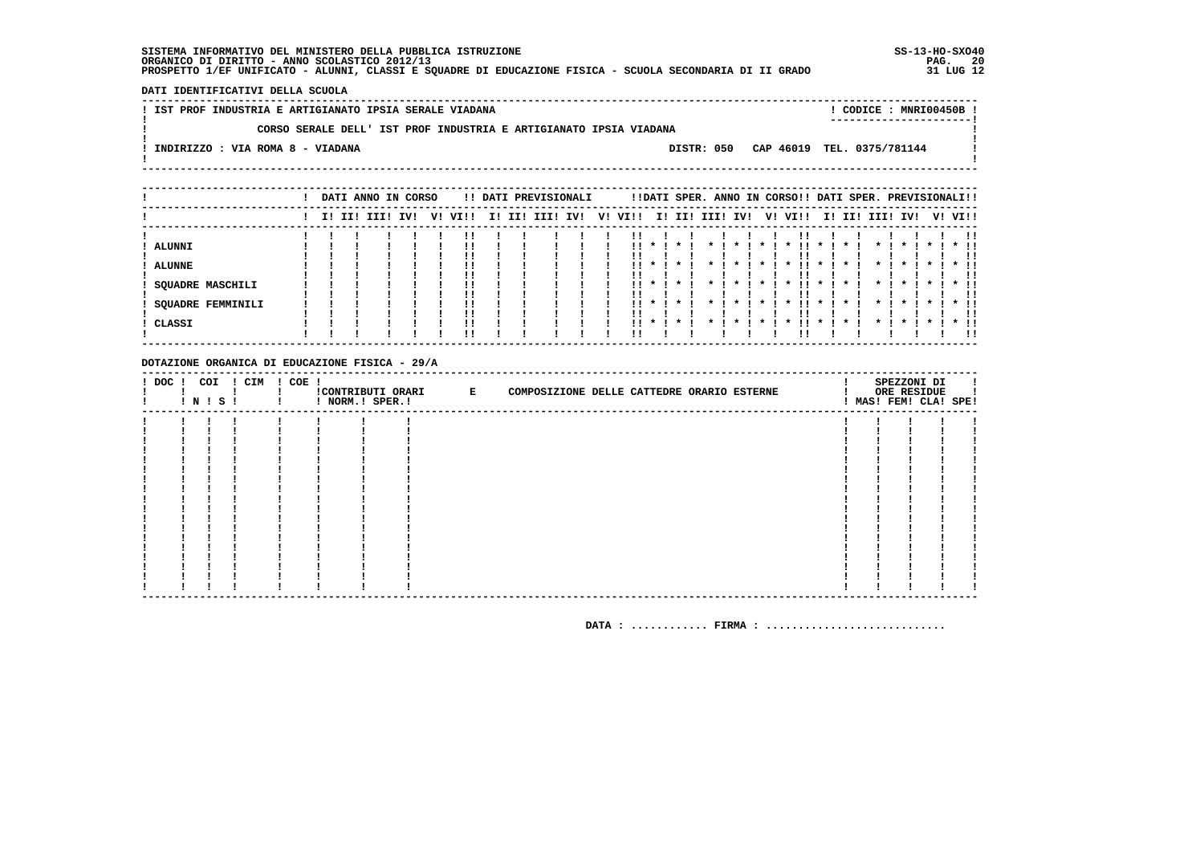DATI IDENTIFICATIVI DELLA SCUOLA

|  | ! IST PROF INDUSTRIA E ARTIGIANATO IPSIA SERALE VIADANA |  |                                                                   |            |  |  |                            | CODICE: MNRI00450B!     |  |
|--|---------------------------------------------------------|--|-------------------------------------------------------------------|------------|--|--|----------------------------|-------------------------|--|
|  |                                                         |  | CORSO SERALE DELL' IST PROF INDUSTRIA E ARTIGIANATO IPSIA VIADANA |            |  |  |                            | ----------------------- |  |
|  | INDIRIZZO : VIA ROMA 8 - VIADANA                        |  |                                                                   | DISTR: 050 |  |  | CAP 46019 TEL. 0375/781144 |                         |  |
|  |                                                         |  |                                                                   |            |  |  |                            |                         |  |

|                          |  | DATI ANNO IN CORSO |     |    |      |     |     | !! DATI PREVISIONALI |     |    |      |                            |              |              |                         |              | !!DATI SPER. ANNO IN CORSO!! DATI SPER. PREVISIONALI!! |              |              |                     |                    |           |         |     |
|--------------------------|--|--------------------|-----|----|------|-----|-----|----------------------|-----|----|------|----------------------------|--------------|--------------|-------------------------|--------------|--------------------------------------------------------|--------------|--------------|---------------------|--------------------|-----------|---------|-----|
|                          |  | I! II! III!        | IV! | v! | VIII | II. | II! | III!                 | IV! | V! | VI!! |                            |              |              | I! II! III! IV!         |              | V! VI!!                                                |              |              | I! II! III!         | IV!                |           | V! VI!! |     |
|                          |  |                    |     |    |      |     |     |                      |     |    |      |                            |              |              |                         |              |                                                        |              |              |                     |                    |           |         |     |
| ALUNNI                   |  |                    |     |    |      |     |     |                      |     |    | !!   |                            |              |              |                         |              |                                                        |              |              |                     |                    |           | $*$ !!  |     |
|                          |  |                    |     |    |      |     |     |                      |     |    |      |                            |              |              |                         |              |                                                        |              |              |                     |                    |           |         |     |
| <b>ALUNNE</b>            |  |                    |     |    | !!   |     |     |                      |     |    | . .  | $\cdot$                    |              |              | $\cdot$                 | $\star$      |                                                        | $\mathbf{x}$ |              | $\boldsymbol{\ast}$ | $\boldsymbol{\pi}$ | $\star$   | $*$ 11  |     |
|                          |  |                    |     |    |      |     |     |                      |     |    |      |                            |              |              |                         |              |                                                        |              |              |                     |                    |           |         |     |
| <b>SQUADRE MASCHILI</b>  |  |                    |     |    |      |     |     |                      |     |    |      |                            | $11 * 1 * 1$ |              | $\star$ $\star$ $\cdot$ | $\star$ 1    | . .<br>$\mathbf{x}$                                    | $\star$ 1    | $\mathbf{x}$ | $\mathbf{x}$ .      | $\mathbf{x}$       | $\cdots$  | $*$ 11  |     |
|                          |  |                    |     |    |      |     |     |                      |     |    |      |                            |              |              |                         |              |                                                        |              |              |                     |                    |           |         |     |
| <b>SQUADRE FEMMINILI</b> |  |                    |     |    |      |     |     |                      |     |    |      | $\mathbf{11}$ $\mathbf{1}$ | $\mathbf{x}$ | $\mathbf{x}$ | $\mathbf{x}$            | $\mathbf{x}$ | . .<br>$\mathbf x$                                     | $\mathbf{x}$ |              | $\mathbf{x}$        | $\mathbf{x}$       | $\star$ 1 | $*$ !!  |     |
|                          |  |                    |     |    |      |     |     |                      |     |    |      |                            |              |              |                         |              |                                                        |              |              |                     |                    |           |         |     |
| CLASSI                   |  |                    |     |    |      |     |     |                      |     |    | . .  |                            |              |              |                         |              |                                                        |              |              |                     |                    |           | $*$ !!  |     |
|                          |  |                    |     |    |      |     |     |                      |     |    |      |                            |              |              |                         |              |                                                        |              |              |                     |                    |           |         | -11 |

#### DOTAZIONE ORGANICA DI EDUCAZIONE FISICA - 29/A

| $!$ DOC $!$ | COI<br>! N ! S ! | ! CIM | ! COE ! | ! NORM.! SPER.! | !CONTRIBUTI ORARI E | COMPOSIZIONE DELLE CATTEDRE ORARIO ESTERNE |  | SPEZZONI DI<br>ORE RESIDUE<br>! MAS! FEM! CLA! SPE! | л. |
|-------------|------------------|-------|---------|-----------------|---------------------|--------------------------------------------|--|-----------------------------------------------------|----|
|             |                  |       |         |                 |                     |                                            |  |                                                     |    |
|             |                  |       |         |                 |                     |                                            |  |                                                     |    |
|             |                  |       |         |                 |                     |                                            |  |                                                     |    |
|             |                  |       |         |                 |                     |                                            |  |                                                     |    |
|             |                  |       |         |                 |                     |                                            |  |                                                     |    |
|             |                  |       |         |                 |                     |                                            |  |                                                     |    |
|             |                  |       |         |                 |                     |                                            |  |                                                     |    |
|             |                  |       |         |                 |                     |                                            |  |                                                     |    |
|             |                  |       |         |                 |                     |                                            |  |                                                     |    |
|             |                  |       |         |                 |                     |                                            |  |                                                     |    |
|             |                  |       |         |                 |                     |                                            |  |                                                     |    |
|             |                  |       |         |                 |                     |                                            |  |                                                     |    |
|             |                  |       |         |                 |                     |                                            |  |                                                     |    |
|             |                  |       |         |                 |                     |                                            |  |                                                     |    |
|             |                  |       |         |                 |                     |                                            |  |                                                     |    |
|             |                  |       |         |                 |                     |                                            |  |                                                     |    |
|             |                  |       |         |                 |                     |                                            |  |                                                     |    |
|             |                  |       |         |                 |                     |                                            |  |                                                     |    |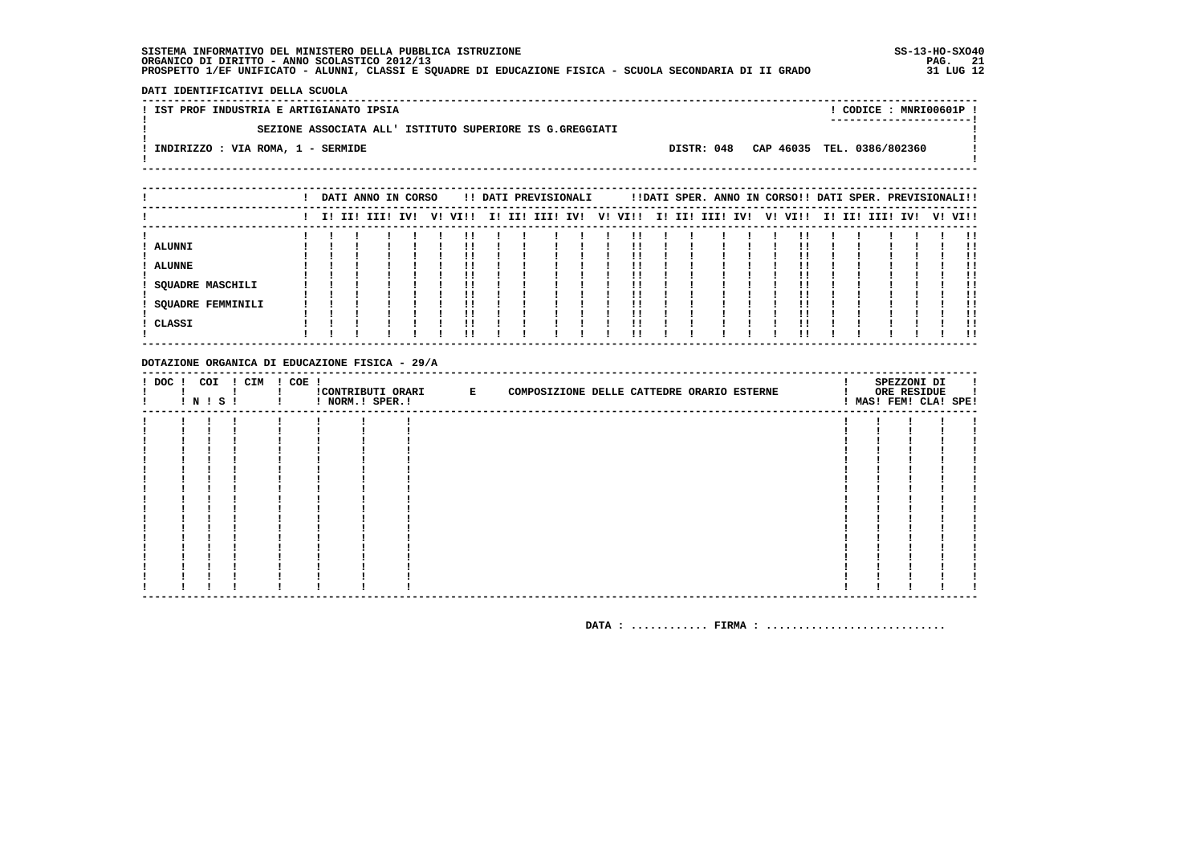- 1  $\mathbf{I}$ 

 $\mathbf{I}$ 

DATI IDENTIFICATIVI DELLA SCUOLA

! IST PROF INDUSTRIA E ARTIGIANATO IPSIA ! CODICE: MNRI00601P !  $\mathbf{I}$ SEZIONE ASSOCIATA ALL' ISTITUTO SUPERIORE IS G.GREGGIATI  $\mathbf{I}$ -.<br>! INDIRIZZO : VIA ROMA, 1 - SERMIDE DISTR: 048 CAP 46035 TEL. 0386/802360 **Contract Contract**  $\mathbf{I}$ 

|                          |  | DATI ANNO IN CORSO |     |    |      |     | !! DATI PREVISIONALI |  |         |  | !!DATI SPER. ANNO IN CORSO!! DATI SPER. PREVISIONALI!! |  |         |     |          |     |           |
|--------------------------|--|--------------------|-----|----|------|-----|----------------------|--|---------|--|--------------------------------------------------------|--|---------|-----|----------|-----|-----------|
|                          |  | I! II! III!        | IV! | V! | VI!! | II. | II! III! IV!         |  | V! VI!! |  | I! II! III! IV!                                        |  | V! VI!! | II. | II! III! | IV! | V! VI!!   |
| ALUNNI                   |  |                    |     |    |      |     |                      |  | !!      |  |                                                        |  |         |     |          |     | . .<br>!! |
| <b>ALUNNE</b>            |  |                    |     |    | !!   |     |                      |  | !!      |  |                                                        |  |         |     |          |     |           |
| <b>SQUADRE MASCHILI</b>  |  |                    |     |    |      |     |                      |  | ΙI      |  |                                                        |  |         |     |          |     | . .<br>!! |
|                          |  |                    |     |    |      |     |                      |  |         |  |                                                        |  |         |     |          |     |           |
| <b>SQUADRE FEMMINILI</b> |  |                    |     |    |      |     |                      |  |         |  |                                                        |  |         |     |          |     | -11<br>!! |
| CLASSI                   |  |                    |     |    |      |     |                      |  | !!      |  |                                                        |  |         |     |          |     | -11       |

#### DOTAZIONE ORGANICA DI EDUCAZIONE FISICA - 29/A

| ! DOC ! | ! N ! S ! | COI ! CIM | ! COE ! | ! NORM.! SPER.! | ! CONTRIBUTI ORARI E | COMPOSIZIONE DELLE CATTEDRE ORARIO ESTERNE |  | SPEZZONI DI<br>ORE RESIDUE<br>! MAS! FEM! CLA! SPE! |  |
|---------|-----------|-----------|---------|-----------------|----------------------|--------------------------------------------|--|-----------------------------------------------------|--|
|         |           |           |         |                 |                      |                                            |  |                                                     |  |
|         |           |           |         |                 |                      |                                            |  |                                                     |  |
|         |           |           |         |                 |                      |                                            |  |                                                     |  |
|         |           |           |         |                 |                      |                                            |  |                                                     |  |
|         |           |           |         |                 |                      |                                            |  |                                                     |  |
|         |           |           |         |                 |                      |                                            |  |                                                     |  |
|         |           |           |         |                 |                      |                                            |  |                                                     |  |
|         |           |           |         |                 |                      |                                            |  |                                                     |  |
|         |           |           |         |                 |                      |                                            |  |                                                     |  |
|         |           |           |         |                 |                      |                                            |  |                                                     |  |
|         |           |           |         |                 |                      |                                            |  |                                                     |  |
|         |           |           |         |                 |                      |                                            |  |                                                     |  |
|         |           |           |         |                 |                      |                                            |  |                                                     |  |
|         |           |           |         |                 |                      |                                            |  |                                                     |  |
|         |           |           |         |                 |                      |                                            |  |                                                     |  |
|         |           |           |         |                 |                      |                                            |  |                                                     |  |
|         |           |           |         |                 |                      |                                            |  |                                                     |  |
|         |           |           |         |                 |                      |                                            |  |                                                     |  |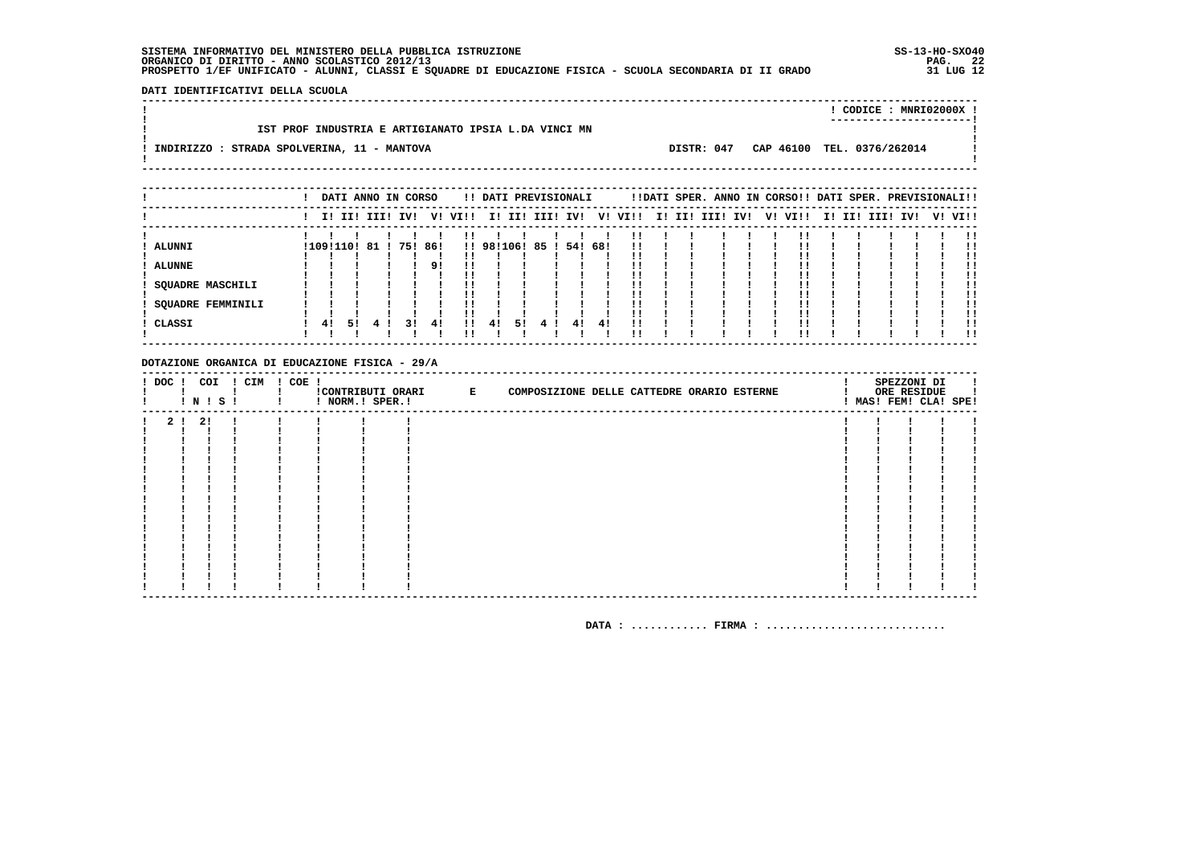DATI IDENTIFICATIVI DELLA SCUOLA 

|                                                      |            | CODICE: MNRI02000X !<br>---------------------- |  |
|------------------------------------------------------|------------|------------------------------------------------|--|
| IST PROF INDUSTRIA E ARTIGIANATO IPSIA L.DA VINCI MN |            |                                                |  |
| INDIRIZZO : STRADA SPOLVERINA, 11 - MANTOVA          | DISTR: 047 | CAP 46100 TEL. 0376/262014                     |  |
|                                                      |            |                                                |  |

|                         |           |     | DATI ANNO IN CORSO |     |     |         |            |    | !! DATI PREVISIONALI |         |    |         |  | !!DATI SPER. ANNO IN CORSO!! DATI SPER. PREVISIONALI!! |  |         |  |             |     |    |           |
|-------------------------|-----------|-----|--------------------|-----|-----|---------|------------|----|----------------------|---------|----|---------|--|--------------------------------------------------------|--|---------|--|-------------|-----|----|-----------|
|                         |           |     | I! II! III!        | IV! |     | V! VI!! |            |    | I! II! III! IV!      |         |    | V! VI!! |  | I! II! III! IV!                                        |  | V! VI!! |  | I! II! III! | IV! | V! | VI!!      |
| <b>ALUNNI</b>           | !109!110! |     | -81                |     |     |         | !! 98!106! |    |                      | 54! 68! |    |         |  |                                                        |  |         |  |             |     |    | !!        |
|                         |           |     |                    | 751 | 86! |         |            |    | 85                   |         |    | !!      |  |                                                        |  |         |  |             |     |    | !!        |
| <b>ALUNNE</b>           |           |     |                    |     | 91  |         |            |    |                      |         |    |         |  |                                                        |  |         |  |             |     |    | !!        |
| <b>SQUADRE MASCHILI</b> |           |     |                    |     |     |         |            |    |                      |         |    |         |  |                                                        |  |         |  |             |     |    |           |
| SQUADRE FEMMINILI       |           |     |                    |     |     |         |            |    |                      |         |    |         |  |                                                        |  |         |  |             |     |    | !!<br>. . |
| CLASSI                  | 41        | -51 |                    | 31  | 41  |         | 41         | 51 | 4                    | 41      | 41 | !!      |  |                                                        |  |         |  |             |     |    | !!        |
|                         |           |     |                    |     |     |         |            |    |                      |         |    |         |  |                                                        |  |         |  |             |     |    |           |

#### DOTAZIONE ORGANICA DI EDUCAZIONE FISICA - 29/A

| ! DOC !        | COI<br>! N ! S ! | ! CIM | ! COE ! | ! NORM.! SPER.! | !CONTRIBUTI ORARI E | COMPOSIZIONE DELLE CATTEDRE ORARIO ESTERNE |  | SPEZZONI DI<br>ORE RESIDUE<br>! MAS! FEM! CLA! SPE! | л. |
|----------------|------------------|-------|---------|-----------------|---------------------|--------------------------------------------|--|-----------------------------------------------------|----|
| 2 <sub>1</sub> | 2!               |       |         |                 |                     |                                            |  |                                                     |    |
|                |                  |       |         |                 |                     |                                            |  |                                                     |    |
|                |                  |       |         |                 |                     |                                            |  |                                                     |    |
|                |                  |       |         |                 |                     |                                            |  |                                                     |    |
|                |                  |       |         |                 |                     |                                            |  |                                                     |    |
|                |                  |       |         |                 |                     |                                            |  |                                                     |    |
|                |                  |       |         |                 |                     |                                            |  |                                                     |    |
|                |                  |       |         |                 |                     |                                            |  |                                                     |    |
|                |                  |       |         |                 |                     |                                            |  |                                                     |    |
|                |                  |       |         |                 |                     |                                            |  |                                                     |    |
|                |                  |       |         |                 |                     |                                            |  |                                                     |    |
|                |                  |       |         |                 |                     |                                            |  |                                                     |    |
|                |                  |       |         |                 |                     |                                            |  |                                                     |    |
|                |                  |       |         |                 |                     |                                            |  |                                                     |    |
|                |                  |       |         |                 |                     |                                            |  |                                                     |    |
|                |                  |       |         |                 |                     |                                            |  |                                                     |    |
|                |                  |       |         |                 |                     |                                            |  |                                                     |    |
|                |                  |       |         |                 |                     |                                            |  |                                                     |    |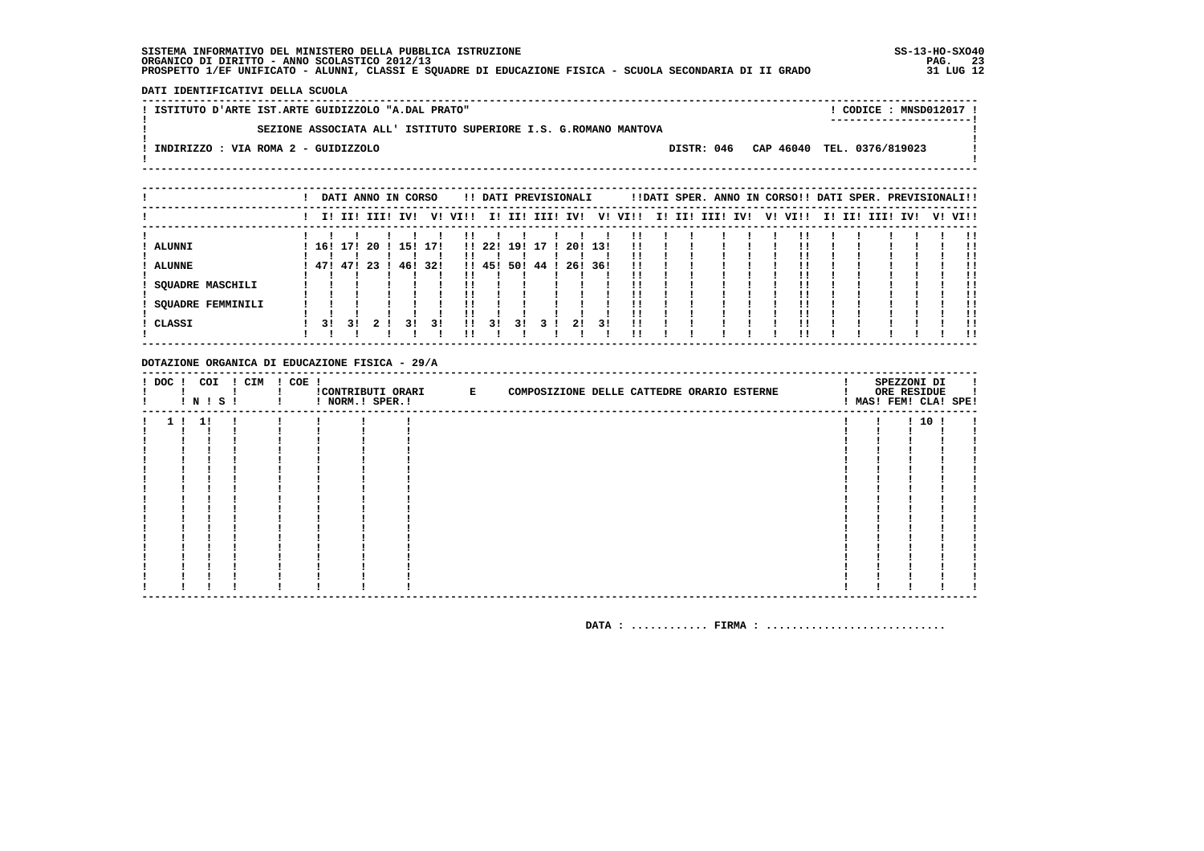DATI IDENTIFICATIVI DELLA SCUOLA

| ! ISTITUTO D'ARTE IST.ARTE GUIDIZZOLO "A.DAL PRATO"             |  | CODICE : MNSD012017 !<br>----------------------- |  |
|-----------------------------------------------------------------|--|--------------------------------------------------|--|
| SEZIONE ASSOCIATA ALL' ISTITUTO SUPERIORE I.S. G.ROMANO MANTOVA |  |                                                  |  |
| INDIRIZZO : VIA ROMA 2 - GUIDIZZOLO                             |  | DISTR: 046 CAP 46040 TEL. 0376/819023            |  |
|                                                                 |  |                                                  |  |

|                   |     |     |     | DATI ANNO IN CORSO |     |         |       |     | !! DATI PREVISIONALI |     |     |                         |  | !!DATI SPER. ANNO IN CORSO!! DATI SPER. PREVISIONALI!! |  |  |             |     |         |
|-------------------|-----|-----|-----|--------------------|-----|---------|-------|-----|----------------------|-----|-----|-------------------------|--|--------------------------------------------------------|--|--|-------------|-----|---------|
|                   |     |     |     | I! II! III! IV!    |     | V! VI!! |       |     |                      |     |     | I! II! III! IV! V! VI!! |  | I! II! III! IV!  V! VI!!                               |  |  | I! II! III! | IV! | V! VI!! |
|                   |     |     |     |                    |     |         |       |     |                      |     |     |                         |  |                                                        |  |  |             |     |         |
| ALUNNI            | 16! | 171 | -20 | 15!                | 171 |         | 11221 | 191 | -17                  | 201 | 131 | !!                      |  |                                                        |  |  |             |     | !!      |
|                   |     |     |     |                    |     |         |       |     |                      |     |     |                         |  |                                                        |  |  |             |     |         |
| <b>ALUNNE</b>     | 471 | 47! | -23 | 46!                | 32! |         | 1!45! | 50! | 44                   | 26! | 36! | 11                      |  |                                                        |  |  |             |     |         |
|                   |     |     |     |                    |     |         |       |     |                      |     |     |                         |  |                                                        |  |  |             |     |         |
| SOUADRE MASCHILI  |     |     |     |                    |     |         |       |     |                      |     |     |                         |  |                                                        |  |  |             |     | !!      |
|                   |     |     |     |                    |     |         |       |     |                      |     |     |                         |  |                                                        |  |  |             |     |         |
| SQUADRE FEMMINILI |     |     |     |                    |     |         |       |     |                      |     |     |                         |  |                                                        |  |  |             |     | !!      |
|                   |     |     |     |                    |     |         |       |     |                      |     |     |                         |  |                                                        |  |  |             |     | !!      |
| CLASSI            | 31  | 31  |     | 31                 | 31  | !!      | 31    | 31  |                      | 21  | 31  | !!                      |  |                                                        |  |  |             |     |         |
|                   |     |     |     |                    |     |         |       |     |                      |     |     |                         |  |                                                        |  |  |             |     | . .     |

#### DOTAZIONE ORGANICA DI EDUCAZIONE FISICA - 29/A

| $!$ DOC $!$ | COI<br>! N ! S ! | ! CIM | $! COE$ ! | ! NORM.! SPER.! | !CONTRIBUTI ORARI E | COMPOSIZIONE DELLE CATTEDRE ORARIO ESTERNE |  | SPEZZONI DI<br>ORE RESIDUE<br>! MAS! FEM! CLA! SPE! |  |
|-------------|------------------|-------|-----------|-----------------|---------------------|--------------------------------------------|--|-----------------------------------------------------|--|
|             | -11              |       |           |                 |                     |                                            |  | 1101                                                |  |
|             |                  |       |           |                 |                     |                                            |  |                                                     |  |
|             |                  |       |           |                 |                     |                                            |  |                                                     |  |
|             |                  |       |           |                 |                     |                                            |  |                                                     |  |
|             |                  |       |           |                 |                     |                                            |  |                                                     |  |
|             |                  |       |           |                 |                     |                                            |  |                                                     |  |
|             |                  |       |           |                 |                     |                                            |  |                                                     |  |
|             |                  |       |           |                 |                     |                                            |  |                                                     |  |
|             |                  |       |           |                 |                     |                                            |  |                                                     |  |
|             |                  |       |           |                 |                     |                                            |  |                                                     |  |
|             |                  |       |           |                 |                     |                                            |  |                                                     |  |
|             |                  |       |           |                 |                     |                                            |  |                                                     |  |
|             |                  |       |           |                 |                     |                                            |  |                                                     |  |
|             |                  |       |           |                 |                     |                                            |  |                                                     |  |
|             |                  |       |           |                 |                     |                                            |  |                                                     |  |
|             |                  |       |           |                 |                     |                                            |  |                                                     |  |
|             |                  |       |           |                 |                     |                                            |  |                                                     |  |
|             |                  |       |           |                 |                     |                                            |  |                                                     |  |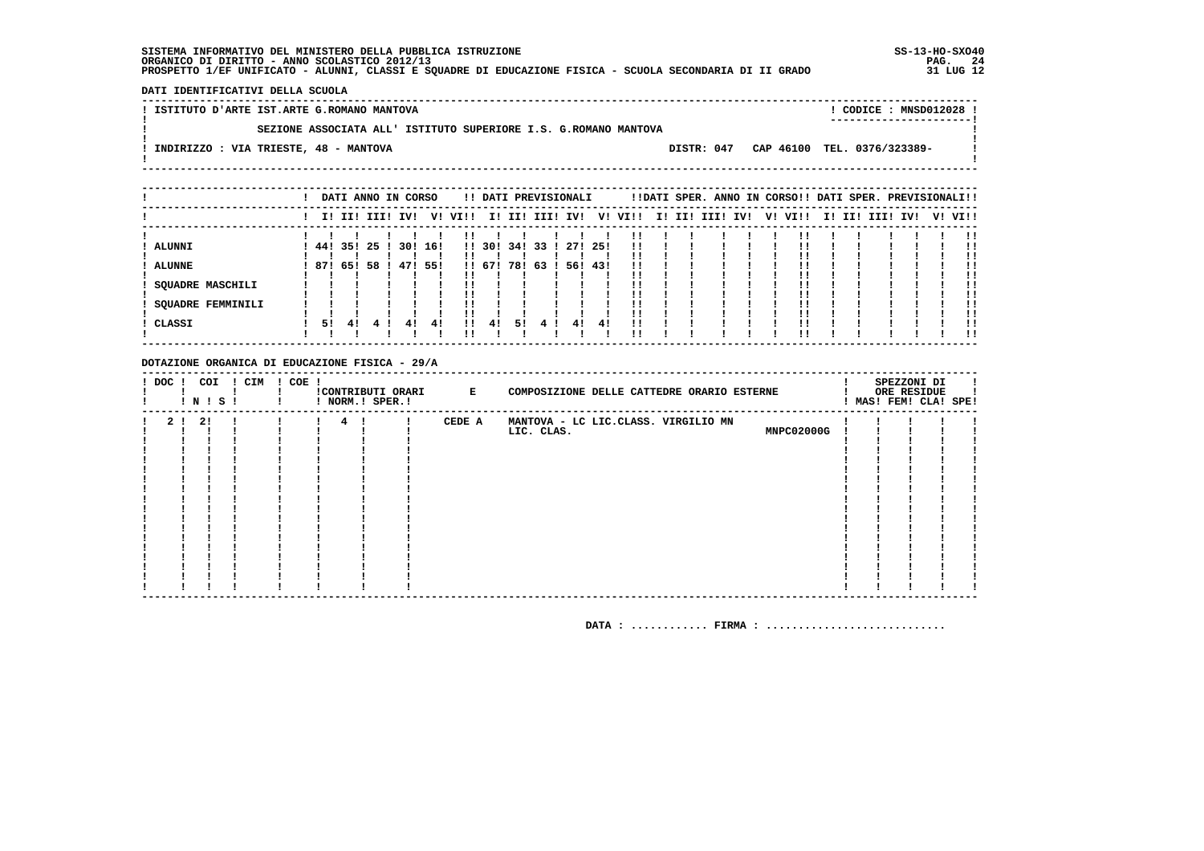DATI IDENTIFICATIVI DELLA SCUOLA

! ISTITUTO D'ARTE IST.ARTE G.ROMANO MANTOVA ! CODICE : MNSD012028 !  $\mathbf{I}$ SEZIONE ASSOCIATA ALL' ISTITUTO SUPERIORE I.S. G.ROMANO MANTOVA  $\mathbf{I}$ - 1  $\mathbf{I}$ -.<br>! INDIRIZZO : VIA TRIESTE, 48 - MANTOVA DISTR: 047 CAP 46100 TEL. 0376/323389- $\sim$  1.  $\mathbf{I}$  $\mathbf{I}$ 

|                   |         |     |    |      | DATI ANNO IN CORSO |     |         |        |     | !! DATI PREVISIONALI |         |     |         |  | !!DATI SPER. ANNO IN CORSO!! DATI SPER. PREVISIONALI!! |  |         |  |             |     |         |
|-------------------|---------|-----|----|------|--------------------|-----|---------|--------|-----|----------------------|---------|-----|---------|--|--------------------------------------------------------|--|---------|--|-------------|-----|---------|
|                   |         |     |    |      | I! II! III! IV!    |     | V! VI!! |        |     | I! II! III! IV!      |         |     | V! VI!! |  | I! II! III! IV!                                        |  | V! VI!! |  | I! II! III! | IV! | V! VI!! |
|                   |         |     |    |      |                    |     |         |        |     |                      |         |     |         |  |                                                        |  |         |  |             |     |         |
| ALUNNI            | 44! 35! |     |    | 25 I | 30!                | 16! |         | !! 30! | 34! | 33                   | 27! 25! |     |         |  |                                                        |  |         |  |             |     | !!      |
|                   |         |     |    |      |                    |     |         |        |     |                      |         |     |         |  |                                                        |  |         |  |             |     |         |
| <b>ALUNNE</b>     | 871     | 65! | 58 |      | 47! 55!            |     |         | !! 67! | 78! | 63                   | 56!     | 43! | !!      |  |                                                        |  |         |  |             |     |         |
|                   |         |     |    |      |                    |     |         |        |     |                      |         |     |         |  |                                                        |  |         |  |             |     | !!      |
| SOUADRE MASCHILI  |         |     |    |      |                    |     |         |        |     |                      |         |     |         |  |                                                        |  |         |  |             |     | !!      |
|                   |         |     |    |      |                    |     |         |        |     |                      |         |     |         |  |                                                        |  |         |  |             |     |         |
| SOUADRE FEMMINILI |         |     |    |      |                    |     |         |        |     |                      |         |     |         |  |                                                        |  |         |  |             |     | !!      |
|                   |         |     |    |      |                    |     |         |        |     |                      |         |     |         |  |                                                        |  |         |  |             |     | !!      |
| CLASSI            | 51      | 41  |    |      | 41                 | 41  | 11      | 41     | 51  |                      | 41      | 41  | 11      |  |                                                        |  |         |  |             |     |         |
|                   |         |     |    |      |                    |     |         |        |     |                      |         |     |         |  |                                                        |  |         |  |             |     | !!      |

#### DOTAZIONE ORGANICA DI EDUCAZIONE FISICA - 29/A

| ! DOC !        |    | COI<br><b>!N!S!</b> | ! CIM ! COE ! |                 | ! NORM.! SPER.! | !CONTRIBUTI ORARI E | COMPOSIZIONE DELLE CATTEDRE ORARIO ESTERNE |  | SPEZZONI DI<br>ORE RESIDUE<br>! MAS! FEM! CLA! SPE! |  |
|----------------|----|---------------------|---------------|-----------------|-----------------|---------------------|--------------------------------------------|--|-----------------------------------------------------|--|
| 2 <sub>1</sub> | 21 |                     |               | $4\overline{ }$ |                 | CEDE A              | MANTOVA - LC LIC.CLASS. VIRGILIO MN        |  |                                                     |  |
|                |    |                     |               |                 |                 |                     | MNPC02000G<br>LIC. CLAS.                   |  |                                                     |  |
|                |    |                     |               |                 |                 |                     |                                            |  |                                                     |  |
|                |    |                     |               |                 |                 |                     |                                            |  |                                                     |  |
|                |    |                     |               |                 |                 |                     |                                            |  |                                                     |  |
|                |    |                     |               |                 |                 |                     |                                            |  |                                                     |  |
|                |    |                     |               |                 |                 |                     |                                            |  |                                                     |  |
|                |    |                     |               |                 |                 |                     |                                            |  |                                                     |  |
|                |    |                     |               |                 |                 |                     |                                            |  |                                                     |  |
|                |    |                     |               |                 |                 |                     |                                            |  |                                                     |  |
|                |    |                     |               |                 |                 |                     |                                            |  |                                                     |  |
|                |    |                     |               |                 |                 |                     |                                            |  |                                                     |  |
|                |    |                     |               |                 |                 |                     |                                            |  |                                                     |  |
|                |    |                     |               |                 |                 |                     |                                            |  |                                                     |  |
|                |    |                     |               |                 |                 |                     |                                            |  |                                                     |  |
|                |    |                     |               |                 |                 |                     |                                            |  |                                                     |  |
|                |    |                     |               |                 |                 |                     |                                            |  |                                                     |  |
|                |    |                     |               |                 |                 |                     |                                            |  |                                                     |  |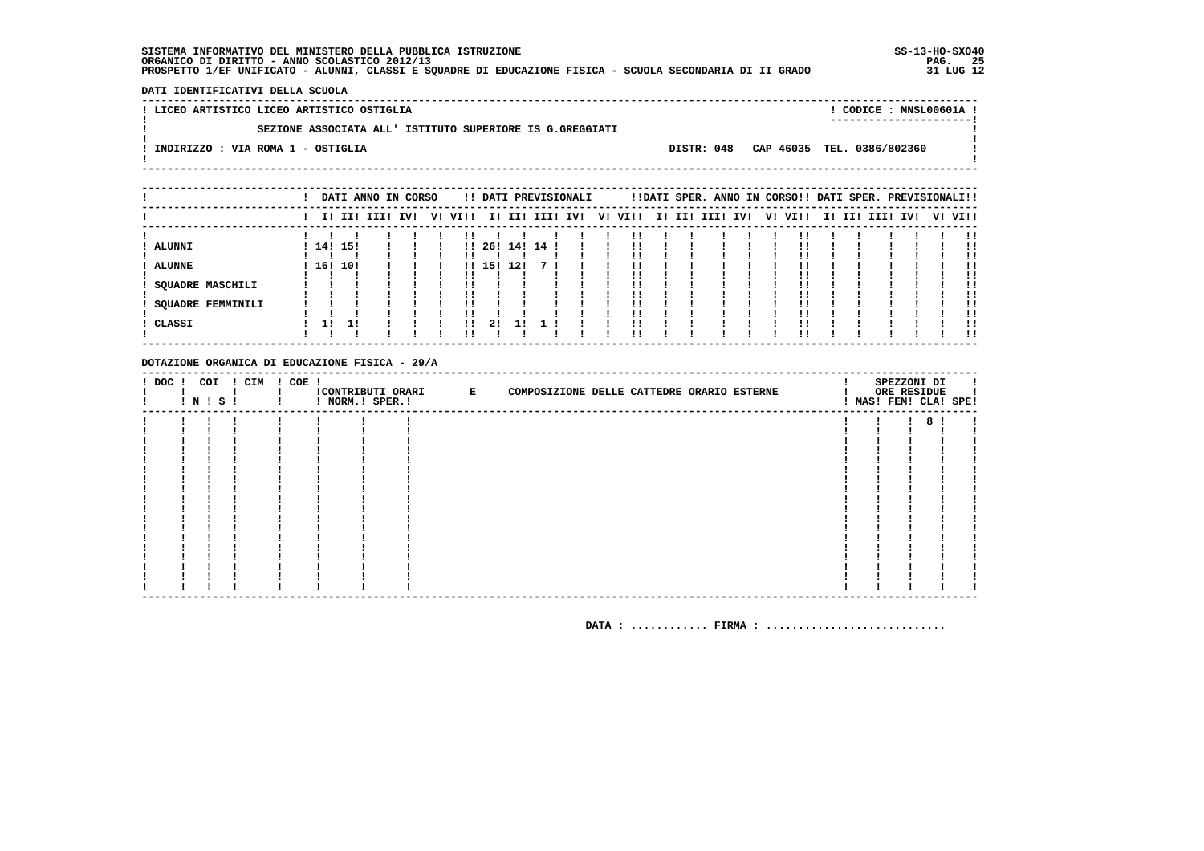- 1

 $\mathbf{I}$ 

 $\mathbf{I}$ 

**Contract Contract** 

! CODICE : MNSL00601A ! 

DATI IDENTIFICATIVI DELLA SCUOLA 

 $\mathbf{I}$ 

 $\mathbf{I}$ 

 $\mathbf{I}$ 

 $\frac{1}{2} \frac{1}{2} \frac{1}{2} \frac{1}{2} \frac{1}{2} \frac{1}{2} \frac{1}{2} \frac{1}{2} \frac{1}{2} \frac{1}{2} \frac{1}{2} \frac{1}{2} \frac{1}{2} \frac{1}{2} \frac{1}{2} \frac{1}{2} \frac{1}{2} \frac{1}{2} \frac{1}{2} \frac{1}{2} \frac{1}{2} \frac{1}{2} \frac{1}{2} \frac{1}{2} \frac{1}{2} \frac{1}{2} \frac{1}{2} \frac{1}{2} \frac{1}{2} \frac{1}{2} \frac{1}{2} \frac{$ 

! LICEO ARTISTICO LICEO ARTISTICO OSTIGLIA  $\mathbf{L}$ SEZIONE ASSOCIATA ALL' ISTITUTO SUPERIORE IS G.GREGGIATI : INDIRIZZO : VIA ROMA 1 - OSTIGLIA

DISTR: 048 CAP 46035 TEL. 0386/802360

|                   |           |         | DATI ANNO IN CORSO |  |         |         |     |    | !! DATI PREVISIONALI |         |  | !!DATI SPER. ANNO IN CORSO!! DATI SPER. PREVISIONALI!! |  |         |  |             |     |         |
|-------------------|-----------|---------|--------------------|--|---------|---------|-----|----|----------------------|---------|--|--------------------------------------------------------|--|---------|--|-------------|-----|---------|
|                   |           |         | I! II! III! IV!    |  | V! VI!! |         |     |    | I! II! III! IV!      | V! VI!! |  | I! II! III! IV!                                        |  | V! VI!! |  | I! II! III! | IV! | V! VI!! |
|                   |           |         |                    |  |         |         |     |    |                      |         |  |                                                        |  |         |  |             |     | !!      |
| ALUNNI            |           | 14! 15! |                    |  |         | 11, 261 | 14! | 14 |                      | !!      |  |                                                        |  |         |  |             |     |         |
|                   |           |         |                    |  |         |         |     |    |                      |         |  |                                                        |  |         |  |             |     |         |
| <b>ALUNNE</b>     |           | 16! 10! |                    |  |         | !! 15!  | 12! |    |                      |         |  |                                                        |  |         |  |             |     | !!      |
|                   |           |         |                    |  |         |         |     |    |                      | !!      |  |                                                        |  |         |  |             |     | !!      |
| SQUADRE MASCHILI  |           |         |                    |  |         |         |     |    |                      | ' '     |  |                                                        |  |         |  |             |     |         |
|                   |           |         |                    |  |         |         |     |    |                      |         |  |                                                        |  |         |  |             |     |         |
| SQUADRE FEMMINILI |           |         |                    |  |         |         |     |    |                      | !!      |  |                                                        |  |         |  |             |     | .,      |
|                   |           |         |                    |  |         |         |     |    |                      | !!      |  |                                                        |  |         |  |             |     | !!      |
| CLASSI            | <b>11</b> |         |                    |  | !!      | 21      |     |    |                      | 11      |  |                                                        |  |         |  |             |     |         |
|                   |           |         |                    |  |         |         |     |    |                      |         |  |                                                        |  |         |  |             |     | !!      |
|                   |           |         |                    |  |         |         |     |    |                      |         |  |                                                        |  |         |  |             |     |         |

#### DOTAZIONE ORGANICA DI EDUCAZIONE FISICA - 29/A

|  | ! N ! S ! | ! DOC ! COI ! CIM ! COE ! | ! NORM.! SPER.! | CONTRIBUTI ORARI E | COMPOSIZIONE DELLE CATTEDRE ORARIO ESTERNE |  | SPEZZONI DI<br>ORE RESIDUE | л.<br>! MAS! FEM! CLA! SPE! |
|--|-----------|---------------------------|-----------------|--------------------|--------------------------------------------|--|----------------------------|-----------------------------|
|  |           |                           |                 |                    |                                            |  | ۰                          |                             |
|  |           |                           |                 |                    |                                            |  |                            |                             |
|  |           |                           |                 |                    |                                            |  |                            |                             |
|  |           |                           |                 |                    |                                            |  |                            |                             |
|  |           |                           |                 |                    |                                            |  |                            |                             |
|  |           |                           |                 |                    |                                            |  |                            |                             |
|  |           |                           |                 |                    |                                            |  |                            |                             |
|  |           |                           |                 |                    |                                            |  |                            |                             |
|  |           |                           |                 |                    |                                            |  |                            |                             |
|  |           |                           |                 |                    |                                            |  |                            |                             |
|  |           |                           |                 |                    |                                            |  |                            |                             |
|  |           |                           |                 |                    |                                            |  |                            |                             |
|  |           |                           |                 |                    |                                            |  |                            |                             |
|  |           |                           |                 |                    |                                            |  |                            |                             |
|  |           |                           |                 |                    |                                            |  |                            |                             |
|  |           |                           |                 |                    |                                            |  |                            |                             |
|  |           |                           |                 |                    |                                            |  |                            |                             |
|  |           |                           |                 |                    |                                            |  |                            |                             |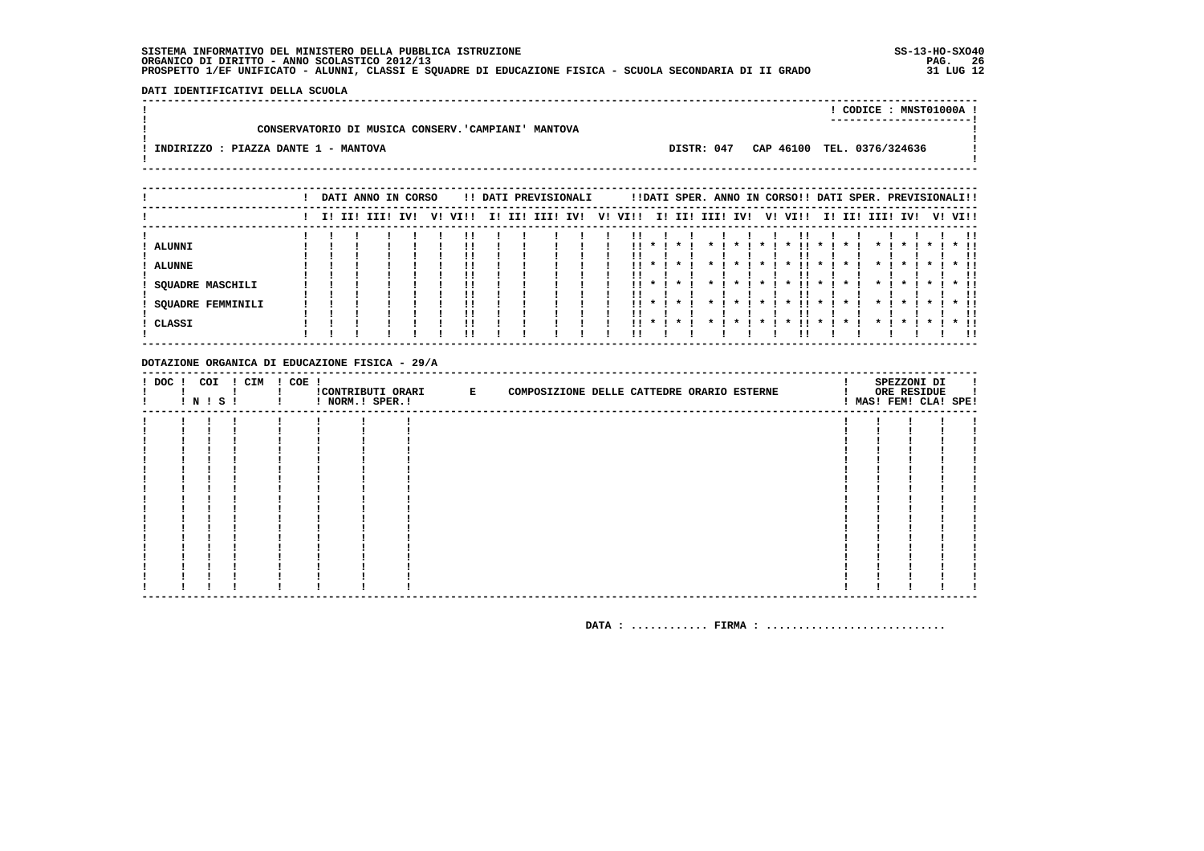DATI IDENTIFICATIVI DELLA SCUOLA

|                                                    |  | CODICE: MNST01000A!        |
|----------------------------------------------------|--|----------------------------|
|                                                    |  | -----------------------    |
| CONSERVATORIO DI MUSICA CONSERV. CAMPIANI' MANTOVA |  |                            |
|                                                    |  |                            |
| INDIRIZZO : PIAZZA DANTE 1 - MANTOVA<br>DISTR: 047 |  | CAP 46100 TEL. 0376/324636 |
|                                                    |  |                            |
|                                                    |  |                            |

|                          |  | DATI ANNO IN CORSO |     |         |  | !! DATI PREVISIONALI |    |      |          |                    |              |                 |                 | !!DATI SPER. ANNO IN CORSO!! DATI SPER. PREVISIONALI!! |              |         |                         |                    |           |         |
|--------------------------|--|--------------------|-----|---------|--|----------------------|----|------|----------|--------------------|--------------|-----------------|-----------------|--------------------------------------------------------|--------------|---------|-------------------------|--------------------|-----------|---------|
|                          |  | I! II! III!        | IVI | V! VI!! |  | I! II! III! IV!      | V! | VI!! |          |                    |              | I! II! III! IV! |                 | V! VI!!                                                |              |         | I! II! III!             | IVI                |           | V! VI!! |
|                          |  |                    |     |         |  |                      |    |      |          |                    |              |                 |                 |                                                        |              |         |                         |                    |           |         |
| ALUNNI                   |  |                    |     |         |  |                      |    |      | $11 * 1$ | $\star$ 1          |              | $\star$ $\cdot$ | $\star$ I       | $\mathbf{x}$<br>. .                                    | $\star$ 1    |         |                         | $\mathbf{r}$       |           | $*$ 11  |
|                          |  |                    |     |         |  |                      |    |      |          |                    |              |                 |                 |                                                        |              |         |                         |                    |           |         |
| <b>ALUNNE</b>            |  |                    |     |         |  |                      |    | . .  |          |                    |              |                 |                 |                                                        |              |         |                         |                    |           | $*$ !!  |
|                          |  |                    |     |         |  |                      |    |      |          |                    |              |                 |                 |                                                        |              |         |                         |                    |           |         |
| SQUADRE MASCHILI         |  |                    |     |         |  |                      |    |      |          | $11 * 1 * 1$       |              |                 | $\star$ $\cdot$ | . .<br>$\cdot$                                         | $\mathbf{x}$ | $\star$ | $\star$ $\cdot$ $\cdot$ |                    | * 1 * 1   | $*$ 11  |
|                          |  |                    |     |         |  |                      |    |      |          |                    |              |                 |                 |                                                        |              |         |                         |                    |           |         |
| <b>SQUADRE FEMMINILI</b> |  |                    |     |         |  |                      |    |      | $11 * 1$ | $\boldsymbol{\pi}$ | $\mathbf{x}$ | $\mathbf{x}$    | $\mathbf{x}$    | !!<br>$\mathbf x$                                      | $\mathbf{x}$ |         | $\mathbf x$             | $\boldsymbol{\pi}$ | $\star$ I | $*$ 11  |
|                          |  |                    |     |         |  |                      |    |      |          |                    |              |                 |                 |                                                        |              |         |                         |                    |           | -11     |
| CLASSI                   |  |                    |     |         |  |                      |    | . .  | $\cdot$  |                    |              |                 |                 |                                                        |              |         |                         |                    |           |         |
|                          |  |                    |     |         |  |                      |    |      |          |                    |              |                 |                 |                                                        |              |         |                         |                    |           | -11     |

#### DOTAZIONE ORGANICA DI EDUCAZIONE FISICA - 29/A

| ! DOC ! | COI<br>$!$ N $!$ S $!$ | ! CIM | ! COE ! | ! NORM.! SPER.! | CONTRIBUTI ORARI E | COMPOSIZIONE DELLE CATTEDRE ORARIO ESTERNE |  | SPEZZONI DI<br>ORE RESIDUE<br>! MAS! FEM! CLA! SPE! |  |
|---------|------------------------|-------|---------|-----------------|--------------------|--------------------------------------------|--|-----------------------------------------------------|--|
|         |                        |       |         |                 |                    |                                            |  |                                                     |  |
|         |                        |       |         |                 |                    |                                            |  |                                                     |  |
|         |                        |       |         |                 |                    |                                            |  |                                                     |  |
|         |                        |       |         |                 |                    |                                            |  |                                                     |  |
|         |                        |       |         |                 |                    |                                            |  |                                                     |  |
|         |                        |       |         |                 |                    |                                            |  |                                                     |  |
|         |                        |       |         |                 |                    |                                            |  |                                                     |  |
|         |                        |       |         |                 |                    |                                            |  |                                                     |  |
|         |                        |       |         |                 |                    |                                            |  |                                                     |  |
|         |                        |       |         |                 |                    |                                            |  |                                                     |  |
|         |                        |       |         |                 |                    |                                            |  |                                                     |  |
|         |                        |       |         |                 |                    |                                            |  |                                                     |  |
|         |                        |       |         |                 |                    |                                            |  |                                                     |  |
|         |                        |       |         |                 |                    |                                            |  |                                                     |  |
|         |                        |       |         |                 |                    |                                            |  |                                                     |  |
|         |                        |       |         |                 |                    |                                            |  |                                                     |  |
|         |                        |       |         |                 |                    |                                            |  |                                                     |  |
|         |                        |       |         |                 |                    |                                            |  |                                                     |  |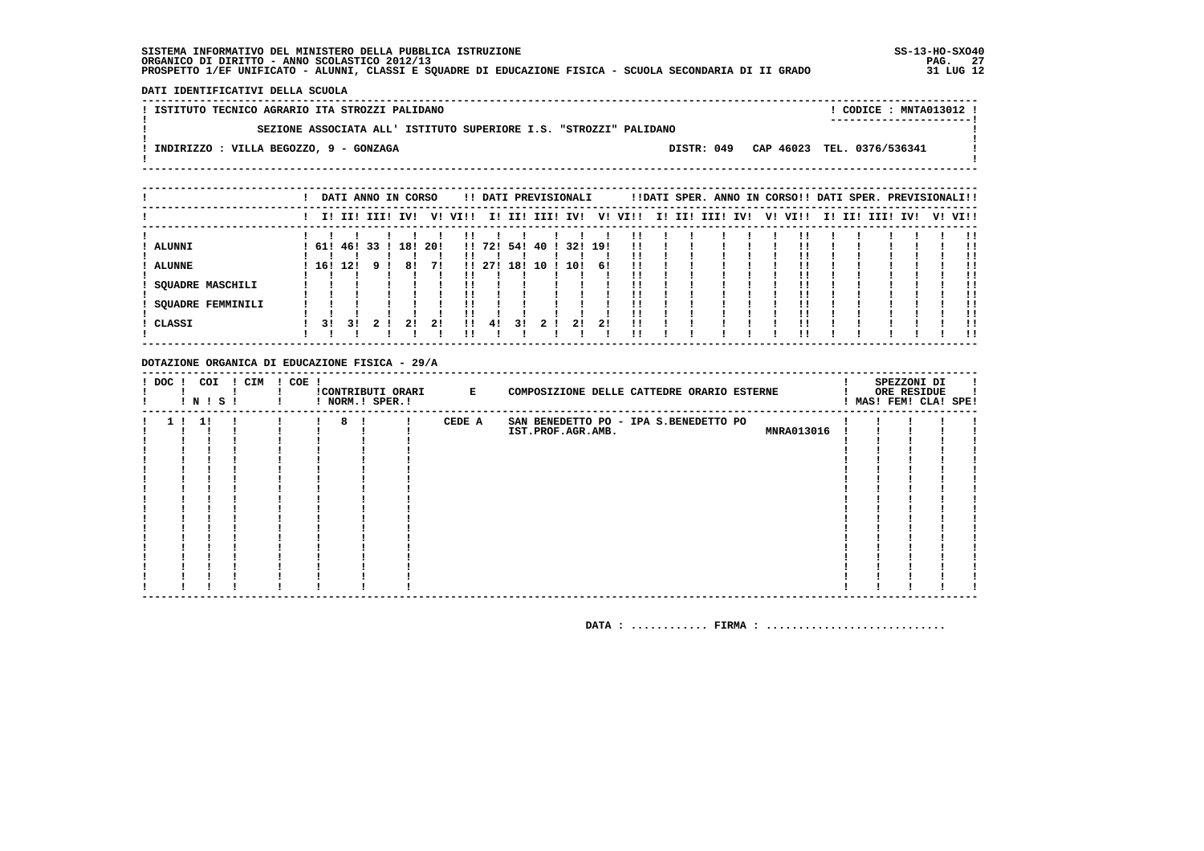DATI IDENTIFICATIVI DELLA SCUOLA

! ISTITUTO TECNICO AGRARIO ITA STROZZI PALIDANO ! CODICE : MNTA013012 !  $\mathbf{I}$ SEZIONE ASSOCIATA ALL' ISTITUTO SUPERIORE I.S. "STROZZI" PALIDANO  $\mathbf{I}$ - 1  $\mathbf{I}$ -.<br>! INDIRIZZO : VILLA BEGOZZO, 9 - GONZAGA DISTR: 049 CAP 46023 TEL. 0376/536341 **Contract Contract**  $\mathbf{I}$  $\mathbf{I}$ 

|                         |     |     |    | DATI ANNO IN CORSO |      |         |            |     | !! DATI PREVISIONALI |     |     |         |  | !!DATI SPER. ANNO IN CORSO!! DATI SPER. PREVISIONALI!! |  |  |             |     |         |
|-------------------------|-----|-----|----|--------------------|------|---------|------------|-----|----------------------|-----|-----|---------|--|--------------------------------------------------------|--|--|-------------|-----|---------|
|                         |     |     |    | I! II! III! IV!    |      | V! VI!! |            |     | I! II! III! IV!      |     |     | V! VI!! |  | I! II! III! IV! V! VI!!                                |  |  | I! II! III! | IV! | V! VI!! |
|                         |     |     |    |                    |      |         |            |     |                      |     |     |         |  |                                                        |  |  |             |     |         |
| ALUNNI                  | 61! | 46! | 33 | 18!                | -201 |         | !! 72! 54! |     | 40                   | 32! | 191 | !!      |  |                                                        |  |  |             |     | !!      |
|                         |     |     |    |                    |      |         |            |     |                      |     |     |         |  |                                                        |  |  |             |     | !!      |
| <b>ALUNNE</b>           | 16! | 12! | a  | 81                 | 71   |         | !! 27!     | 18! | 10                   | 10! | 61  | !!      |  |                                                        |  |  |             |     |         |
|                         |     |     |    |                    |      |         |            |     |                      |     |     |         |  |                                                        |  |  |             |     |         |
| <b>SQUADRE MASCHILI</b> |     |     |    |                    |      |         |            |     |                      |     |     |         |  |                                                        |  |  |             |     | !!      |
|                         |     |     |    |                    |      |         |            |     |                      |     |     |         |  |                                                        |  |  |             |     |         |
| SQUADRE FEMMINILI       |     |     |    |                    |      |         |            |     |                      |     |     |         |  |                                                        |  |  |             |     | !!      |
|                         |     |     |    |                    |      |         |            |     |                      |     |     | !!      |  |                                                        |  |  |             |     | !!      |
| CLASSI                  | 31  | 31  |    | 2!                 | 21   | 11      | 41         | 31  | 2                    | 21  | 21  | 11      |  |                                                        |  |  |             |     |         |
|                         |     |     |    |                    |      |         |            |     |                      |     |     |         |  |                                                        |  |  |             |     | . .     |

#### DOTAZIONE ORGANICA DI EDUCAZIONE FISICA - 29/A

| ! DOC ! | COI<br>! N ! S ! | ! CIM ! COE ! |   | ! NORM.! SPER.! | !CONTRIBUTI ORARI E | COMPOSIZIONE DELLE CATTEDRE ORARIO ESTERNE |  | SPEZZONI DI<br>ORE RESIDUE<br>! MAS! FEM! CLA! SPE! |  |
|---------|------------------|---------------|---|-----------------|---------------------|--------------------------------------------|--|-----------------------------------------------------|--|
|         | -11              |               | 8 |                 | CEDE A              | SAN BENEDETTO PO - IPA S.BENEDETTO PO      |  |                                                     |  |
|         |                  |               |   |                 |                     | <b>MNRA013016</b><br>IST.PROF.AGR.AMB.     |  |                                                     |  |
|         |                  |               |   |                 |                     |                                            |  |                                                     |  |
|         |                  |               |   |                 |                     |                                            |  |                                                     |  |
|         |                  |               |   |                 |                     |                                            |  |                                                     |  |
|         |                  |               |   |                 |                     |                                            |  |                                                     |  |
|         |                  |               |   |                 |                     |                                            |  |                                                     |  |
|         |                  |               |   |                 |                     |                                            |  |                                                     |  |
|         |                  |               |   |                 |                     |                                            |  |                                                     |  |
|         |                  |               |   |                 |                     |                                            |  |                                                     |  |
|         |                  |               |   |                 |                     |                                            |  |                                                     |  |
|         |                  |               |   |                 |                     |                                            |  |                                                     |  |
|         |                  |               |   |                 |                     |                                            |  |                                                     |  |
|         |                  |               |   |                 |                     |                                            |  |                                                     |  |
|         |                  |               |   |                 |                     |                                            |  |                                                     |  |
|         |                  |               |   |                 |                     |                                            |  |                                                     |  |
|         |                  |               |   |                 |                     |                                            |  |                                                     |  |
|         |                  |               |   |                 |                     |                                            |  |                                                     |  |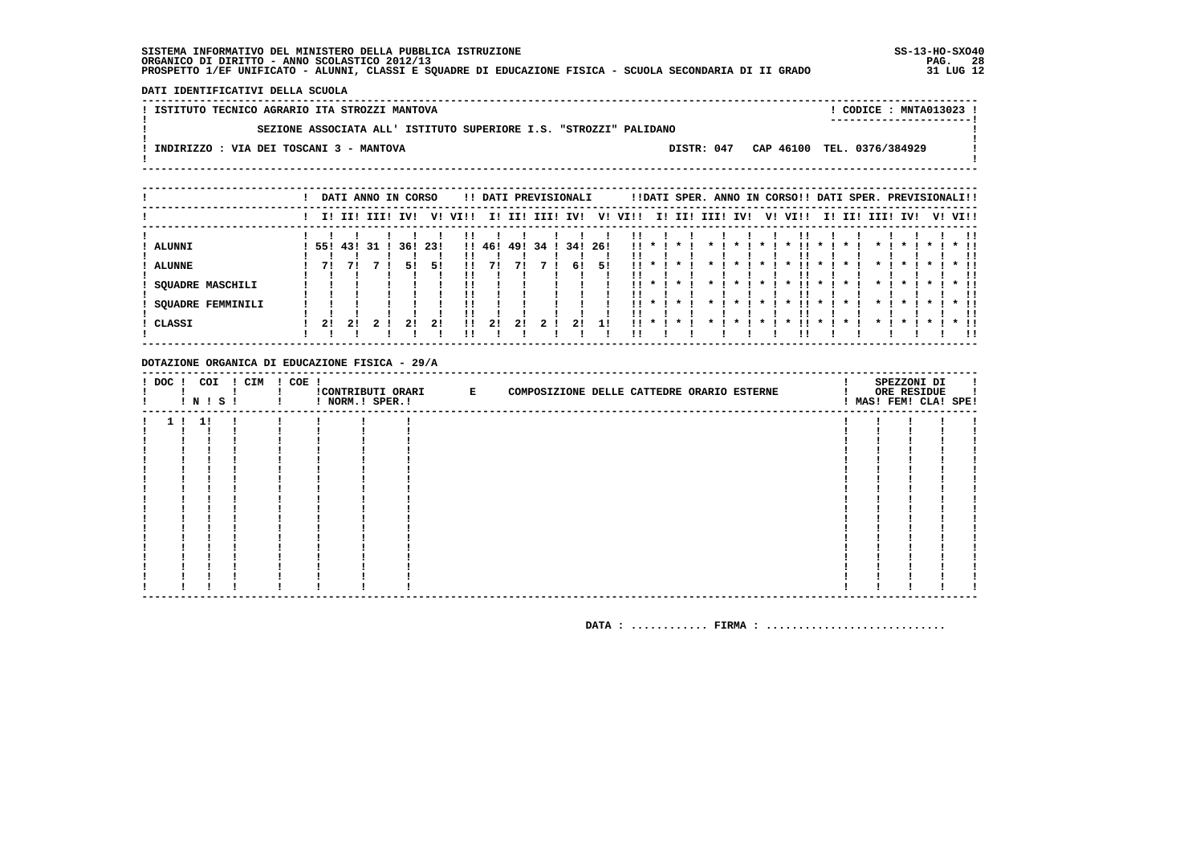DATI IDENTIFICATIVI DELLA SCUOLA

| ! ISTITUTO TECNICO AGRARIO ITA STROZZI MANTOVA                    |            | CODICE: MNTA013023 !<br>---------------------- |
|-------------------------------------------------------------------|------------|------------------------------------------------|
| SEZIONE ASSOCIATA ALL' ISTITUTO SUPERIORE I.S. "STROZZI" PALIDANO |            |                                                |
| INDIRIZZO : VIA DEI TOSCANI 3 - MANTOVA                           | DISTR: 047 | CAP 46100 TEL. 0376/384929                     |
|                                                                   |            |                                                |

|                          |     |             |    | DATI ANNO IN CORSO |     |      |        |     | !! DATI PREVISIONALI |     |      |      |                                        |         |             |              |              | !!DATI SPER. ANNO IN CORSO!! DATI SPER. PREVISIONALI!! |           |                    |             |                    |           |         |     |
|--------------------------|-----|-------------|----|--------------------|-----|------|--------|-----|----------------------|-----|------|------|----------------------------------------|---------|-------------|--------------|--------------|--------------------------------------------------------|-----------|--------------------|-------------|--------------------|-----------|---------|-----|
|                          |     | II III IIII |    | IV!                | V!  | VI!! | II.    |     | II! III! IV!         |     | V!   | VI!! |                                        |         | I! II! III! | IV!          | V!           | VI!!                                                   |           |                    | I! II! III! | IV!                |           | V! VI!! |     |
|                          |     |             |    |                    |     |      |        |     |                      |     |      |      |                                        |         |             |              |              |                                                        |           |                    |             |                    |           |         |     |
| ALUNNI                   | 55! | 431         | 31 | 36!                | 23! |      | !! 46! | 49! | 34                   | 34! | -261 |      | $11 * 1$                               | $\cdot$ | $\star$     | $\mathbf{x}$ | $\mathbf{x}$ | $\mathbf{x}$                                           | $\star$   |                    |             | $\boldsymbol{\pi}$ |           | $*$ !!  |     |
|                          |     |             |    |                    |     |      |        |     |                      |     |      |      |                                        |         |             |              |              |                                                        |           |                    |             |                    |           |         |     |
| <b>ALUNNE</b>            | 71  |             |    | 51                 | 51  |      |        |     |                      | 61  | 51   | . .  |                                        |         |             |              |              |                                                        |           |                    |             |                    |           |         |     |
|                          |     |             |    |                    |     |      |        |     |                      |     |      |      |                                        |         |             |              |              |                                                        |           |                    |             |                    |           |         | . . |
| SQUADRE MASCHILI         |     |             |    |                    |     |      |        |     |                      |     |      |      | $\mathbf{1}$ $\mathbf{1}$ $\mathbf{1}$ | $\star$ | $\star$     | $\star$      | $\star$ 1    | . .<br>$\cdot$                                         | $\star$   | $\cdot$            | $\star$     | $\star$            | $\star$ 1 | $*$ 11  |     |
|                          |     |             |    |                    |     |      |        |     |                      |     |      |      |                                        |         |             |              |              |                                                        |           |                    |             |                    |           |         |     |
| <b>SQUADRE FEMMINILI</b> |     |             |    |                    |     |      |        |     |                      |     |      |      | $11 * 1$                               | $\cdot$ | $\star$ .   | $\star$      | $\star$ I    | $\cdot$<br>. .                                         | $\star$ I | $\boldsymbol{\pi}$ | $\cdot$     | $\mathbf{x}$       | $\star$ I | $*$ 11  |     |
|                          |     |             |    |                    |     |      |        |     |                      |     |      |      |                                        |         |             |              |              |                                                        |           |                    |             |                    |           |         |     |
| CLASSI                   | 21  | 21          |    | 21                 | 21  | 11   | 21     | 21  |                      |     | 11   | . .  |                                        |         |             |              |              |                                                        |           |                    |             |                    |           | $*$ 11  |     |
|                          |     |             |    |                    |     |      |        |     |                      |     |      |      |                                        |         |             |              |              |                                                        |           |                    |             |                    |           |         | 11  |

#### DOTAZIONE ORGANICA DI EDUCAZIONE FISICA - 29/A

|                | ! N ! S ! | ! DOC ! COI ! CIM ! COE ! | ! NORM.! SPER.! | CONTRIBUTI ORARI E | COMPOSIZIONE DELLE CATTEDRE ORARIO ESTERNE |  | SPEZZONI DI<br>ORE RESIDUE<br>! MAS! FEM! CLA! SPE! | л. |
|----------------|-----------|---------------------------|-----------------|--------------------|--------------------------------------------|--|-----------------------------------------------------|----|
| 1 <sub>1</sub> | 1!        |                           |                 |                    |                                            |  |                                                     |    |
|                |           |                           |                 |                    |                                            |  |                                                     |    |
|                |           |                           |                 |                    |                                            |  |                                                     |    |
|                |           |                           |                 |                    |                                            |  |                                                     |    |
|                |           |                           |                 |                    |                                            |  |                                                     |    |
|                |           |                           |                 |                    |                                            |  |                                                     |    |
|                |           |                           |                 |                    |                                            |  |                                                     |    |
|                |           |                           |                 |                    |                                            |  |                                                     |    |
|                |           |                           |                 |                    |                                            |  |                                                     |    |
|                |           |                           |                 |                    |                                            |  |                                                     |    |
|                |           |                           |                 |                    |                                            |  |                                                     |    |
|                |           |                           |                 |                    |                                            |  |                                                     |    |
|                |           |                           |                 |                    |                                            |  |                                                     |    |
|                |           |                           |                 |                    |                                            |  |                                                     |    |
|                |           |                           |                 |                    |                                            |  |                                                     |    |
|                |           |                           |                 |                    |                                            |  |                                                     |    |
|                |           |                           |                 |                    |                                            |  |                                                     |    |
|                |           |                           |                 |                    |                                            |  |                                                     |    |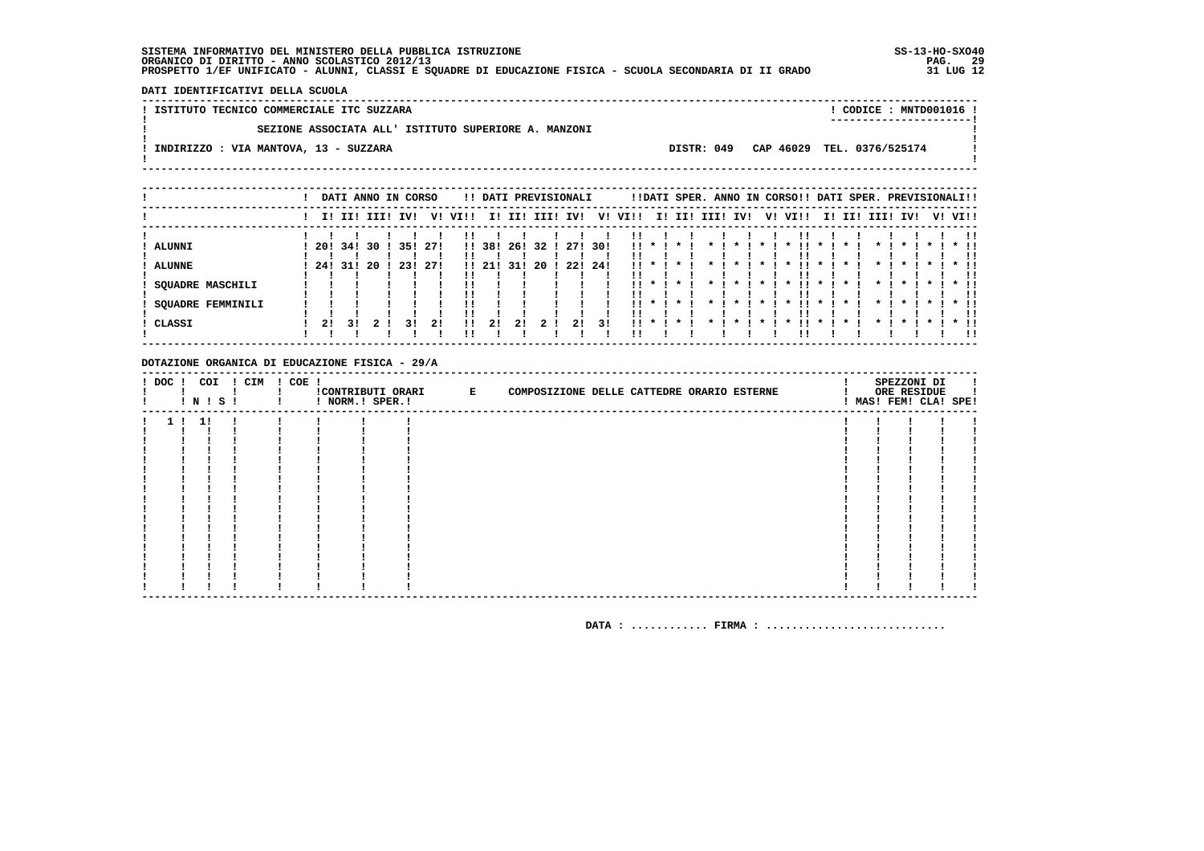DATI IDENTIFICATIVI DELLA SCUOLA

! ISTITUTO TECNICO COMMERCIALE ITC SUZZARA ! CODICE : MNTD001016 !  $\mathbf{I}$ SEZIONE ASSOCIATA ALL' ISTITUTO SUPERIORE A. MANZONI  $\mathbf{I}$ - 1  $\mathbf{I}$ -.<br>! INDIRIZZO : VIA MANTOVA, 13 - SUZZARA DISTR: 049 CAP 46029 TEL. 0376/525174 **Contract Contract**  $\mathbf{I}$  $\mathbf{I}$ 

|                         |      |             |    | DATI ANNO IN CORSO |      |      |        |     | !! DATI PREVISIONALI |     |      |                           |                                         |         |           |                 |              | !!DATI SPER. ANNO IN CORSO!! DATI SPER. PREVISIONALI!! |           |         |                         |                    |              |         |               |
|-------------------------|------|-------------|----|--------------------|------|------|--------|-----|----------------------|-----|------|---------------------------|-----------------------------------------|---------|-----------|-----------------|--------------|--------------------------------------------------------|-----------|---------|-------------------------|--------------------|--------------|---------|---------------|
|                         |      | II III IIII |    | IV!                | V!   | VI!! | II.    | III | IIII                 | IV! | V!   | VI!!                      |                                         | I! II!  | IIII      | IV!             | V!           | VI!!                                                   | II.       | III     | IIII                    | IV!                |              | V! VI!! |               |
|                         |      |             |    |                    |      |      |        |     |                      |     |      |                           |                                         |         |           |                 |              |                                                        |           |         |                         |                    |              |         |               |
| ALUNNI                  | -20! | 34!         | 30 | 35!                | -271 |      | !! 38! | 26! | 32 I                 | 271 | -301 | . .                       | $\mathbf{11}$ $\mathbf{*}$ $\mathbf{1}$ | $\cdot$ | $\star$ I | $\mathbf{r}$    | $\mathbf{x}$ | . .<br>$\mathbf{x}$                                    | $\star$ I |         |                         | $\boldsymbol{\pi}$ | $\mathbf{x}$ |         | $*$ 11        |
| <b>ALUNNE</b>           | 24!  | 31!         | 20 | 231                | 271  |      | 11211  | 31! | 20                   | 22! | -241 | $\mathbf{1}$ $\mathbf{1}$ |                                         |         |           |                 |              |                                                        |           |         |                         |                    |              |         | . .           |
| <b>SQUADRE MASCHILI</b> |      |             |    |                    |      |      |        |     |                      |     |      |                           | $11 * 1$                                | $\star$ | $\star$   | $\cdot$         | $\star$ 1    | . .<br>$\star$                                         | $\star$ 1 | $\cdot$ | $\star$                 | $\star$            | $\star$ 1    |         | $*$ 11        |
| SQUADRE FEMMINILI       |      |             |    |                    |      |      |        |     |                      |     |      |                           | $11 * 1$                                | $\star$ | $\star$ . | $\star$ $\cdot$ | $\star$ 1    | $\cdot$<br>- 11 -                                      | $\star$ 1 | $\cdot$ | $\star$ $\cdot$ $\cdot$ | $\star$ $\cdot$    | $\star$ I    |         | . .<br>$*$ 11 |
| CLASSI                  | 21   | 3 I         |    | 31                 | 21   |      | 21     | 21  |                      | 21  | 31   | !! *                      |                                         |         |           |                 |              |                                                        |           |         |                         |                    |              |         | $\star$ 11    |
|                         |      |             |    |                    |      |      |        |     |                      |     |      |                           |                                         |         |           |                 |              |                                                        |           |         |                         |                    |              |         | -11           |

#### DOTAZIONE ORGANICA DI EDUCAZIONE FISICA - 29/A

|                | N   S | ! DOC ! COI ! CIM ! COE ! | ! NORM.! SPER.! | ! CONTRIBUTI ORARI E | COMPOSIZIONE DELLE CATTEDRE ORARIO ESTERNE |  | SPEZZONI DI<br>ORE RESIDUE<br>! MAS! FEM! CLA! SPE! |  |
|----------------|-------|---------------------------|-----------------|----------------------|--------------------------------------------|--|-----------------------------------------------------|--|
| 1 <sub>1</sub> | 1!    |                           |                 |                      |                                            |  |                                                     |  |
|                |       |                           |                 |                      |                                            |  |                                                     |  |
|                |       |                           |                 |                      |                                            |  |                                                     |  |
|                |       |                           |                 |                      |                                            |  |                                                     |  |
|                |       |                           |                 |                      |                                            |  |                                                     |  |
|                |       |                           |                 |                      |                                            |  |                                                     |  |
|                |       |                           |                 |                      |                                            |  |                                                     |  |
|                |       |                           |                 |                      |                                            |  |                                                     |  |
|                |       |                           |                 |                      |                                            |  |                                                     |  |
|                |       |                           |                 |                      |                                            |  |                                                     |  |
|                |       |                           |                 |                      |                                            |  |                                                     |  |
|                |       |                           |                 |                      |                                            |  |                                                     |  |
|                |       |                           |                 |                      |                                            |  |                                                     |  |
|                |       |                           |                 |                      |                                            |  |                                                     |  |
|                |       |                           |                 |                      |                                            |  |                                                     |  |
|                |       |                           |                 |                      |                                            |  |                                                     |  |
|                |       |                           |                 |                      |                                            |  |                                                     |  |
|                |       |                           |                 |                      |                                            |  |                                                     |  |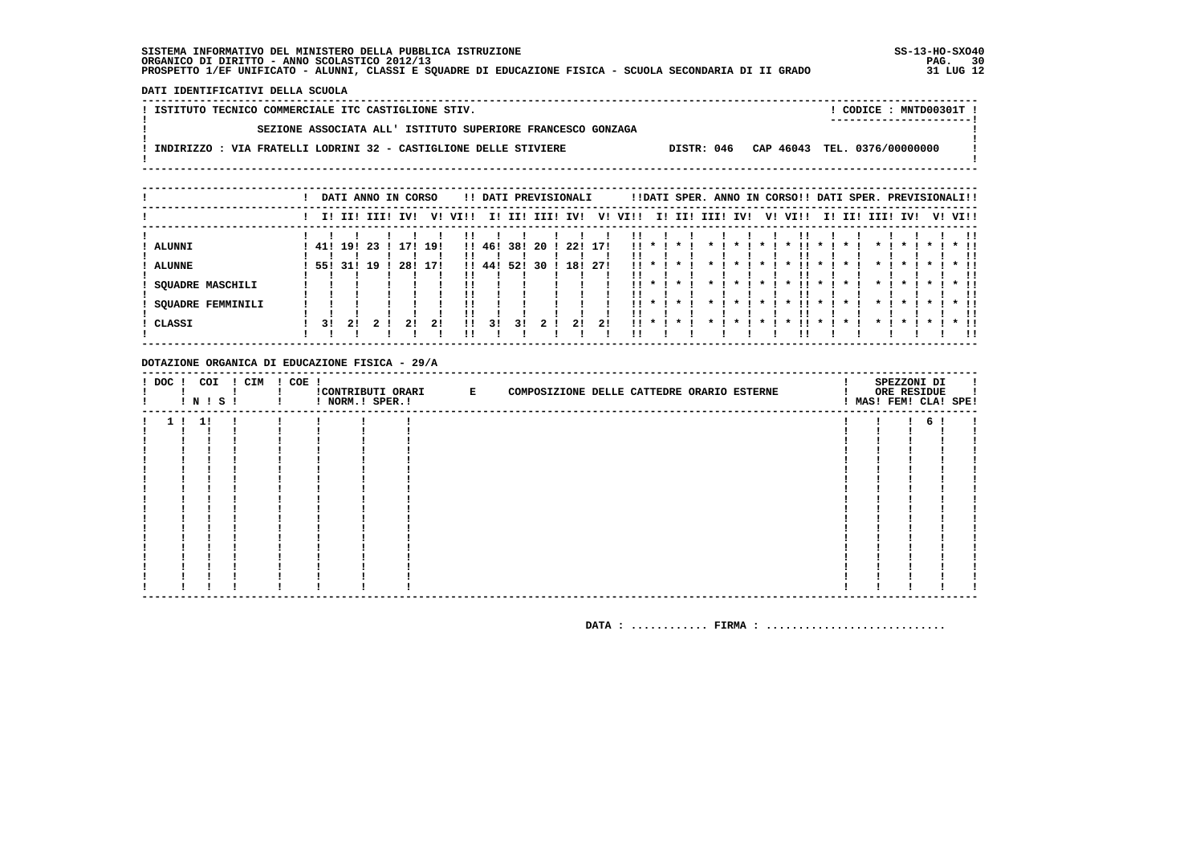DATI IDENTIFICATIVI DELLA SCUOLA

| ! ISTITUTO TECNICO COMMERCIALE ITC CASTIGLIONE STIV.                           | CODICE: MNTD00301T !         |
|--------------------------------------------------------------------------------|------------------------------|
| SEZIONE ASSOCIATA ALL' ISTITUTO SUPERIORE FRANCESCO GONZAGA                    | ----------------------       |
| INDIRIZZO : VIA FRATELLI LODRINI 32 - CASTIGLIONE DELLE STIVIERE<br>DISTR: 046 | CAP 46043 TEL. 0376/00000000 |
|                                                                                |                              |

|                          |     |            |             |     | DATI ANNO IN CORSO |      |        |     |      | !! DATI PREVISIONALI |      |                 |         |                    |         |                    |           | !!DATI SPER. ANNO IN CORSO!! DATI SPER. PREVISIONALI!! |                           |                    |                    |                    |              |         |            |
|--------------------------|-----|------------|-------------|-----|--------------------|------|--------|-----|------|----------------------|------|-----------------|---------|--------------------|---------|--------------------|-----------|--------------------------------------------------------|---------------------------|--------------------|--------------------|--------------------|--------------|---------|------------|
|                          |     |            | I! II! III! | IV! | V!                 | VI!! | II.    | II! | III! | IV!                  | V!   | VI!!            |         |                    |         | I! II! III! IV!    |           | V! VI!!                                                | II.                       |                    | II! III!           | IV!                |              | V! VI!! |            |
|                          |     |            |             |     |                    |      |        |     |      |                      |      |                 |         |                    |         |                    |           |                                                        |                           |                    |                    |                    |              |         | -11        |
| ALUNNI                   | 41! | 19!        | -23         | 171 | 19!                |      | !! 46! | 38! | 20   | 22!                  | 171  | . .             | $\cdot$ | $\star$            | $\star$ | $\boldsymbol{\pi}$ | $\star$   | $\mathbf{x}$                                           | $\star$                   |                    | $\boldsymbol{\pi}$ | $\mathbf{r}$       | $\star$      |         |            |
|                          |     |            |             |     |                    |      |        |     |      |                      |      |                 |         |                    |         |                    |           |                                                        |                           |                    |                    |                    |              |         |            |
| ALUNNE                   |     | 55! 31! 19 |             | 28! | 17!                |      | 1!44!  | 52! | 30.  | 18!                  | -271 | $\mathbf{11}$ * |         | $\boldsymbol{\pi}$ |         |                    |           | !!<br>$\boldsymbol{\pi}$                               | $\mathbf{x}$              |                    | $\boldsymbol{\pi}$ | $\mathbf x$        | $\mathbf{x}$ |         | $\star$ 11 |
|                          |     |            |             |     |                    |      |        |     |      |                      |      |                 |         |                    |         |                    |           |                                                        |                           |                    |                    |                    |              |         | !!         |
| <b>SQUADRE MASCHILI</b>  |     |            |             |     |                    |      |        |     |      |                      |      | . .             | $\cdot$ | $\star$            |         | $\boldsymbol{\pi}$ | $\star$   | . .<br>$\boldsymbol{\pi}$                              | $\star$                   |                    | $\boldsymbol{\pi}$ | $\mathbf{r}$       | $\star$      |         |            |
|                          |     |            |             |     |                    |      |        |     |      |                      |      |                 |         |                    |         |                    |           |                                                        |                           |                    |                    |                    |              |         |            |
| <b>SQUADRE FEMMINILI</b> |     |            |             |     |                    |      |        |     |      |                      |      |                 |         | $11 * 1 * 1$       |         | $\star$ $\cdot$    | $\star$ 1 | - 11 -<br>$\cdot$                                      | $\mathbf{x}$ $\mathbf{I}$ | $\boldsymbol{\pi}$ | $\mathbf{r}$       | $\boldsymbol{\pi}$ | $\star$ I    |         | $*$ 11     |
|                          |     |            |             |     |                    |      |        |     |      |                      |      |                 |         |                    |         |                    |           |                                                        |                           |                    |                    |                    |              |         |            |
| CLASSI                   | 31  | 21         |             |     | 21                 | !!   | 31     | 31  |      | 21                   | 21   | $\mathbf{11}$ * |         |                    |         |                    |           |                                                        |                           |                    |                    |                    |              |         |            |
|                          |     |            |             |     |                    |      |        |     |      |                      |      |                 |         |                    |         |                    |           |                                                        |                           |                    |                    |                    |              |         | . .        |
|                          |     |            |             |     |                    |      |        |     |      |                      |      |                 |         |                    |         |                    |           |                                                        |                           |                    |                    |                    |              |         |            |

#### DOTAZIONE ORGANICA DI EDUCAZIONE FISICA - 29/A

|                | ! N ! S ! | ! DOC ! COI ! CIM ! COE ! | ! NORM.! SPER.! | CONTRIBUTI ORARI E | COMPOSIZIONE DELLE CATTEDRE ORARIO ESTERNE |  | SPEZZONI DI<br>ORE RESIDUE | ! MAS! FEM! CLA! SPE! |
|----------------|-----------|---------------------------|-----------------|--------------------|--------------------------------------------|--|----------------------------|-----------------------|
| 1 <sub>1</sub> | 1!        |                           |                 |                    |                                            |  | б.                         |                       |
|                |           |                           |                 |                    |                                            |  |                            |                       |
|                |           |                           |                 |                    |                                            |  |                            |                       |
|                |           |                           |                 |                    |                                            |  |                            |                       |
|                |           |                           |                 |                    |                                            |  |                            |                       |
|                |           |                           |                 |                    |                                            |  |                            |                       |
|                |           |                           |                 |                    |                                            |  |                            |                       |
|                |           |                           |                 |                    |                                            |  |                            |                       |
|                |           |                           |                 |                    |                                            |  |                            |                       |
|                |           |                           |                 |                    |                                            |  |                            |                       |
|                |           |                           |                 |                    |                                            |  |                            |                       |
|                |           |                           |                 |                    |                                            |  |                            |                       |
|                |           |                           |                 |                    |                                            |  |                            |                       |
|                |           |                           |                 |                    |                                            |  |                            |                       |
|                |           |                           |                 |                    |                                            |  |                            |                       |
|                |           |                           |                 |                    |                                            |  |                            |                       |
|                |           |                           |                 |                    |                                            |  |                            |                       |
|                |           |                           |                 |                    |                                            |  |                            |                       |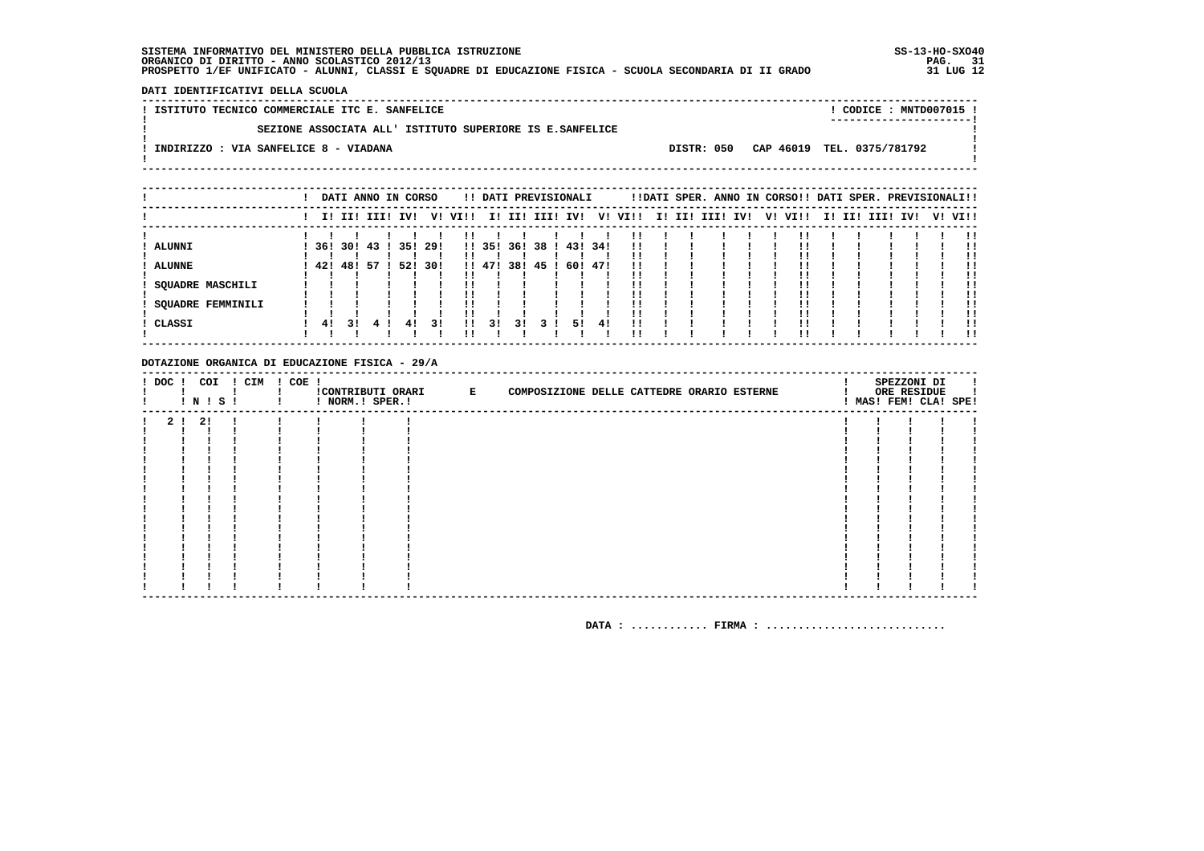DATI IDENTIFICATIVI DELLA SCUOLA

! ISTITUTO TECNICO COMMERCIALE ITC E. SANFELICE ! CODICE : MNTD007015 !  $\mathbf{L}$ SEZIONE ASSOCIATA ALL' ISTITUTO SUPERIORE IS E.SANFELICE  $\mathbf{I}$ - 1  $\mathbf{I}$ -.<br>! INDIRIZZO : VIA SANFELICE 8 - VIADANA DISTR: 050 CAP 46019 TEL. 0375/781792 **Contract Contract**  $\mathbf{I}$  $\mathbf{I}$ 

|                   |     |     |                 | DATI ANNO IN CORSO |      |         |        |     | !! DATI PREVISIONALI |         |     |         |  | !!DATI SPER. ANNO IN CORSO!! DATI SPER. PREVISIONALI!! |  |         |  |             |     |         |
|-------------------|-----|-----|-----------------|--------------------|------|---------|--------|-----|----------------------|---------|-----|---------|--|--------------------------------------------------------|--|---------|--|-------------|-----|---------|
|                   |     |     | I! II! III! IV! |                    |      | V! VI!! |        |     | I! II! III! IV!      |         |     | V! VI!! |  | I! II! III! IV!                                        |  | V! VI!! |  | I! II! III! | IV! | V! VI!! |
|                   |     |     |                 |                    |      |         |        |     |                      |         |     |         |  |                                                        |  |         |  |             |     |         |
| ALUNNI            | 36! |     | 301 43 1        | 35!                | -29! |         | !! 35! | 361 | 38 I                 | 43! 34! |     | !!      |  |                                                        |  |         |  |             |     | !!      |
|                   |     |     |                 |                    |      |         |        |     |                      |         |     |         |  |                                                        |  |         |  |             |     |         |
| <b>ALUNNE</b>     | 42! | 48! | -57             | 52!                | 30!  |         | !! 47! | 38! | 45                   | 60!     | 471 | !!      |  |                                                        |  |         |  |             |     |         |
|                   |     |     |                 |                    |      |         |        |     |                      |         |     |         |  |                                                        |  |         |  |             |     | !!      |
| SOUADRE MASCHILI  |     |     |                 |                    |      |         |        |     |                      |         |     |         |  |                                                        |  |         |  |             |     |         |
|                   |     |     |                 |                    |      |         |        |     |                      |         |     |         |  |                                                        |  |         |  |             |     |         |
| SOUADRE FEMMINILI |     |     |                 |                    |      |         |        |     |                      |         |     |         |  |                                                        |  |         |  |             |     | . .     |
|                   |     |     |                 |                    |      |         |        |     |                      |         |     |         |  |                                                        |  |         |  |             |     |         |
| CLASSI            | 41  | 31  |                 | 41                 | 31   | !!      | 3!     | 31  |                      | 51      | 41  | !!      |  |                                                        |  |         |  |             |     |         |
|                   |     |     |                 |                    |      |         |        |     |                      |         |     |         |  |                                                        |  |         |  |             |     | . .     |

#### DOTAZIONE ORGANICA DI EDUCAZIONE FISICA - 29/A

| ! DOC !        | COI<br><b>!N!S!</b> | ! CIM | ! COE ! | ! NORM.! SPER.! | !CONTRIBUTI ORARI E | COMPOSIZIONE DELLE CATTEDRE ORARIO ESTERNE |  | SPEZZONI DI<br>ORE RESIDUE<br>! MAS! FEM! CLA! SPE! |  |
|----------------|---------------------|-------|---------|-----------------|---------------------|--------------------------------------------|--|-----------------------------------------------------|--|
| 2 <sub>1</sub> | 2!                  |       |         |                 |                     |                                            |  |                                                     |  |
|                |                     |       |         |                 |                     |                                            |  |                                                     |  |
|                |                     |       |         |                 |                     |                                            |  |                                                     |  |
|                |                     |       |         |                 |                     |                                            |  |                                                     |  |
|                |                     |       |         |                 |                     |                                            |  |                                                     |  |
|                |                     |       |         |                 |                     |                                            |  |                                                     |  |
|                |                     |       |         |                 |                     |                                            |  |                                                     |  |
|                |                     |       |         |                 |                     |                                            |  |                                                     |  |
|                |                     |       |         |                 |                     |                                            |  |                                                     |  |
|                |                     |       |         |                 |                     |                                            |  |                                                     |  |
|                |                     |       |         |                 |                     |                                            |  |                                                     |  |
|                |                     |       |         |                 |                     |                                            |  |                                                     |  |
|                |                     |       |         |                 |                     |                                            |  |                                                     |  |
|                |                     |       |         |                 |                     |                                            |  |                                                     |  |
|                |                     |       |         |                 |                     |                                            |  |                                                     |  |
|                |                     |       |         |                 |                     |                                            |  |                                                     |  |
|                |                     |       |         |                 |                     |                                            |  |                                                     |  |
|                |                     |       |         |                 |                     |                                            |  |                                                     |  |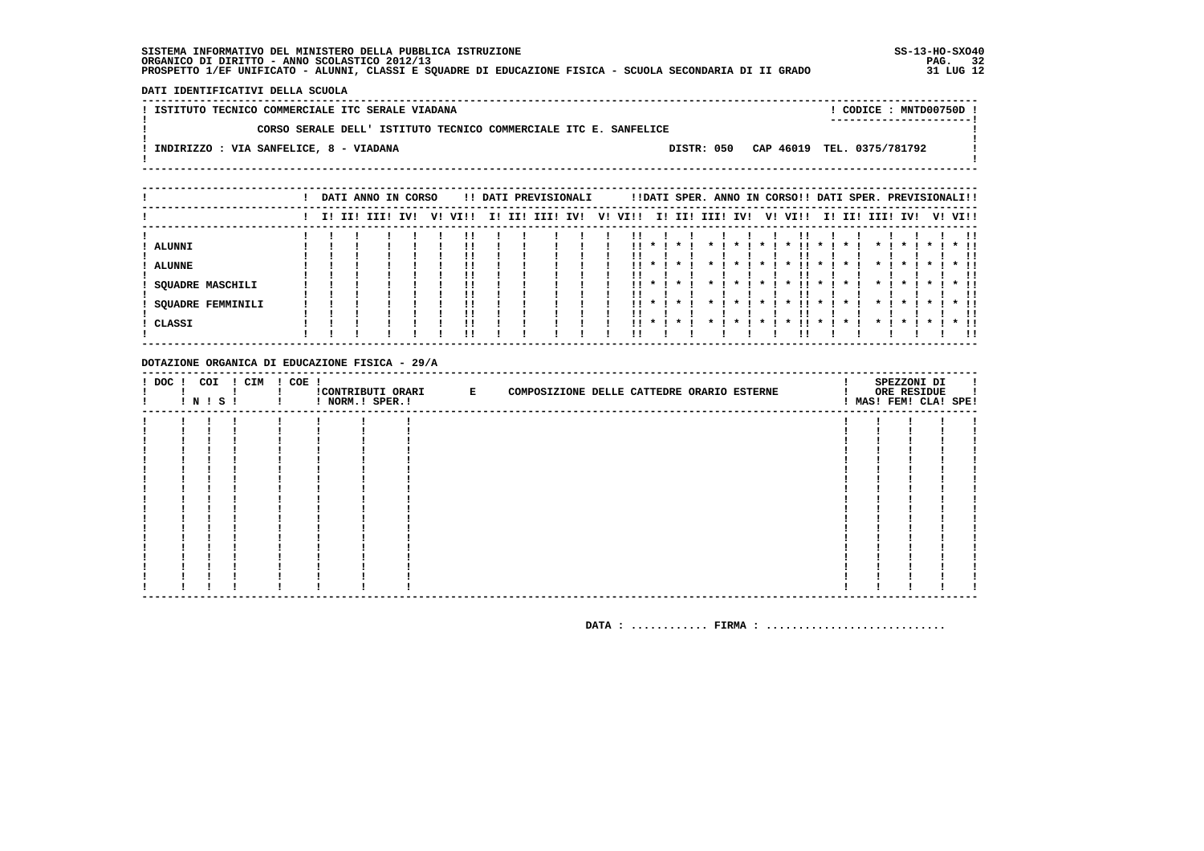DATI IDENTIFICATIVI DELLA SCUOLA

| ! ISTITUTO TECNICO COMMERCIALE ITC SERALE VIADANA |  |  |                                                                  |  |            |  |  | CODICE: MNTD00750D!        |  |
|---------------------------------------------------|--|--|------------------------------------------------------------------|--|------------|--|--|----------------------------|--|
|                                                   |  |  | CORSO SERALE DELL' ISTITUTO TECNICO COMMERCIALE ITC E. SANFELICE |  |            |  |  |                            |  |
| INDIRIZZO : VIA SANFELICE, 8 - VIADANA            |  |  |                                                                  |  | DISTR: 050 |  |  | CAP 46019 TEL. 0375/781792 |  |
|                                                   |  |  |                                                                  |  |            |  |  |                            |  |

|                          |  | DATI ANNO IN CORSO |     |    |      |     |     | !! DATI PREVISIONALI |  |          |                |              |                    |                |         |         | !!DATI SPER. ANNO IN CORSO!! DATI SPER. PREVISIONALI!! |                    |                          |              |                   |         |                           |
|--------------------------|--|--------------------|-----|----|------|-----|-----|----------------------|--|----------|----------------|--------------|--------------------|----------------|---------|---------|--------------------------------------------------------|--------------------|--------------------------|--------------|-------------------|---------|---------------------------|
|                          |  | I! II! III!        | IV! | V! | VI!! | II. | II! | III! IV!             |  | V! VI!!  |                | I! II!       | III!               | IV!            |         |         | V! VI!!                                                | I!                 | II!                      | III! IV!     |                   | V! VI!! |                           |
|                          |  |                    |     |    |      |     |     |                      |  |          |                |              |                    |                |         |         |                                                        |                    |                          |              |                   |         |                           |
| ALUNNI                   |  |                    |     |    |      |     |     |                      |  | !!<br>!! | $\mathbf{x}$ i |              |                    |                |         |         |                                                        |                    |                          |              | $\mathbf x$       |         | $*$ $\blacksquare$<br>-11 |
| <b>ALUNNE</b>            |  |                    |     |    |      |     |     |                      |  | . .      | $\star$ I      | $\star$      | $\boldsymbol{\pi}$ | $\star$        | $\star$ |         | $\boldsymbol{\pi}$                                     | $\cdot$            | *                        | $\star$      | $\cdot$           |         | $*$ !!                    |
|                          |  |                    |     |    |      |     |     |                      |  |          |                |              |                    |                |         |         |                                                        |                    |                          |              |                   |         |                           |
| SQUADRE MASCHILI         |  |                    |     |    |      |     |     |                      |  |          |                | $11 * 1 * 1$ | $\star$ $\cdot$    | $\mathbf{x}$ . |         | $*$ $*$ | .                                                      | $\mathbf{x}$       | $\cdot$                  | $\star$ I    | $\star$ 1 $\star$ |         | $*$ $\blacksquare$        |
|                          |  |                    |     |    |      |     |     |                      |  | ' '      |                |              |                    |                |         |         |                                                        |                    |                          |              |                   |         |                           |
| <b>SQUADRE FEMMINILI</b> |  |                    |     |    |      |     |     |                      |  |          | II * I         |              |                    |                |         |         | $\boldsymbol{\pi}$                                     | $\boldsymbol{\pi}$ | $\overline{\phantom{m}}$ | $\mathbf{r}$ | $\mathbf x$       |         | $*$ 11                    |
|                          |  |                    |     |    |      |     |     |                      |  |          |                |              |                    |                |         |         |                                                        |                    |                          |              |                   |         | . .                       |
| CLASSI                   |  |                    |     |    |      |     |     |                      |  | !!       | $\mathbf{r}$   |              |                    |                |         |         |                                                        |                    |                          |              |                   |         | -11                       |

#### DOTAZIONE ORGANICA DI EDUCAZIONE FISICA - 29/A

| ! DOC ! | COI<br>! N ! S ! | ! CIM | $! COE$ ! | ! NORM.! SPER.! | CONTRIBUTI ORARI E | COMPOSIZIONE DELLE CATTEDRE ORARIO ESTERNE |  | SPEZZONI DI<br>ORE RESIDUE<br>! MAS! FEM! CLA! SPE! |  |
|---------|------------------|-------|-----------|-----------------|--------------------|--------------------------------------------|--|-----------------------------------------------------|--|
|         |                  |       |           |                 |                    |                                            |  |                                                     |  |
|         |                  |       |           |                 |                    |                                            |  |                                                     |  |
|         |                  |       |           |                 |                    |                                            |  |                                                     |  |
|         |                  |       |           |                 |                    |                                            |  |                                                     |  |
|         |                  |       |           |                 |                    |                                            |  |                                                     |  |
|         |                  |       |           |                 |                    |                                            |  |                                                     |  |
|         |                  |       |           |                 |                    |                                            |  |                                                     |  |
|         |                  |       |           |                 |                    |                                            |  |                                                     |  |
|         |                  |       |           |                 |                    |                                            |  |                                                     |  |
|         |                  |       |           |                 |                    |                                            |  |                                                     |  |
|         |                  |       |           |                 |                    |                                            |  |                                                     |  |
|         |                  |       |           |                 |                    |                                            |  |                                                     |  |
|         |                  |       |           |                 |                    |                                            |  |                                                     |  |
|         |                  |       |           |                 |                    |                                            |  |                                                     |  |
|         |                  |       |           |                 |                    |                                            |  |                                                     |  |
|         |                  |       |           |                 |                    |                                            |  |                                                     |  |
|         |                  |       |           |                 |                    |                                            |  |                                                     |  |
|         |                  |       |           |                 |                    |                                            |  |                                                     |  |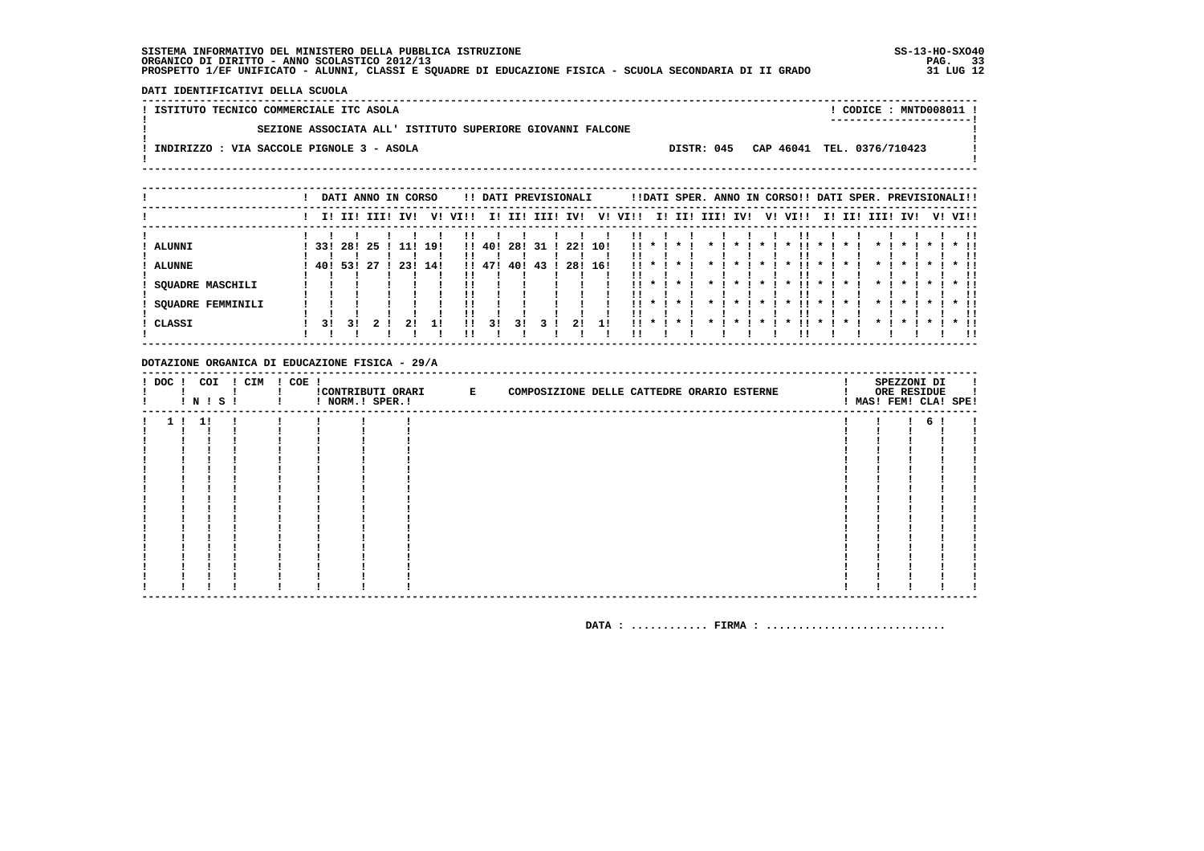DATI IDENTIFICATIVI DELLA SCUOLA

! ISTITUTO TECNICO COMMERCIALE ITC ASOLA ! CODICE : MNTD008011 !  $\mathbf{I}$ SEZIONE ASSOCIATA ALL' ISTITUTO SUPERIORE GIOVANNI FALCONE  $\mathbf{I}$ - 1  $\mathbf{I}$ -: INDIRIZZO : VIA SACCOLE PIGNOLE 3 - ASOLA DISTR: 045 CAP 46041 TEL. 0376/710423 **Contract Contract**  $\mathbf{I}$  $\mathbf{I}$ 

|                          |    |        | DATI ANNO IN CORSO |     |     |         |        |      |     | !! DATI PREVISIONALI |     |                 |          |                 |                            |                    |                | !!DATI SPER. ANNO IN CORSO!! DATI SPER. PREVISIONALI!! |                                        |         |                    |              |         |         |                    |
|--------------------------|----|--------|--------------------|-----|-----|---------|--------|------|-----|----------------------|-----|-----------------|----------|-----------------|----------------------------|--------------------|----------------|--------------------------------------------------------|----------------------------------------|---------|--------------------|--------------|---------|---------|--------------------|
|                          |    |        | I! II! III!        | IVI |     | V! VI!! | II.    | II!  |     | III! IV!             |     | V! VI!!         |          | I! II! III! IV! |                            |                    |                | V! VI!!                                                |                                        |         | I! II! III!        | IV!          |         | V! VI!! |                    |
|                          |    |        |                    |     |     |         |        |      |     |                      |     |                 |          |                 |                            |                    |                |                                                        |                                        |         |                    |              |         |         | -11                |
| <b>ALUNNI</b>            |    | 331281 | -25                | 11! | 19! |         | !! 40! | 28!  | -31 | 22!                  | 10! |                 | $11 * 1$ | * 1             | $\cdot$<br>$\star$ $\cdot$ |                    | $\star$ 1      | $\cdot$                                                | $\mathbf{1}$ $\mathbf{1}$ $\mathbf{1}$ | $\star$ | $\star$ I          | $\star$      | $\cdot$ |         | $*$ 11             |
| ALUNNE                   |    | 401531 | -27                | 231 | 14! |         | !! 47! | 40 ! | -43 | 28!                  | 16! | $\mathbf{11}$ * |          |                 |                            |                    |                | . .<br>$\boldsymbol{\ast}$                             | $\overline{\phantom{m}}$               |         |                    | $\mathbf{x}$ |         |         |                    |
|                          |    |        |                    |     |     |         |        |      |     |                      |     |                 |          |                 |                            |                    |                |                                                        |                                        |         |                    |              |         |         | !!                 |
| SOUADRE MASCHILI         |    |        |                    |     |     | !!      |        |      |     |                      |     | . .             |          |                 | $\boldsymbol{\pi}$         | $\boldsymbol{\pi}$ |                | !!<br>$\boldsymbol{\ast}$                              | $\mathbf{x}$                           |         | $\boldsymbol{\pi}$ |              |         |         |                    |
|                          |    |        |                    |     |     |         |        |      |     |                      |     |                 |          |                 |                            |                    |                |                                                        |                                        |         |                    |              |         |         |                    |
| <b>SQUADRE FEMMINILI</b> |    |        |                    |     |     |         |        |      |     |                      |     |                 |          | $11 * 1 * 1$    | $\star$ $\cdot$            |                    | $\mathbf{x}$ . | .<br>$\mathbf{x}$                                      | $\mathbf{x}$ .                         |         | $\star$ .          | $\mathbf{x}$ |         |         | $*$ $\blacksquare$ |
|                          |    |        |                    |     |     | !!      |        |      |     |                      |     |                 |          |                 |                            |                    |                |                                                        |                                        |         |                    |              |         |         |                    |
| CLASSI                   | 31 | 3 I    |                    |     |     | !!      | 31     | 31   |     | 21                   |     | . .             |          |                 |                            |                    |                |                                                        |                                        |         |                    |              |         |         | * !!               |
|                          |    |        |                    |     |     | ''      |        |      |     |                      |     |                 |          |                 |                            |                    |                |                                                        |                                        |         |                    |              |         |         | !!                 |

#### DOTAZIONE ORGANICA DI EDUCAZIONE FISICA - 29/A

|  |       | I N I S I | ! DOC ! COI ! CIM ! COE ! | ! NORM.! SPER.! | CONTRIBUTI ORARI E | COMPOSIZIONE DELLE CATTEDRE ORARIO ESTERNE |  | SPEZZONI DI<br>ORE RESIDUE<br>! MAS! FEM! CLA! SPE! |  |
|--|-------|-----------|---------------------------|-----------------|--------------------|--------------------------------------------|--|-----------------------------------------------------|--|
|  | 1! 1! |           |                           |                 |                    |                                            |  | б.                                                  |  |
|  |       |           |                           |                 |                    |                                            |  |                                                     |  |
|  |       |           |                           |                 |                    |                                            |  |                                                     |  |
|  |       |           |                           |                 |                    |                                            |  |                                                     |  |
|  |       |           |                           |                 |                    |                                            |  |                                                     |  |
|  |       |           |                           |                 |                    |                                            |  |                                                     |  |
|  |       |           |                           |                 |                    |                                            |  |                                                     |  |
|  |       |           |                           |                 |                    |                                            |  |                                                     |  |
|  |       |           |                           |                 |                    |                                            |  |                                                     |  |
|  |       |           |                           |                 |                    |                                            |  |                                                     |  |
|  |       |           |                           |                 |                    |                                            |  |                                                     |  |
|  |       |           |                           |                 |                    |                                            |  |                                                     |  |
|  |       |           |                           |                 |                    |                                            |  |                                                     |  |
|  |       |           |                           |                 |                    |                                            |  |                                                     |  |
|  |       |           |                           |                 |                    |                                            |  |                                                     |  |
|  |       |           |                           |                 |                    |                                            |  |                                                     |  |
|  |       |           |                           |                 |                    |                                            |  |                                                     |  |
|  |       |           |                           |                 |                    |                                            |  |                                                     |  |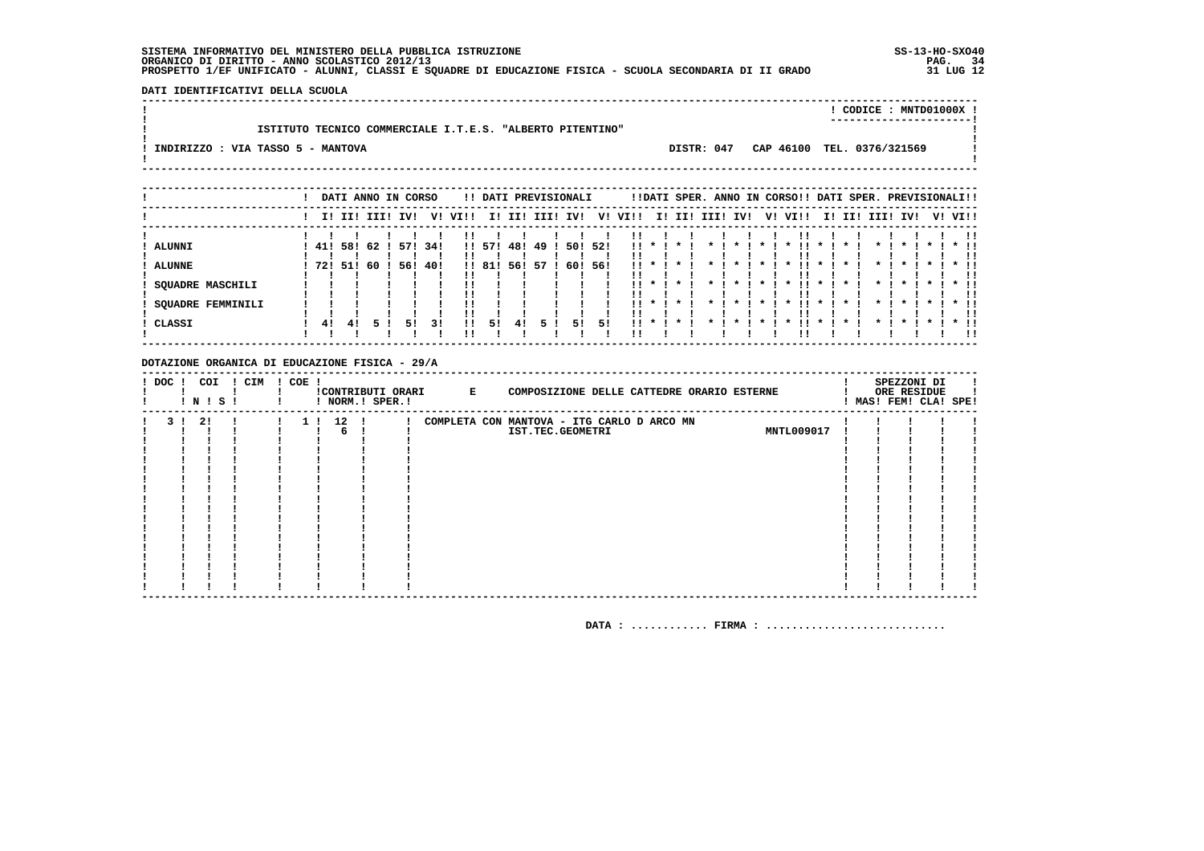DATI IDENTIFICATIVI DELLA SCUOLA 

|                                   |                                                           |  |  | CODICE: MNTD01000X !                  |  |
|-----------------------------------|-----------------------------------------------------------|--|--|---------------------------------------|--|
|                                   | ISTITUTO TECNICO COMMERCIALE I.T.E.S. "ALBERTO PITENTINO" |  |  |                                       |  |
| INDIRIZZO : VIA TASSO 5 - MANTOVA |                                                           |  |  | DISTR: 047 CAP 46100 TEL. 0376/321569 |  |
|                                   |                                                           |  |  |                                       |  |

|                         |     |     |      | DATI ANNO IN CORSO |     |         |        |     | !! DATI PREVISIONALI |     |      |                 |             |         |                 |                    |              | !!DATI SPER. ANNO IN CORSO!! DATI SPER. PREVISIONALI!! |              |                    |                    |              |              |         |        |
|-------------------------|-----|-----|------|--------------------|-----|---------|--------|-----|----------------------|-----|------|-----------------|-------------|---------|-----------------|--------------------|--------------|--------------------------------------------------------|--------------|--------------------|--------------------|--------------|--------------|---------|--------|
|                         |     |     |      | I! II! III! IV!    |     | V! VI!! |        |     | I! II! III! IV!      |     |      | V! VI!!         |             |         |                 | I! II! III! IV!    |              | V! VI!!                                                |              |                    | I! II! III!        | IV!          |              | V! VI!! |        |
|                         |     |     |      |                    |     |         |        |     |                      |     |      |                 |             |         |                 |                    |              |                                                        |              |                    |                    |              |              |         |        |
| ALUNNI                  | 41! | 58! | 62 ! | 571                | 34! |         | !! 57! | 48! | -49                  | 50! | -521 | $\mathbf{11}$ * |             | $\star$ |                 | $\boldsymbol{\pi}$ |              | $\boldsymbol{\pi}$                                     | $\mathbf{x}$ |                    |                    |              | $\mathbf{x}$ |         | $*$ !! |
|                         |     |     |      |                    |     |         |        |     |                      |     |      |                 |             |         |                 |                    |              |                                                        |              |                    |                    |              |              |         | !!     |
| <b>ALUNNE</b>           | 721 | 51! | 60   | 56!                | 40! |         | !! 81! | 56! | -57                  | 60! | -561 |                 | $\mathbf x$ |         |                 |                    |              |                                                        | $\mathbf{x}$ |                    |                    |              |              |         |        |
|                         |     |     |      |                    |     |         |        |     |                      |     |      |                 |             |         |                 |                    |              |                                                        |              |                    |                    |              |              |         |        |
| <b>SQUADRE MASCHILI</b> |     |     |      |                    |     |         |        |     |                      |     |      |                 | $11 * 1$    | * 1     | $\star$ $\cdot$ | $\cdot$            | $\star$ 1    | - 11 -<br>$\mathbf{x}$                                 | $\mathbf{x}$ | $\boldsymbol{\pi}$ | $\star$ 1          | $\star$      | $\star$ 1    |         | $*$ 11 |
|                         |     |     |      |                    |     |         |        |     |                      |     |      |                 |             |         |                 |                    |              |                                                        |              |                    |                    |              |              |         |        |
| SOUADRE FEMMINILI       |     |     |      |                    |     |         |        |     |                      |     |      | . .             | $\star$ I   |         |                 | $\mathbf{x}$       | $\mathbf{x}$ | . .<br>$\boldsymbol{\pi}$                              | $\mathbf{x}$ |                    | $\boldsymbol{\pi}$ | $\mathbf{r}$ |              |         | $*$ 11 |
|                         |     |     |      |                    |     |         |        |     |                      |     |      |                 |             |         |                 |                    |              |                                                        |              |                    |                    |              |              |         | -11    |
| CLASSI                  | 41  | 41  |      | 51                 | 31  | 11      | 51     | 41  |                      | 51  | 51   | 11.             | $\cdot$     | $\star$ |                 |                    |              |                                                        | $\mathbf{x}$ |                    |                    |              |              |         |        |
|                         |     |     |      |                    |     |         |        |     |                      |     |      |                 |             |         |                 |                    |              |                                                        |              |                    |                    |              |              |         | . .    |

#### DOTAZIONE ORGANICA DI EDUCAZIONE FISICA - 29/A

| ! DOC ! |     | COI<br>! N ! S ! | ! CIM | ! COE ! |                        | ! NORM.! SPER.! | !CONTRIBUTI ORARI E | COMPOSIZIONE DELLE CATTEDRE ORARIO ESTERNE                     |                   |  | SPEZZONI DI<br>ORE RESIDUE<br>! MAS! FEM! CLA! SPE! |  |
|---------|-----|------------------|-------|---------|------------------------|-----------------|---------------------|----------------------------------------------------------------|-------------------|--|-----------------------------------------------------|--|
|         | 3 I | 2!               |       |         | 12 !<br>1 <sub>1</sub> |                 |                     | COMPLETA CON MANTOVA - ITG CARLO D ARCO MN<br>IST.TEC.GEOMETRI | <b>MNTL009017</b> |  |                                                     |  |
|         |     |                  |       |         |                        |                 |                     |                                                                |                   |  |                                                     |  |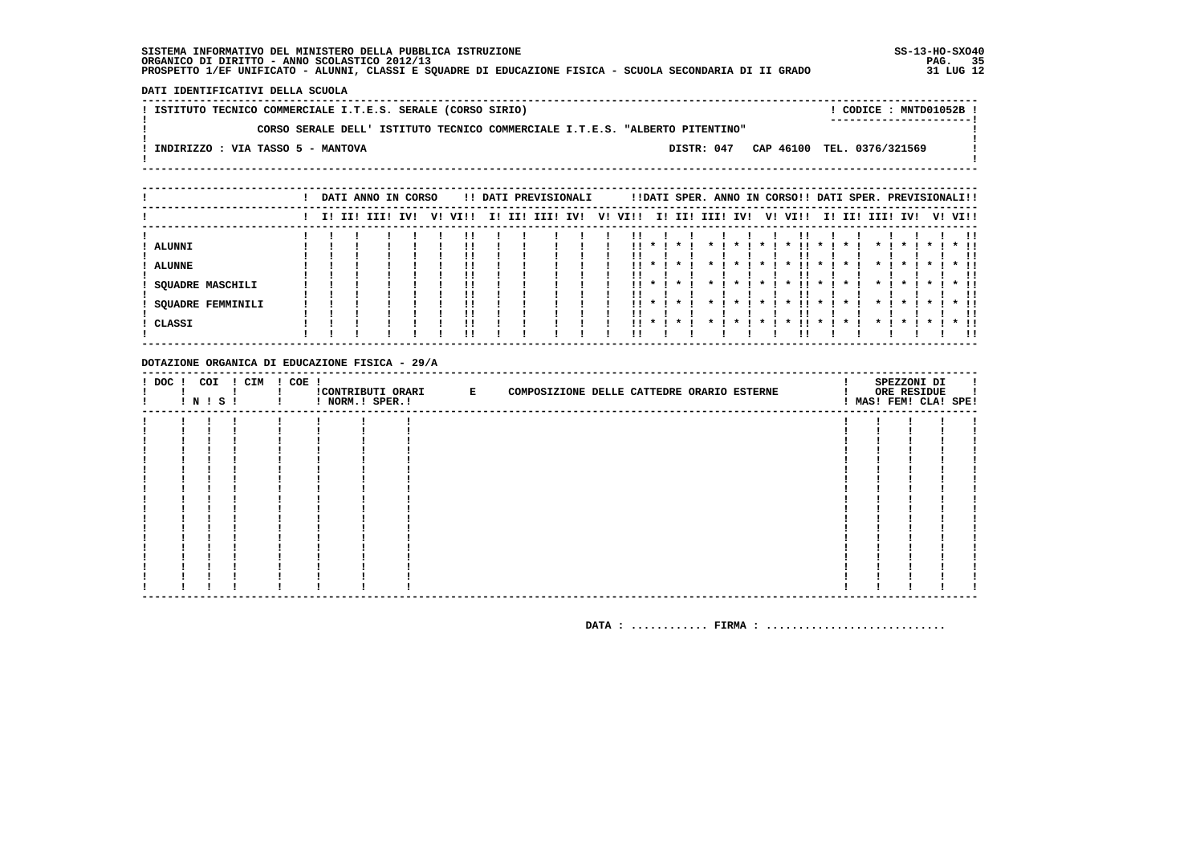DATI IDENTIFICATIVI DELLA SCUOLA

! ISTITUTO TECNICO COMMERCIALE I.T.E.S. SERALE (CORSO SIRIO) ! CODICE: MNTD01052B!  $\mathbf{I}$ CORSO SERALE DELL' ISTITUTO TECNICO COMMERCIALE I.T.E.S. "ALBERTO PITENTINO"  $\mathbf{I}$ - 1  $\mathbf{I}$ -: INDIRIZZO : VIA TASSO 5 - MANTOVA DISTR: 047 CAP 46100 TEL. 0376/321569 **Contract Contract**  $\mathbf{I}$  $\mathbf{I}$ 

|               |                          |  | DATI ANNO IN CORSO |     |         |  | !! DATI PREVISIONALI |  |         |                 |           |           |                 |                     | !!DATI SPER. ANNO IN CORSO!! DATI SPER. PREVISIONALI!! |              |         |                    |              |                    |         |        |
|---------------|--------------------------|--|--------------------|-----|---------|--|----------------------|--|---------|-----------------|-----------|-----------|-----------------|---------------------|--------------------------------------------------------|--------------|---------|--------------------|--------------|--------------------|---------|--------|
|               |                          |  | II III IIII        | IVI | V! VI!! |  | I! II! III! IV!      |  | V! VI!! |                 |           |           | I! II! III! IV! |                     | V! VI!!                                                |              |         | I! II! III!        | IV!          |                    | V! VI!! |        |
|               |                          |  |                    |     |         |  |                      |  |         |                 |           |           |                 |                     |                                                        |              |         |                    |              |                    |         |        |
| ALUNNI        |                          |  |                    |     |         |  |                      |  |         | $\star$ $\cdot$ | $\cdot$   | $\cdot$   | $\mathbf{x}$    | $\boldsymbol{\ast}$ | !!<br>$\boldsymbol{\ast}$                              | $\mathbf{x}$ |         | $\boldsymbol{\pi}$ | $\mathbf{x}$ | $\boldsymbol{\pi}$ |         | $*$ !! |
|               |                          |  |                    |     |         |  |                      |  |         |                 |           |           |                 |                     |                                                        |              |         |                    |              |                    |         |        |
| <b>ALUNNE</b> |                          |  |                    |     |         |  |                      |  |         |                 |           |           |                 |                     |                                                        |              |         |                    |              |                    |         |        |
|               |                          |  |                    |     |         |  |                      |  |         |                 |           |           |                 |                     |                                                        |              |         |                    |              |                    |         | -11    |
|               | <b>SQUADRE MASCHILI</b>  |  |                    |     |         |  |                      |  | . .     | $\star$ $\cdot$ | $\star$   | $\cdot$   | $\cdot$         | $\star$ 1           | . .<br>$\cdot$                                         | $\cdot$      | *       | $\star$            | $\star$      | $\cdots$           |         | $*$ 11 |
|               |                          |  |                    |     |         |  |                      |  |         |                 |           |           |                 |                     |                                                        |              |         |                    |              |                    |         |        |
|               | <b>SQUADRE FEMMINILI</b> |  |                    |     |         |  |                      |  |         | $11 * 1$        | $\star$ I | $\star$ I | $\cdot$         | $\star$             | . .<br>$\mathbf x$                                     | $\cdot$      | $\cdot$ | $\cdot$            | $\star$      | $\blacksquare$     | $*$ 11  |        |
|               |                          |  |                    |     |         |  |                      |  |         |                 |           |           |                 |                     |                                                        |              |         |                    |              |                    |         |        |
| CLASSI        |                          |  |                    |     |         |  |                      |  | . .     |                 |           |           |                 |                     |                                                        |              |         |                    |              |                    |         | $*$ 11 |
|               |                          |  |                    |     |         |  |                      |  |         |                 |           |           |                 |                     |                                                        |              |         |                    |              |                    |         | 11     |

#### DOTAZIONE ORGANICA DI EDUCAZIONE FISICA - 29/A

|  | $!$ N $!$ S $!$ | ! DOC ! COI ! CIM ! COE ! | ! NORM.! SPER.! | CONTRIBUTI ORARI E | COMPOSIZIONE DELLE CATTEDRE ORARIO ESTERNE |  | SPEZZONI DI<br>ORE RESIDUE<br>! MAS! FEM! CLA! SPE! |  |
|--|-----------------|---------------------------|-----------------|--------------------|--------------------------------------------|--|-----------------------------------------------------|--|
|  |                 |                           |                 |                    |                                            |  |                                                     |  |
|  |                 |                           |                 |                    |                                            |  |                                                     |  |
|  |                 |                           |                 |                    |                                            |  |                                                     |  |
|  |                 |                           |                 |                    |                                            |  |                                                     |  |
|  |                 |                           |                 |                    |                                            |  |                                                     |  |
|  |                 |                           |                 |                    |                                            |  |                                                     |  |
|  |                 |                           |                 |                    |                                            |  |                                                     |  |
|  |                 |                           |                 |                    |                                            |  |                                                     |  |
|  |                 |                           |                 |                    |                                            |  |                                                     |  |
|  |                 |                           |                 |                    |                                            |  |                                                     |  |
|  |                 |                           |                 |                    |                                            |  |                                                     |  |
|  |                 |                           |                 |                    |                                            |  |                                                     |  |
|  |                 |                           |                 |                    |                                            |  |                                                     |  |
|  |                 |                           |                 |                    |                                            |  |                                                     |  |
|  |                 |                           |                 |                    |                                            |  |                                                     |  |
|  |                 |                           |                 |                    |                                            |  |                                                     |  |
|  |                 |                           |                 |                    |                                            |  |                                                     |  |
|  |                 |                           |                 |                    |                                            |  |                                                     |  |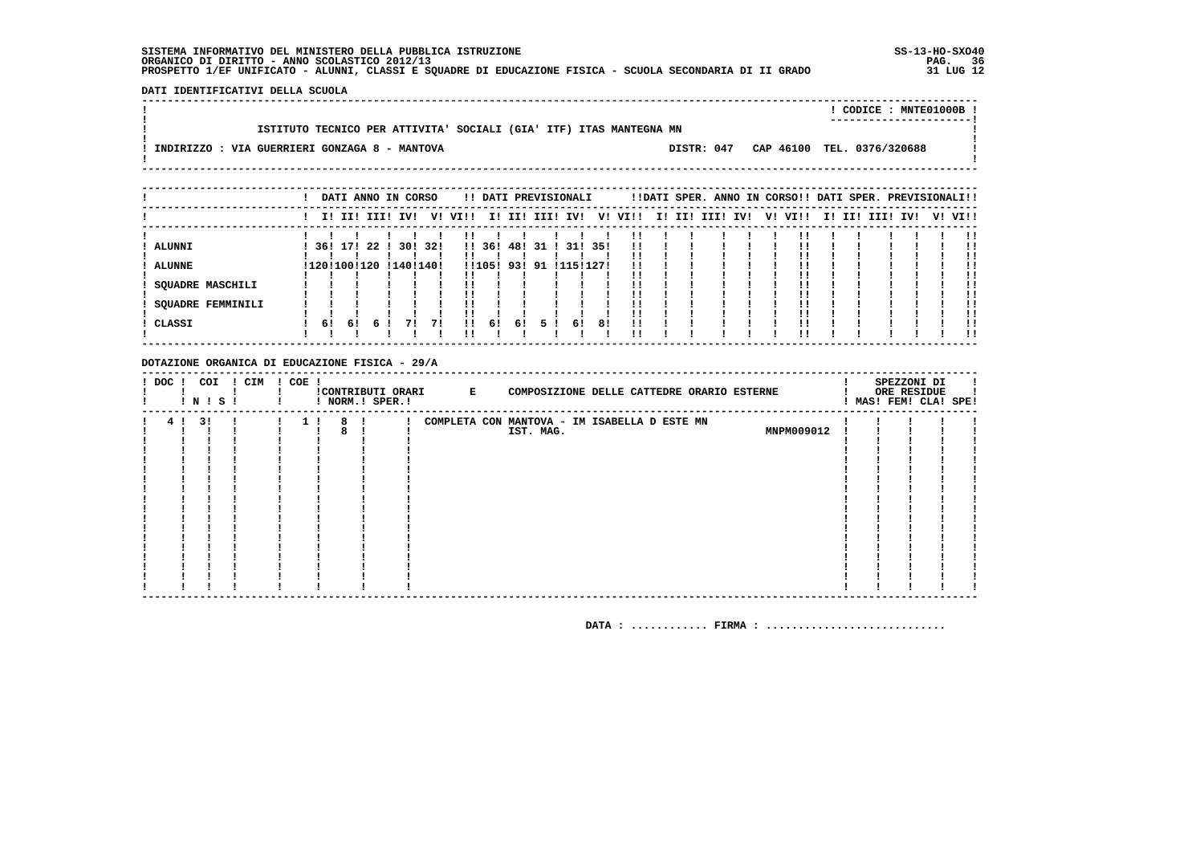DATI IDENTIFICATIVI DELLA SCUOLA 

|                                               |                                                                    |            | CODICE: MNTE01000B!        |
|-----------------------------------------------|--------------------------------------------------------------------|------------|----------------------------|
|                                               |                                                                    |            | -----------------------    |
|                                               | ISTITUTO TECNICO PER ATTIVITA' SOCIALI (GIA' ITF) ITAS MANTEGNA MN |            |                            |
|                                               |                                                                    |            |                            |
| INDIRIZZO : VIA GUERRIERI GONZAGA 8 - MANTOVA |                                                                    | DISTR: 047 | CAP 46100 TEL. 0376/320688 |
|                                               |                                                                    |            |                            |
|                                               |                                                                    |            |                            |

|                          |    |    | DATI ANNO IN CORSO     |         |    |           |            |     |      | !! DATI PREVISIONALI |         |                         |  |  | !!DATI SPER. ANNO IN CORSO!! DATI SPER. PREVISIONALI!! |  |             |     |         |
|--------------------------|----|----|------------------------|---------|----|-----------|------------|-----|------|----------------------|---------|-------------------------|--|--|--------------------------------------------------------|--|-------------|-----|---------|
|                          |    |    | I! II! III! IV!        |         |    | V! VI!!   |            |     |      |                      |         | I! II! III! IV! V! VI!! |  |  | I! II! III! IV! V! VI!!                                |  | I! II! III! | IV! | V! VI!! |
|                          |    |    |                        |         |    |           |            |     |      |                      |         |                         |  |  |                                                        |  |             |     | !!      |
| <b>ALUNNI</b>            |    |    | 361 171 22 1           | 30! 32! |    |           | !! 36!     | 481 | 31 ! |                      | 31! 35! | 11                      |  |  |                                                        |  |             |     |         |
| <b>ALUNNE</b>            |    |    | !120!100!120 !140!140! |         |    |           | !!105! 93! |     |      | 91 111511271         |         |                         |  |  |                                                        |  |             |     | !!      |
| SOUADRE MASCHILI         |    |    |                        |         |    |           |            |     |      |                      |         |                         |  |  |                                                        |  |             |     |         |
| <b>SOUADRE FEMMINILI</b> |    |    |                        |         |    | !!        |            |     |      |                      |         |                         |  |  |                                                        |  |             |     | !!      |
| ! CLASSI                 | 61 | 61 |                        | 71      | 71 | !!<br>. . | -61        | 61  | 51   | 61                   | 81      | 11                      |  |  |                                                        |  |             |     | !!      |
|                          |    |    |                        |         |    |           |            |     |      |                      |         |                         |  |  |                                                        |  |             |     | . .     |

#### DOTAZIONE ORGANICA DI EDUCAZIONE FISICA - 29/A

| ! DOC ! | COI<br>! N ! S ! | ! CIM | ! COE ! |   | ! NORM.! SPER.! | !CONTRIBUTI ORARI E | COMPOSIZIONE DELLE CATTEDRE ORARIO ESTERNE                |  |            |  | SPEZZONI DI<br>ORE RESIDUE<br>! MAS! FEM! CLA! SPE! |  |
|---------|------------------|-------|---------|---|-----------------|---------------------|-----------------------------------------------------------|--|------------|--|-----------------------------------------------------|--|
| 4!      | 31               |       |         | 8 |                 |                     | COMPLETA CON MANTOVA - IM ISABELLA D ESTE MN<br>IST. MAG. |  | MNPM009012 |  |                                                     |  |
|         |                  |       |         |   |                 |                     |                                                           |  |            |  |                                                     |  |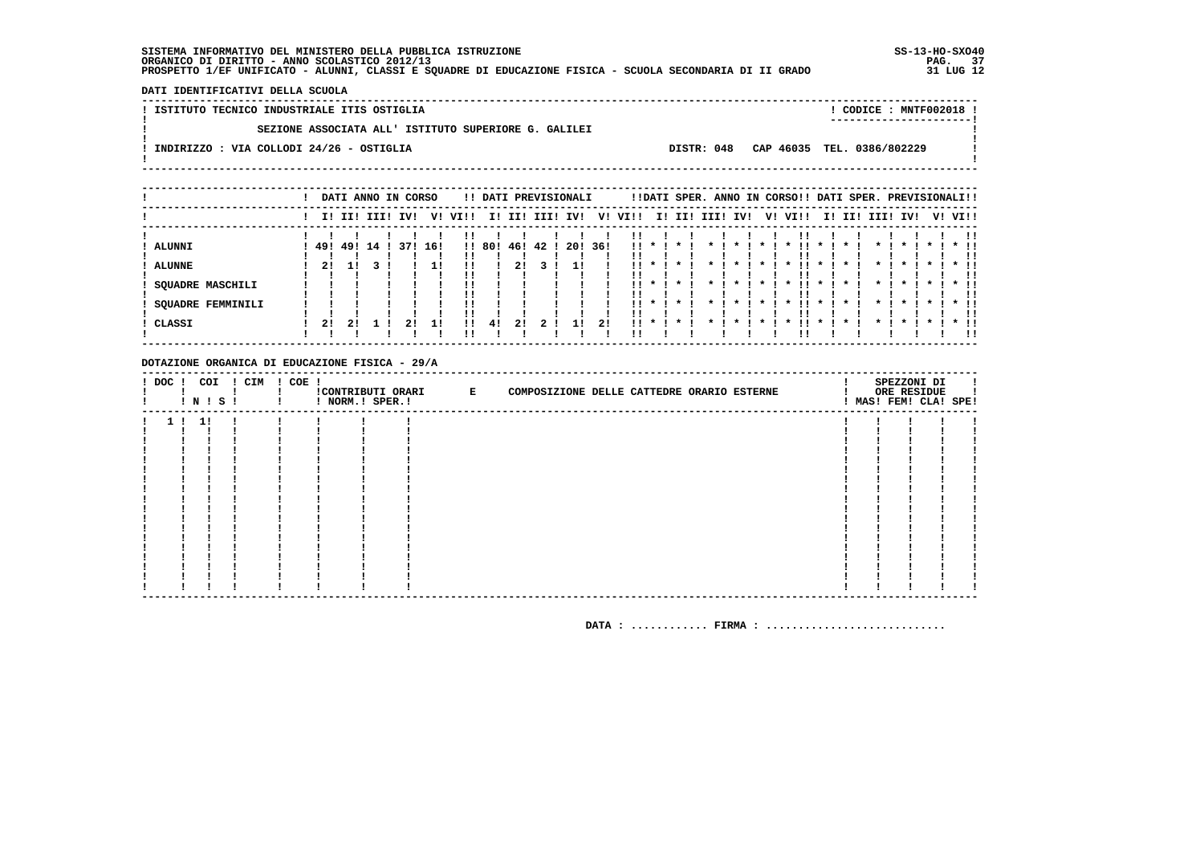DATI IDENTIFICATIVI DELLA SCUOLA

! ISTITUTO TECNICO INDUSTRIALE ITIS OSTIGLIA ! CODICE : MNTF002018 !  $\mathbf{I}$ SEZIONE ASSOCIATA ALL' ISTITUTO SUPERIORE G. GALILEI  $\mathbf{I}$  $\overline{\phantom{a}}$  $\mathbf{I}$ -: INDIRIZZO : VIA COLLODI 24/26 - OSTIGLIA DISTR: 048 CAP 46035 TEL. 0386/802229 **Contract Contract**  $\mathbf{I}$  $\mathbf{I}$ 

|                          |    | DATI ANNO IN CORSO |  |     |     |          |        |     | !! DATI PREVISIONALI |      |      |          |                                         |                 |                 |         |           | !!DATI SPER. ANNO IN CORSO!! DATI SPER. PREVISIONALI!! |              |                     |           |             |                    |         |                |
|--------------------------|----|--------------------|--|-----|-----|----------|--------|-----|----------------------|------|------|----------|-----------------------------------------|-----------------|-----------------|---------|-----------|--------------------------------------------------------|--------------|---------------------|-----------|-------------|--------------------|---------|----------------|
|                          |    | I! II! III!        |  | IV! | V!  | VI!!     | II.    | II! | III!                 | IV!  | V!   | VI!!     |                                         |                 | I! II! III!     | IV!     | V!        | VI!!                                                   | II.          | II!                 | III! IV!  |             |                    | V! VI!! |                |
| ALUNNI                   |    | 49! 49! 14         |  | 371 | 16! |          | !! 80! | 46! | 42!                  | -201 | -36! |          | $\mathbf{1}$ $\mathbf{1}$ $\mathbf{1}$  | $\cdot$ $\cdot$ | $\mathbf{x}$ .  | $\cdot$ |           | $\boldsymbol{\pi}$                                     | $\mathbf{x}$ | $\boldsymbol{\ast}$ | $\star$ I | $\mathbf x$ | $\boldsymbol{\pi}$ |         | <br>$*$ !!     |
| <b>ALUNNE</b>            | 21 |                    |  |     |     |          |        |     |                      |      |      |          |                                         |                 |                 |         |           |                                                        |              |                     |           |             |                    |         | !!<br>* !!     |
| SQUADRE MASCHILI         |    |                    |  |     |     | !!<br>'' |        |     |                      |      |      |          | $\mathbf{1}$ $\mathbf{1}$ $\mathbf{1}$  | . * I           | $\star$ $\cdot$ | $\star$ | * 1       | . .<br>$\cdot$                                         | $\cdot$      | $\star$             | $\star$ 1 | $\cdot$     | $\star$ 1          |         | <br>$\star$ 11 |
| <b>SQUADRE FEMMINILI</b> |    |                    |  |     |     | !!<br>'' |        |     |                      |      |      |          | $\mathbf{11}$ $\mathbf{*}$ $\mathbf{1}$ | $\star$ $\cdot$ | $\star$ $\cdot$ | $\cdot$ | $\star$ I | $\mathbf{x}$                                           | $\cdot$      | $\boldsymbol{\pi}$  | $\star$ 1 | $\cdot$     | $\cdot$            |         | . .<br>$*$ 11  |
| CLASSI                   | 2! | 2!                 |  |     | 11  |          | 4!     | 2!  |                      | 11   | 2!   | $\cdots$ |                                         |                 |                 |         |           |                                                        |              |                     |           |             |                    |         | !!<br>$*$ !!   |
|                          |    |                    |  |     |     | ''       |        |     |                      |      |      | . .      |                                         |                 |                 |         |           |                                                        |              |                     |           |             |                    |         | 11             |

#### DOTAZIONE ORGANICA DI EDUCAZIONE FISICA - 29/A

|  |      | <b>!N!S!</b> | ! DOC ! COI ! CIM ! COE ! | ! NORM.! SPER.! | CONTRIBUTI ORARI E | COMPOSIZIONE DELLE CATTEDRE ORARIO ESTERNE |  | SPEZZONI DI<br>ORE RESIDUE<br>! MAS! FEM! CLA! SPE! |  |
|--|------|--------------|---------------------------|-----------------|--------------------|--------------------------------------------|--|-----------------------------------------------------|--|
|  | 1!1! |              |                           |                 |                    |                                            |  |                                                     |  |
|  |      |              |                           |                 |                    |                                            |  |                                                     |  |
|  |      |              |                           |                 |                    |                                            |  |                                                     |  |
|  |      |              |                           |                 |                    |                                            |  |                                                     |  |
|  |      |              |                           |                 |                    |                                            |  |                                                     |  |
|  |      |              |                           |                 |                    |                                            |  |                                                     |  |
|  |      |              |                           |                 |                    |                                            |  |                                                     |  |
|  |      |              |                           |                 |                    |                                            |  |                                                     |  |
|  |      |              |                           |                 |                    |                                            |  |                                                     |  |
|  |      |              |                           |                 |                    |                                            |  |                                                     |  |
|  |      |              |                           |                 |                    |                                            |  |                                                     |  |
|  |      |              |                           |                 |                    |                                            |  |                                                     |  |
|  |      |              |                           |                 |                    |                                            |  |                                                     |  |
|  |      |              |                           |                 |                    |                                            |  |                                                     |  |
|  |      |              |                           |                 |                    |                                            |  |                                                     |  |
|  |      |              |                           |                 |                    |                                            |  |                                                     |  |
|  |      |              |                           |                 |                    |                                            |  |                                                     |  |
|  |      |              |                           |                 |                    |                                            |  |                                                     |  |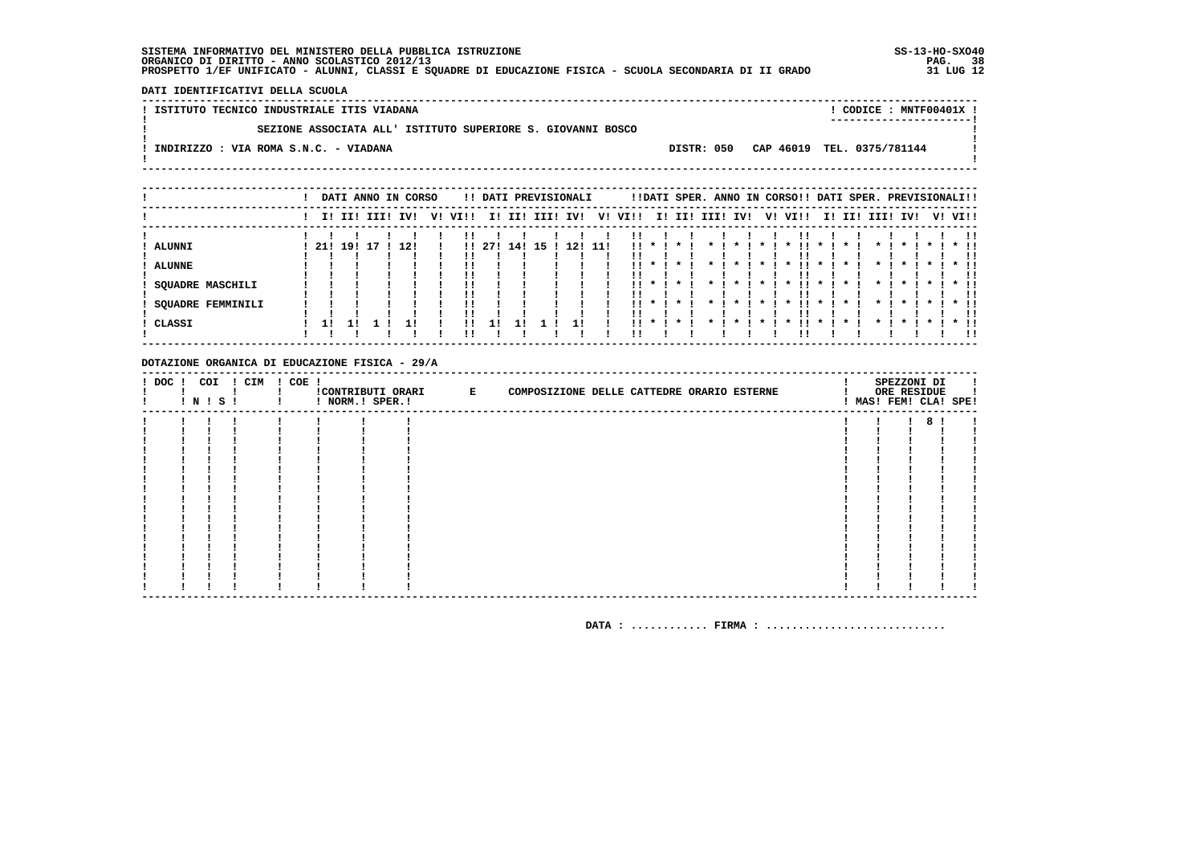DATI IDENTIFICATIVI DELLA SCUOLA

! ISTITUTO TECNICO INDUSTRIALE ITIS VIADANA ! CODICE : MNTF00401X !  $\mathbf{I}$ SEZIONE ASSOCIATA ALL' ISTITUTO SUPERIORE S. GIOVANNI BOSCO  $\mathbf{I}$ - 1  $\mathbf{I}$ -.<br>! INDIRIZZO : VIA ROMA S.N.C. - VIADANA DISTR: 050 CAP 46019 TEL. 0375/781144  $\mathbf{I}$  $\mathbf{I}$  $\mathbf{I}$ 

|                          |     |             |  | DATI ANNO IN CORSO |    |              |      |     |      | !! DATI PREVISIONALI |      |      |                                         |         |              |                |                | !!DATI SPER. ANNO IN CORSO!! DATI SPER. PREVISIONALI!! |              |              |              |                    |           |         |     |
|--------------------------|-----|-------------|--|--------------------|----|--------------|------|-----|------|----------------------|------|------|-----------------------------------------|---------|--------------|----------------|----------------|--------------------------------------------------------|--------------|--------------|--------------|--------------------|-----------|---------|-----|
|                          |     | I! II! III! |  | IVI                | V! | VI!!         | I!   | II! | III! | IV!                  | V!   | VI!! | II.                                     | II!     | III!         | IV!            |                | V! VI!!                                                | II.          | II!          | III!         | IV!                |           | V! VI!! |     |
| ALUNNI                   | 21! | 19!         |  | 12!                |    | $\mathbf{H}$ | -271 | 14! | 15   | 12!                  | -11! | . .  |                                         |         |              |                |                | $\boldsymbol{\ast}$                                    |              |              |              |                    |           | $*$ !!  |     |
| <b>ALUNNE</b>            |     |             |  |                    |    |              |      |     |      |                      |      | !!   | $\mathbf{x}$                            |         |              |                | $\star$        | $\boldsymbol{\ast}$                                    | $\star$      |              | *            | $\boldsymbol{\pi}$ | $\star$   | $*$ 11  | . . |
|                          |     |             |  |                    |    |              |      |     |      |                      |      |      | $11 * 1$                                | . *     | $\star$ 1    | $\mathbf{x}$ . | $\mathbf{x}$ . |                                                        | $\star$ 1    |              | $\star$ 1    |                    | $\cdots$  |         |     |
| <b>SQUADRE MASCHILI</b>  |     |             |  |                    |    |              |      |     |      |                      |      | !!   |                                         |         |              |                |                | .<br>$\mathbf{r}$                                      |              | $\mathbf{x}$ |              | $\mathbf{x}$       |           | $*$ 11  |     |
| <b>SQUADRE FEMMINILI</b> |     |             |  |                    |    |              |      |     |      |                      |      |      | $\mathbf{11}$ $\mathbf{*}$ $\mathbf{1}$ | $\cdot$ | $\mathbf{r}$ | $\mathbf{x}$   | $\mathbf{x}$   | . .<br>$\boldsymbol{\pi}$                              | $\mathbf{x}$ |              | $\mathbf{x}$ | $\mathbf{x}$ i     | $\star$ 1 | $*$ !!  |     |
| CLASSI                   | 11  |             |  |                    |    | !!           | 11   |     |      |                      |      | !!   |                                         |         |              |                |                |                                                        |              |              |              |                    |           | $*$ 11  | -11 |

#### DOTAZIONE ORGANICA DI EDUCAZIONE FISICA - 29/A

|  |  | ! DOC ! COI ! CIM ! COE !<br>$ N $ $S$ $ $ | ! NORM.! SPER.! | CONTRIBUTI ORARI E | COMPOSIZIONE DELLE CATTEDRE ORARIO ESTERNE |  | SPEZZONI DI<br>ORE RESIDUE | MAS! FEM! CLA! SPE! |
|--|--|--------------------------------------------|-----------------|--------------------|--------------------------------------------|--|----------------------------|---------------------|
|  |  |                                            |                 |                    |                                            |  | 8 <sup>1</sup>             |                     |
|  |  |                                            |                 |                    |                                            |  |                            |                     |
|  |  |                                            |                 |                    |                                            |  |                            |                     |
|  |  |                                            |                 |                    |                                            |  |                            |                     |
|  |  |                                            |                 |                    |                                            |  |                            |                     |
|  |  |                                            |                 |                    |                                            |  |                            |                     |
|  |  |                                            |                 |                    |                                            |  |                            |                     |
|  |  |                                            |                 |                    |                                            |  |                            |                     |
|  |  |                                            |                 |                    |                                            |  |                            |                     |
|  |  |                                            |                 |                    |                                            |  |                            |                     |
|  |  |                                            |                 |                    |                                            |  |                            |                     |
|  |  |                                            |                 |                    |                                            |  |                            |                     |
|  |  |                                            |                 |                    |                                            |  |                            |                     |
|  |  |                                            |                 |                    |                                            |  |                            |                     |
|  |  |                                            |                 |                    |                                            |  |                            |                     |
|  |  |                                            |                 |                    |                                            |  |                            |                     |
|  |  |                                            |                 |                    |                                            |  |                            |                     |
|  |  |                                            |                 |                    |                                            |  |                            |                     |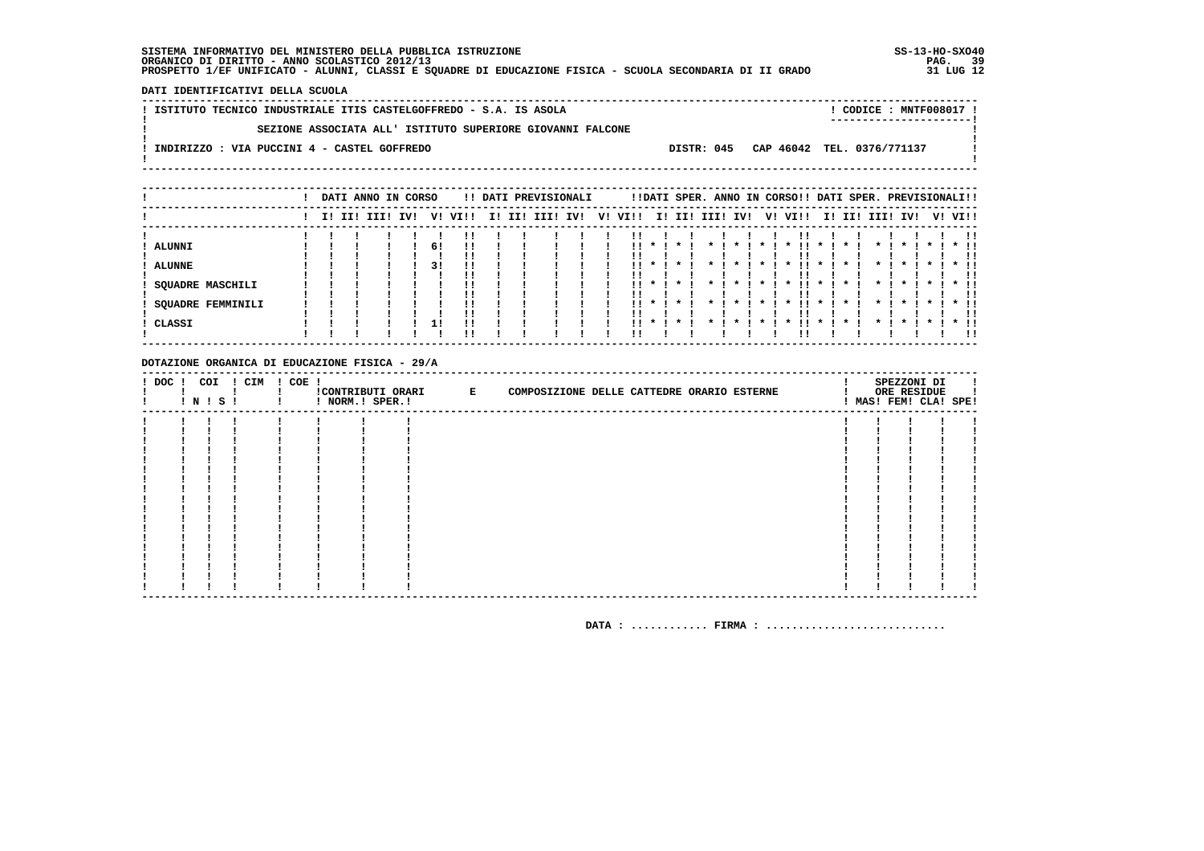DATI IDENTIFICATIVI DELLA SCUOLA

| ! ISTITUTO TECNICO INDUSTRIALE ITIS CASTELGOFFREDO - S.A. IS ASOLA | CODICE: MNTF008017 !<br>----------------------- |  |
|--------------------------------------------------------------------|-------------------------------------------------|--|
| SEZIONE ASSOCIATA ALL' ISTITUTO SUPERIORE GIOVANNI FALCONE         |                                                 |  |
| INDIRIZZO : VIA PUCCINI 4 - CASTEL GOFFREDO                        | DISTR: 045 CAP 46042 TEL. 0376/771137           |  |
|                                                                    |                                                 |  |

|                          |  | DATI ANNO IN CORSO |     |    |         |     |     | !! DATI PREVISIONALI |    |      |                 |              |                   |                    |           | !!DATI SPER. ANNO IN CORSO!! DATI SPER. PREVISIONALI!! |              |         |                    |                    |                    |         |        |
|--------------------------|--|--------------------|-----|----|---------|-----|-----|----------------------|----|------|-----------------|--------------|-------------------|--------------------|-----------|--------------------------------------------------------|--------------|---------|--------------------|--------------------|--------------------|---------|--------|
|                          |  | I! II! III!        | IVI |    | V! VI!! | II. | II! | III! IV!             | V! | VI!! |                 |              | I! II! III! IV!   |                    | V!        | VI!!                                                   |              |         | I! II! III! IV!    |                    |                    | V! VI!! |        |
|                          |  |                    |     |    |         |     |     |                      |    |      |                 |              |                   |                    |           |                                                        |              |         |                    |                    |                    |         | !!     |
| ALUNNI                   |  |                    |     | 61 |         |     |     |                      |    | !!   |                 | * 1 * 1      | $\star$ $\cdot$   | $\cdot$            | $\star$ I | $\boldsymbol{\pi}$                                     | $\mathbf{x}$ | $\cdot$ | $\star$ I          | $\cdot$            | $\cdot$            | $*$ 11  |        |
|                          |  |                    |     |    | ' '     |     |     |                      |    |      |                 |              |                   |                    |           |                                                        |              |         |                    |                    |                    |         | !!     |
| <b>ALUNNE</b>            |  |                    |     | 31 | !!      |     |     |                      |    |      |                 |              |                   |                    |           |                                                        |              |         |                    |                    |                    |         | * !!   |
|                          |  |                    |     |    |         |     |     |                      |    |      |                 |              |                   |                    |           |                                                        |              |         |                    |                    |                    |         |        |
| <b>SQUADRE MASCHILI</b>  |  |                    |     |    |         |     |     |                      |    | . .  | $\star$ $\cdot$ | $\mathbf{x}$ | $\mathbf{\ast}$ . | $\cdot$            | $\star$ 1 | . .<br>$\mathbf{x}$                                    | $\cdot$      | $\cdot$ |                    | $\cdot$            | * 1                |         | $*$ 11 |
|                          |  |                    |     |    |         |     |     |                      |    |      |                 |              |                   |                    |           |                                                        |              |         |                    |                    |                    |         | !!     |
| <b>SQUADRE FEMMINILI</b> |  |                    |     |    | !!      |     |     |                      |    | . .  | $\mathbf{r}$    | $\mathbf x$  |                   | $\boldsymbol{\pi}$ |           | . .<br>$\boldsymbol{\pi}$                              | $\mathbf{x}$ |         | $\boldsymbol{\pi}$ | $\boldsymbol{\pi}$ | $\boldsymbol{\pi}$ | $*$ !!  |        |
|                          |  |                    |     |    |         |     |     |                      |    |      |                 |              |                   |                    |           |                                                        |              |         |                    |                    |                    |         | !!     |
| CLASSI                   |  |                    |     | 11 | !!      |     |     |                      |    | !!   |                 |              |                   |                    |           |                                                        |              |         |                    |                    |                    |         | $*$ 11 |
|                          |  |                    |     |    |         |     |     |                      |    |      |                 |              |                   |                    |           |                                                        |              |         |                    |                    |                    |         |        |

### DOTAZIONE ORGANICA DI EDUCAZIONE FISICA - 29/A

|  | $!$ N $!$ S $!$ | ! DOC ! COI ! CIM ! COE ! | ! NORM.! SPER.! | CONTRIBUTI ORARI E | COMPOSIZIONE DELLE CATTEDRE ORARIO ESTERNE |  | SPEZZONI DI<br>ORE RESIDUE<br>! MAS! FEM! CLA! SPE! |  |
|--|-----------------|---------------------------|-----------------|--------------------|--------------------------------------------|--|-----------------------------------------------------|--|
|  |                 |                           |                 |                    |                                            |  |                                                     |  |
|  |                 |                           |                 |                    |                                            |  |                                                     |  |
|  |                 |                           |                 |                    |                                            |  |                                                     |  |
|  |                 |                           |                 |                    |                                            |  |                                                     |  |
|  |                 |                           |                 |                    |                                            |  |                                                     |  |
|  |                 |                           |                 |                    |                                            |  |                                                     |  |
|  |                 |                           |                 |                    |                                            |  |                                                     |  |
|  |                 |                           |                 |                    |                                            |  |                                                     |  |
|  |                 |                           |                 |                    |                                            |  |                                                     |  |
|  |                 |                           |                 |                    |                                            |  |                                                     |  |
|  |                 |                           |                 |                    |                                            |  |                                                     |  |
|  |                 |                           |                 |                    |                                            |  |                                                     |  |
|  |                 |                           |                 |                    |                                            |  |                                                     |  |
|  |                 |                           |                 |                    |                                            |  |                                                     |  |
|  |                 |                           |                 |                    |                                            |  |                                                     |  |
|  |                 |                           |                 |                    |                                            |  |                                                     |  |
|  |                 |                           |                 |                    |                                            |  |                                                     |  |
|  |                 |                           |                 |                    |                                            |  |                                                     |  |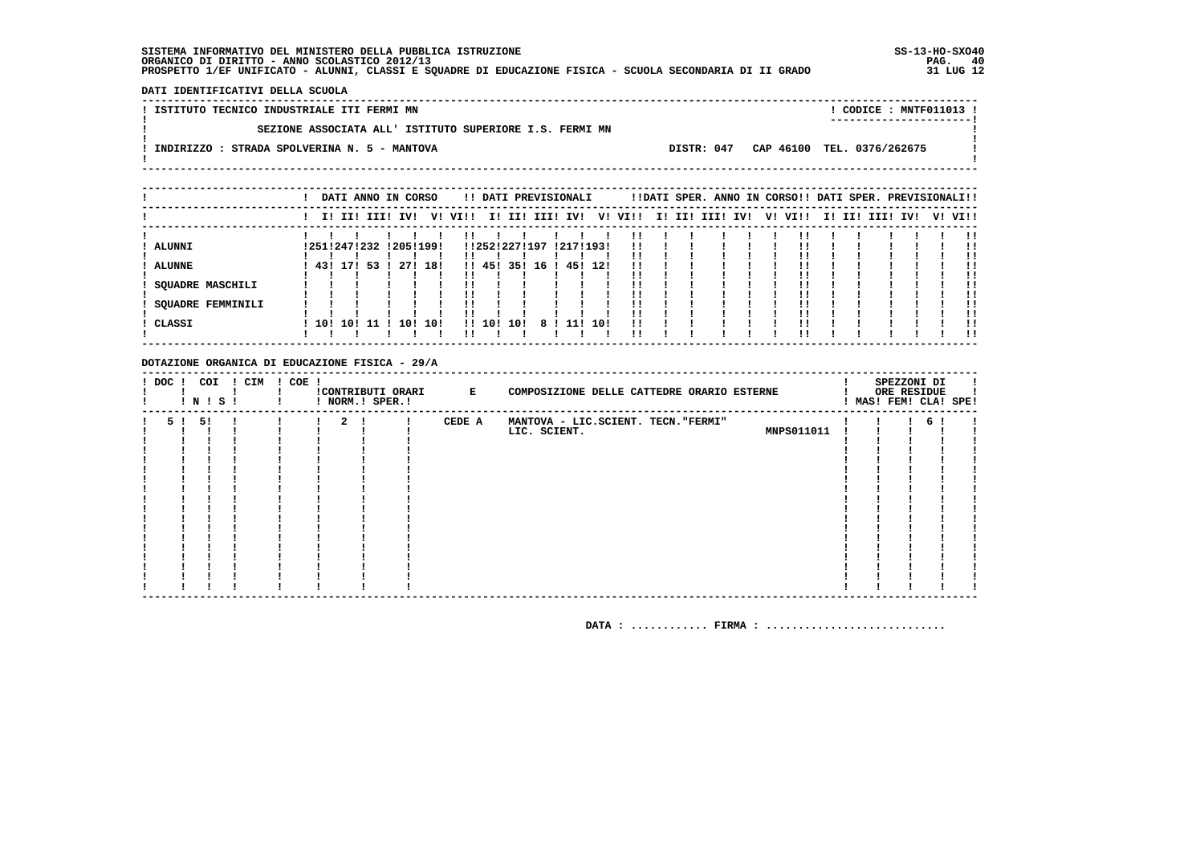**DATI IDENTIFICATIVI DELLA SCUOLA**

  **----------------------------------------------------------------------------------------------------------------------------------**! CODICE : MNTF011013 ! **! ISTITUTO TECNICO INDUSTRIALE ITI FERMI MN ! ----------------------!** $\overline{\phantom{a}}$  **! SEZIONE ASSOCIATA ALL' ISTITUTO SUPERIORE I.S. FERMI MN !** $\mathbf{I}$  **! !Contract Contract : INDIRIZZO : STRADA SPOLVERINA N. 5 - MANTOVA** DISTR: 047 CAP 46100 TEL. 0376/262675<br>!  $\mathbf{I}$  **! ! ----------------------------------------------------------------------------------------------------------------------------------**

|                   |     |     | DATI ANNO IN CORSO |            |         |         |     |      | !! DATI PREVISIONALI    |     |         |  |                 |  | !!DATI SPER. ANNO IN CORSO!! DATI SPER. PREVISIONALI!! |  |                 |         |
|-------------------|-----|-----|--------------------|------------|---------|---------|-----|------|-------------------------|-----|---------|--|-----------------|--|--------------------------------------------------------|--|-----------------|---------|
|                   |     |     | I! II! III! IV!    |            | VI VIII |         |     |      | I! II! III! IV!         |     | V! VI!! |  | I! II! III! IV! |  | V! VI!!                                                |  | I! II! III! IV! | V! VI!! |
|                   |     |     |                    |            |         |         |     |      |                         |     |         |  |                 |  |                                                        |  |                 | !!      |
| ALUNNI            |     |     | ! 251 ! 247 ! 232  | !205!199!  |         |         |     |      | !!252!227!197 !217!193! |     | 11      |  |                 |  |                                                        |  |                 | !!      |
|                   |     |     |                    |            |         |         |     |      |                         |     |         |  |                 |  |                                                        |  |                 |         |
| <b>ALUNNE</b>     | 431 | 171 | 53                 | 271<br>18! |         | !! 45!  | 351 | 16 ! | 451                     | 12! | !!      |  |                 |  |                                                        |  |                 |         |
|                   |     |     |                    |            |         |         |     |      |                         |     |         |  |                 |  |                                                        |  |                 | !!      |
| SOUADRE MASCHILI  |     |     |                    |            |         |         |     |      |                         |     |         |  |                 |  |                                                        |  |                 | !!      |
|                   |     |     |                    |            |         |         |     |      |                         |     |         |  |                 |  |                                                        |  |                 |         |
| SOUADRE FEMMINILI |     |     |                    |            |         |         |     |      |                         |     |         |  |                 |  |                                                        |  |                 | . .     |
|                   |     |     |                    |            |         |         |     |      |                         |     |         |  |                 |  |                                                        |  |                 | !!      |
| CLASSI            | 101 | 10! |                    | 10!<br>10! |         | 11, 101 | 10! | 81   |                         | 10! | !!      |  |                 |  |                                                        |  |                 | !!      |
|                   |     |     |                    |            |         |         |     |      |                         |     | U       |  |                 |  |                                                        |  |                 | !!      |

#### **DOTAZIONE ORGANICA DI EDUCAZIONE FISICA - 29/A**

|  |         | ! N ! S ! | ! DOC ! COI ! CIM | ! COE ! | ! NORM.! SPER.! |  | !CONTRIBUTI ORARI E | COMPOSIZIONE DELLE CATTEDRE ORARIO ESTERNE |  | SPEZZONI DI<br>ORE RESIDUE | MAS! FEM! CLA! SPE! |
|--|---------|-----------|-------------------|---------|-----------------|--|---------------------|--------------------------------------------|--|----------------------------|---------------------|
|  | 5 ! 5 ! |           |                   |         | $2 \quad 1$     |  | CEDE A              | MANTOVA - LIC.SCIENT. TECN. "FERMI"        |  |                            |                     |
|  |         |           |                   |         |                 |  |                     | <b>MNPS011011</b><br>LIC. SCIENT.          |  |                            |                     |
|  |         |           |                   |         |                 |  |                     |                                            |  |                            |                     |
|  |         |           |                   |         |                 |  |                     |                                            |  |                            |                     |
|  |         |           |                   |         |                 |  |                     |                                            |  |                            |                     |
|  |         |           |                   |         |                 |  |                     |                                            |  |                            |                     |
|  |         |           |                   |         |                 |  |                     |                                            |  |                            |                     |
|  |         |           |                   |         |                 |  |                     |                                            |  |                            |                     |
|  |         |           |                   |         |                 |  |                     |                                            |  |                            |                     |
|  |         |           |                   |         |                 |  |                     |                                            |  |                            |                     |
|  |         |           |                   |         |                 |  |                     |                                            |  |                            |                     |
|  |         |           |                   |         |                 |  |                     |                                            |  |                            |                     |
|  |         |           |                   |         |                 |  |                     |                                            |  |                            |                     |
|  |         |           |                   |         |                 |  |                     |                                            |  |                            |                     |
|  |         |           |                   |         |                 |  |                     |                                            |  |                            |                     |
|  |         |           |                   |         |                 |  |                     |                                            |  |                            |                     |
|  |         |           |                   |         |                 |  |                     |                                            |  |                            |                     |
|  |         |           |                   |         |                 |  |                     |                                            |  |                            |                     |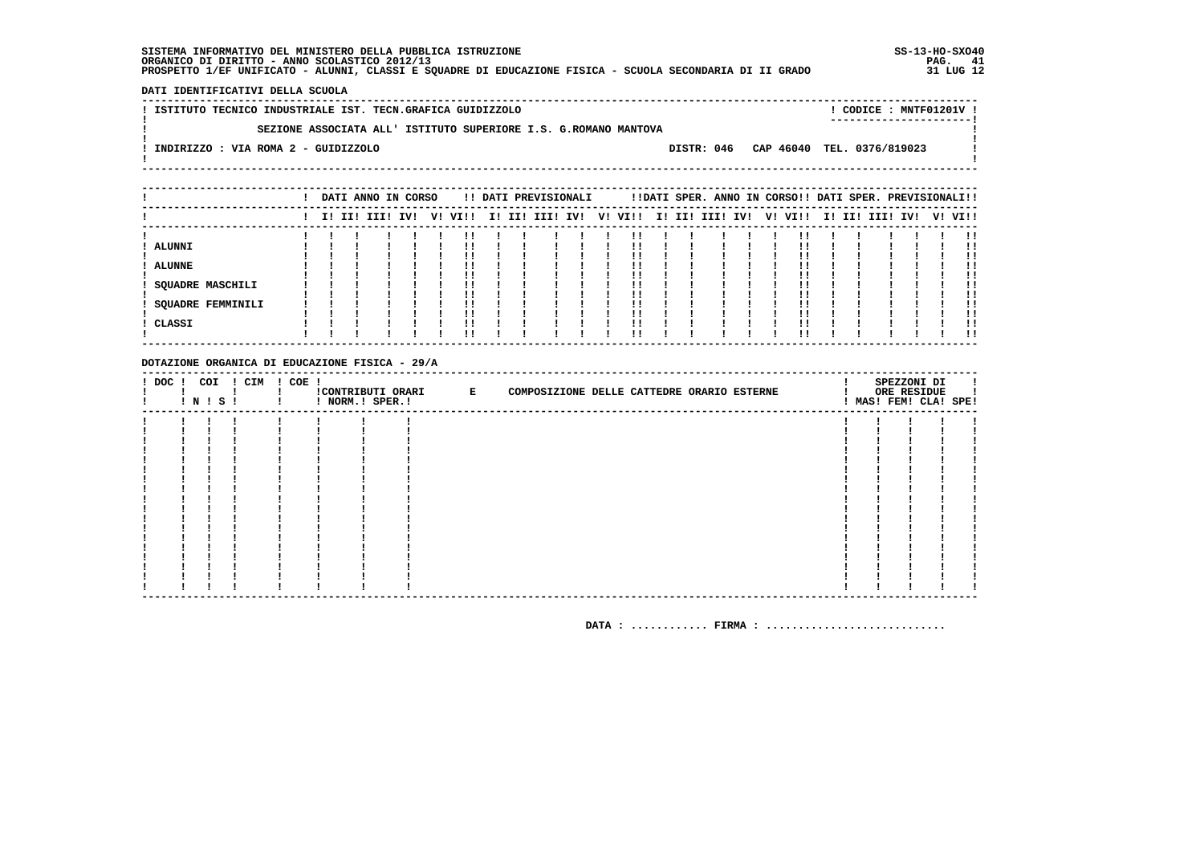DATI IDENTIFICATIVI DELLA SCUOLA

| ! ISTITUTO TECNICO INDUSTRIALE IST. TECN.GRAFICA GUIDIZZOLO     |  |  |                                       |  | CODICE : MNTF01201V ! |  |
|-----------------------------------------------------------------|--|--|---------------------------------------|--|-----------------------|--|
| SEZIONE ASSOCIATA ALL' ISTITUTO SUPERIORE I.S. G.ROMANO MANTOVA |  |  |                                       |  |                       |  |
| INDIRIZZO : VIA ROMA 2 - GUIDIZZOLO                             |  |  | DISTR: 046 CAP 46040 TEL. 0376/819023 |  |                       |  |
|                                                                 |  |  |                                       |  |                       |  |

|                          |  | DATI ANNO IN CORSO |  |         |  | !! DATI PREVISIONALI |  |                          |  | !!DATI SPER. ANNO IN CORSO!! DATI SPER. PREVISIONALI!! |  |  |             |     |         |     |
|--------------------------|--|--------------------|--|---------|--|----------------------|--|--------------------------|--|--------------------------------------------------------|--|--|-------------|-----|---------|-----|
|                          |  | I! II! III! IV!    |  | V! VI!! |  |                      |  | I! II! III! IV!  V! VI!! |  | I! II! III! IV! V! VI!!                                |  |  | I! II! III! | IV! | V! VI!! |     |
|                          |  |                    |  | !!      |  |                      |  |                          |  |                                                        |  |  |             |     |         |     |
| <b>ALUNNI</b>            |  |                    |  |         |  |                      |  |                          |  |                                                        |  |  |             |     |         |     |
|                          |  |                    |  |         |  |                      |  |                          |  |                                                        |  |  |             |     |         | !!  |
| <b>ALUNNE</b>            |  |                    |  | ''      |  |                      |  |                          |  |                                                        |  |  |             |     |         |     |
|                          |  |                    |  |         |  |                      |  |                          |  |                                                        |  |  |             |     |         |     |
| <b>SQUADRE MASCHILI</b>  |  |                    |  | !!      |  |                      |  | . .                      |  |                                                        |  |  |             |     |         | !!  |
|                          |  |                    |  |         |  |                      |  |                          |  |                                                        |  |  |             |     |         |     |
| <b>SQUADRE FEMMINILI</b> |  |                    |  |         |  |                      |  |                          |  |                                                        |  |  |             |     |         |     |
|                          |  |                    |  | !!      |  |                      |  |                          |  |                                                        |  |  |             |     |         | !!  |
| CLASSI                   |  |                    |  | !!      |  |                      |  |                          |  |                                                        |  |  |             |     |         |     |
|                          |  |                    |  | !!      |  |                      |  |                          |  |                                                        |  |  |             |     |         | . . |

#### DOTAZIONE ORGANICA DI EDUCAZIONE FISICA - 29/A

|  | <b>!N!S!</b> | ! DOC ! COI ! CIM ! COE ! | ! NORM.! SPER.! | !CONTRIBUTI ORARI E | COMPOSIZIONE DELLE CATTEDRE ORARIO ESTERNE |  |  |  | SPEZZONI DI<br>ORE RESIDUE<br>! MAS! FEM! CLA! SPE! |  |
|--|--------------|---------------------------|-----------------|---------------------|--------------------------------------------|--|--|--|-----------------------------------------------------|--|
|  |              |                           |                 |                     |                                            |  |  |  |                                                     |  |
|  |              |                           |                 |                     |                                            |  |  |  |                                                     |  |
|  |              |                           |                 |                     |                                            |  |  |  |                                                     |  |
|  |              |                           |                 |                     |                                            |  |  |  |                                                     |  |
|  |              |                           |                 |                     |                                            |  |  |  |                                                     |  |
|  |              |                           |                 |                     |                                            |  |  |  |                                                     |  |
|  |              |                           |                 |                     |                                            |  |  |  |                                                     |  |
|  |              |                           |                 |                     |                                            |  |  |  |                                                     |  |
|  |              |                           |                 |                     |                                            |  |  |  |                                                     |  |
|  |              |                           |                 |                     |                                            |  |  |  |                                                     |  |
|  |              |                           |                 |                     |                                            |  |  |  |                                                     |  |
|  |              |                           |                 |                     |                                            |  |  |  |                                                     |  |
|  |              |                           |                 |                     |                                            |  |  |  |                                                     |  |
|  |              |                           |                 |                     |                                            |  |  |  |                                                     |  |
|  |              |                           |                 |                     |                                            |  |  |  |                                                     |  |
|  |              |                           |                 |                     |                                            |  |  |  |                                                     |  |
|  |              |                           |                 |                     |                                            |  |  |  |                                                     |  |
|  |              |                           |                 |                     |                                            |  |  |  |                                                     |  |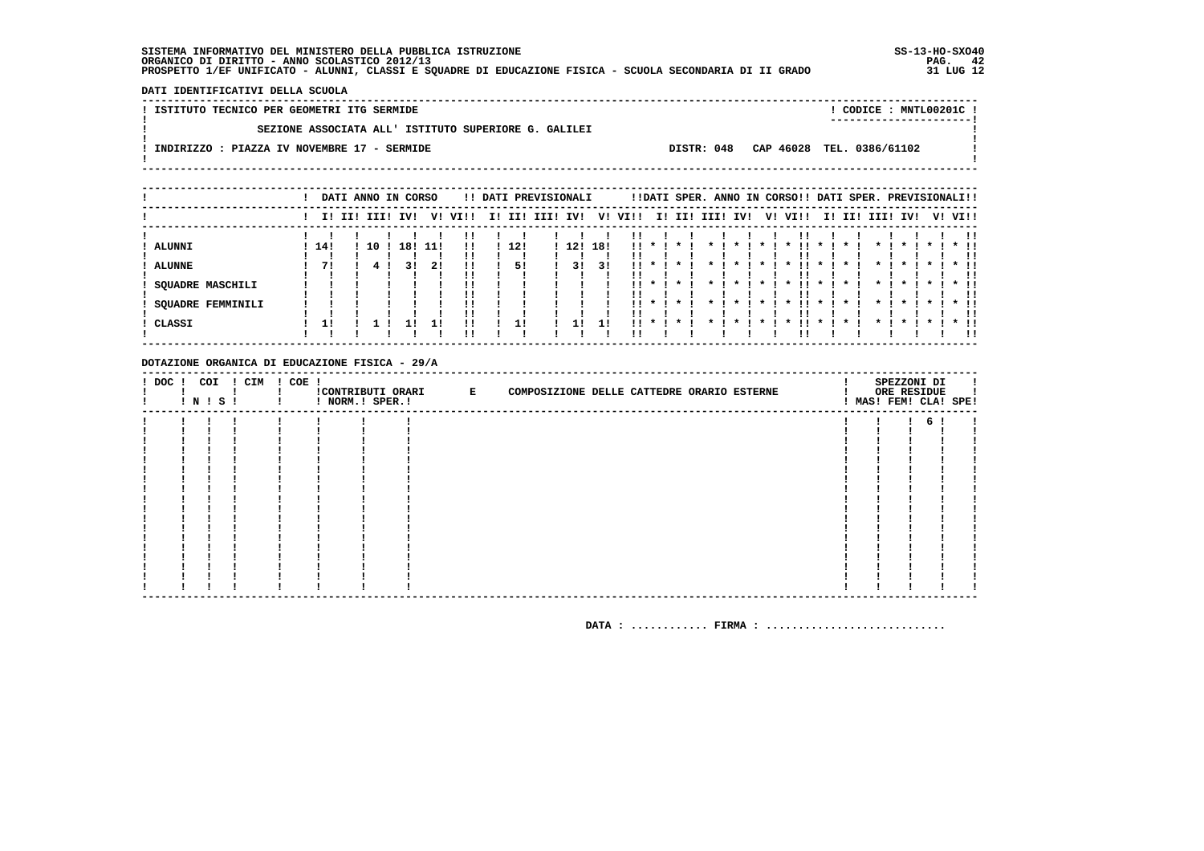DATI IDENTIFICATIVI DELLA SCUOLA

! ISTITUTO TECNICO PER GEOMETRI ITG SERMIDE ! CODICE : MNTL00201C !  $\mathbf{I}$ SEZIONE ASSOCIATA ALL' ISTITUTO SUPERIORE G. GALILEI  $\mathbf{I}$  $\blacksquare$  $\mathbf{I}$ -.<br>! INDIRIZZO : PIAZZA IV NOVEMBRE 17 - SERMIDE DISTR: 048 CAP 46028 TEL. 0386/61102  $\sim$  100  $\pm$  $\mathbf{I}$  $\mathbf{I}$ 

|                                              |     |             |    | DATI ANNO IN CORSO |     |                |    |     | !! DATI PREVISIONALI |     |     |      |                                                            |                                    |                                    |                    |                  | !!DATI SPER. ANNO IN CORSO!! DATI SPER. PREVISIONALI!! |                    |                               |                        |                    |                      |         |                             |
|----------------------------------------------|-----|-------------|----|--------------------|-----|----------------|----|-----|----------------------|-----|-----|------|------------------------------------------------------------|------------------------------------|------------------------------------|--------------------|------------------|--------------------------------------------------------|--------------------|-------------------------------|------------------------|--------------------|----------------------|---------|-----------------------------|
|                                              |     | I! II! III! |    | IV!                | V!  | VI!!           | ΙI | II! | III!                 | IV! | V!  | VI!! |                                                            | I! II!                             | III!                               | IV!                | V!               | VI!!                                                   | II.                | II!                           | III! IV!               |                    |                      | V! VI!! |                             |
| ALUNNI                                       | 14! |             | 10 | 18!                | 11! | !!             |    | 12! |                      | 12! | 18! |      | $\mathbf{1}$ $\mathbf{1}$ $\mathbf{1}$                     | $\star$                            | $\mathbf{x}$                       | $\cdot$            | $\star$ I        | $\boldsymbol{\pi}$                                     | $\mathbf{x}$       | $\boldsymbol{\ast}$           | $\star$ I              | $\mathbf x$        | $\boldsymbol{\pi}$   |         | <br>$*$ !!                  |
| <b>ALUNNE</b>                                | 71  |             |    |                    | 21  | !!<br>!!<br>!! |    | 51  |                      | 31  | 31  |      |                                                            |                                    |                                    |                    |                  |                                                        |                    |                               |                        |                    |                      |         | !!<br>* !!<br>              |
| SQUADRE MASCHILI<br><b>SQUADRE FEMMINILI</b> |     |             |    |                    |     | ''<br>!!       |    |     |                      |     |     | . .  | $\star$ $\cdot$<br>$\mathbf{11}$ $\mathbf{*}$ $\mathbf{1}$ | $\star$ $\cdot$<br>$\star$ $\cdot$ | $\star$ $\cdot$<br>$\star$ $\cdot$ | $\star$<br>$\cdot$ | * 1<br>$\star$ I | . .<br>$\cdot$<br>- 11 -<br>$\mathbf{x}$               | $\cdot$<br>$\cdot$ | $\star$<br>$\boldsymbol{\pi}$ | $\star$ 1<br>$\star$ 1 | $\cdot$<br>$\cdot$ | $\star$ 1<br>$\cdot$ |         | $\star$ 11<br>. .<br>$*$ 11 |
| CLASSI                                       | 11  |             |    |                    |     | !!             |    |     |                      | 11  | 11  | !!   |                                                            |                                    |                                    |                    |                  |                                                        |                    |                               |                        |                    |                      |         | !!<br>* !!                  |
|                                              |     |             |    |                    |     | ''             |    |     |                      |     |     |      |                                                            |                                    |                                    |                    |                  |                                                        |                    |                               |                        |                    |                      |         | 11                          |

#### DOTAZIONE ORGANICA DI EDUCAZIONE FISICA - 29/A

|  | $!$ N $!$ S $!$ | ! DOC ! COI ! CIM ! COE ! | ! NORM.! SPER.! | ! CONTRIBUTI ORARI E | COMPOSIZIONE DELLE CATTEDRE ORARIO ESTERNE |  | SPEZZONI DI<br>ORE RESIDUE<br>! MAS! FEM! CLA! SPE! |  |
|--|-----------------|---------------------------|-----------------|----------------------|--------------------------------------------|--|-----------------------------------------------------|--|
|  |                 |                           |                 |                      |                                            |  | б.                                                  |  |
|  |                 |                           |                 |                      |                                            |  |                                                     |  |
|  |                 |                           |                 |                      |                                            |  |                                                     |  |
|  |                 |                           |                 |                      |                                            |  |                                                     |  |
|  |                 |                           |                 |                      |                                            |  |                                                     |  |
|  |                 |                           |                 |                      |                                            |  |                                                     |  |
|  |                 |                           |                 |                      |                                            |  |                                                     |  |
|  |                 |                           |                 |                      |                                            |  |                                                     |  |
|  |                 |                           |                 |                      |                                            |  |                                                     |  |
|  |                 |                           |                 |                      |                                            |  |                                                     |  |
|  |                 |                           |                 |                      |                                            |  |                                                     |  |
|  |                 |                           |                 |                      |                                            |  |                                                     |  |
|  |                 |                           |                 |                      |                                            |  |                                                     |  |
|  |                 |                           |                 |                      |                                            |  |                                                     |  |
|  |                 |                           |                 |                      |                                            |  |                                                     |  |
|  |                 |                           |                 |                      |                                            |  |                                                     |  |
|  |                 |                           |                 |                      |                                            |  |                                                     |  |
|  |                 |                           |                 |                      |                                            |  |                                                     |  |